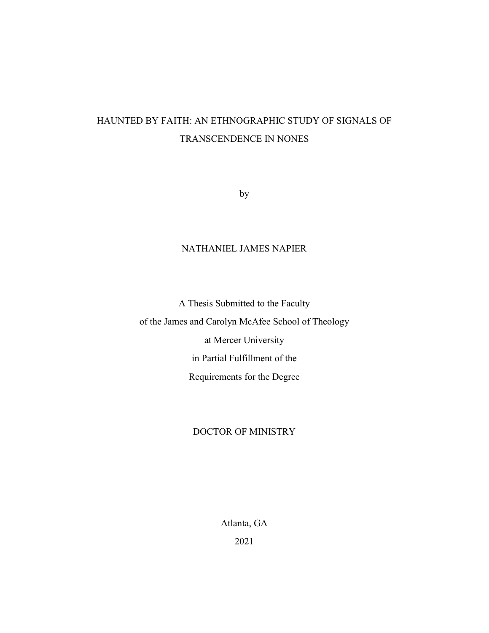# HAUNTED BY FAITH: AN ETHNOGRAPHIC STUDY OF SIGNALS OF TRANSCENDENCE IN NONES

by

# NATHANIEL JAMES NAPIER

A Thesis Submitted to the Faculty of the James and Carolyn McAfee School of Theology at Mercer University in Partial Fulfillment of the Requirements for the Degree

# DOCTOR OF MINISTRY

Atlanta, GA 2021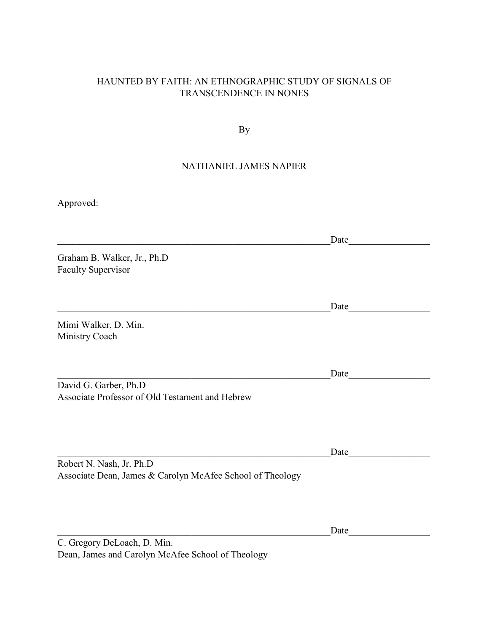# HAUNTED BY FAITH: AN ETHNOGRAPHIC STUDY OF SIGNALS OF TRANSCENDENCE IN NONES

By

# NATHANIEL JAMES NAPIER

Approved:

 $\text{Date}$ Graham B. Walker, Jr., Ph.D Faculty Supervisor  $\Box$  ate Mimi Walker, D. Min. Ministry Coach \_\_\_\_\_\_\_\_\_\_\_\_\_\_\_\_\_\_\_\_\_\_\_\_\_\_\_\_\_\_\_\_\_\_\_\_\_\_\_\_\_\_\_\_\_\_\_\_\_\_\_\_\_\_\_\_\_Date\_\_\_\_\_\_\_\_\_\_\_\_\_\_\_\_\_ David G. Garber, Ph.D Associate Professor of Old Testament and Hebrew Date and  $\Box$ Robert N. Nash, Jr. Ph.D Associate Dean, James & Carolyn McAfee School of Theology

\_\_\_\_\_\_\_\_\_\_\_\_\_\_\_\_\_\_\_\_\_\_\_\_\_\_\_\_\_\_\_\_\_\_\_\_\_\_\_\_\_\_\_\_\_\_\_\_\_\_\_\_\_\_\_\_\_Date\_\_\_\_\_\_\_\_\_\_\_\_\_\_\_\_\_

C. Gregory DeLoach, D. Min. Dean, James and Carolyn McAfee School of Theology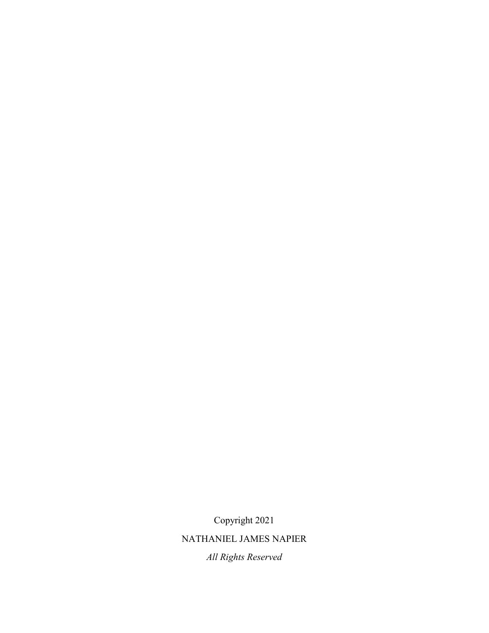Copyright 2021

NATHANIEL JAMES NAPIER

*All Rights Reserved*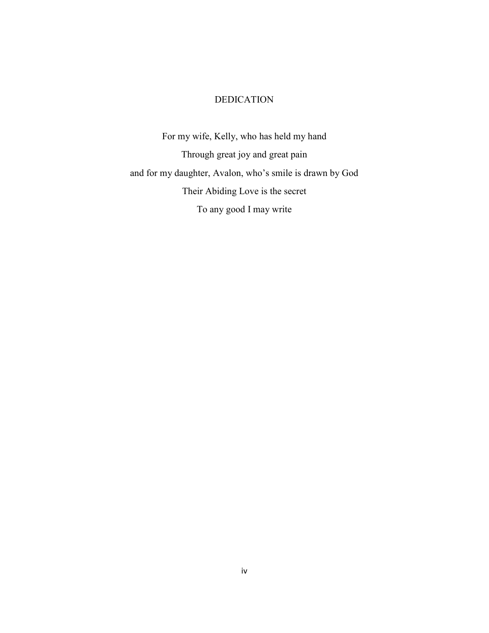### DEDICATION

For my wife, Kelly, who has held my hand Through great joy and great pain and for my daughter, Avalon, who's smile is drawn by God Their Abiding Love is the secret To any good I may write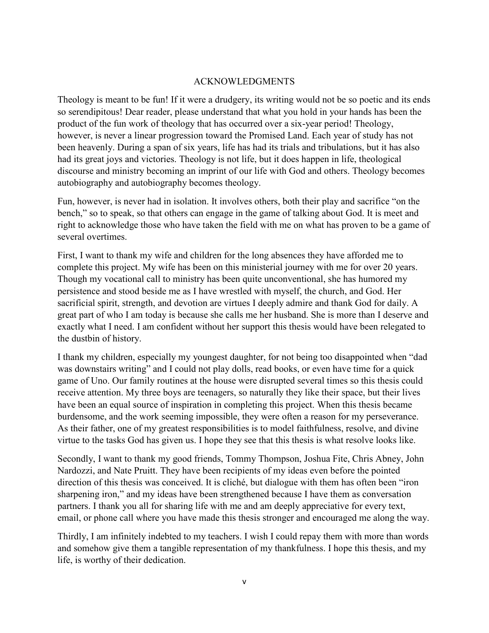# ACKNOWLEDGMENTS

Theology is meant to be fun! If it were a drudgery, its writing would not be so poetic and its ends so serendipitous! Dear reader, please understand that what you hold in your hands has been the product of the fun work of theology that has occurred over a six-year period! Theology, however, is never a linear progression toward the Promised Land. Each year of study has not been heavenly. During a span of six years, life has had its trials and tribulations, but it has also had its great joys and victories. Theology is not life, but it does happen in life, theological discourse and ministry becoming an imprint of our life with God and others. Theology becomes autobiography and autobiography becomes theology.

Fun, however, is never had in isolation. It involves others, both their play and sacrifice "on the bench," so to speak, so that others can engage in the game of talking about God. It is meet and right to acknowledge those who have taken the field with me on what has proven to be a game of several overtimes.

First, I want to thank my wife and children for the long absences they have afforded me to complete this project. My wife has been on this ministerial journey with me for over 20 years. Though my vocational call to ministry has been quite unconventional, she has humored my persistence and stood beside me as I have wrestled with myself, the church, and God. Her sacrificial spirit, strength, and devotion are virtues I deeply admire and thank God for daily. A great part of who I am today is because she calls me her husband. She is more than I deserve and exactly what I need. I am confident without her support this thesis would have been relegated to the dustbin of history.

I thank my children, especially my youngest daughter, for not being too disappointed when "dad was downstairs writing" and I could not play dolls, read books, or even have time for a quick game of Uno. Our family routines at the house were disrupted several times so this thesis could receive attention. My three boys are teenagers, so naturally they like their space, but their lives have been an equal source of inspiration in completing this project. When this thesis became burdensome, and the work seeming impossible, they were often a reason for my perseverance. As their father, one of my greatest responsibilities is to model faithfulness, resolve, and divine virtue to the tasks God has given us. I hope they see that this thesis is what resolve looks like.

Secondly, I want to thank my good friends, Tommy Thompson, Joshua Fite, Chris Abney, John Nardozzi, and Nate Pruitt. They have been recipients of my ideas even before the pointed direction of this thesis was conceived. It is cliché, but dialogue with them has often been "iron sharpening iron," and my ideas have been strengthened because I have them as conversation partners. I thank you all for sharing life with me and am deeply appreciative for every text, email, or phone call where you have made this thesis stronger and encouraged me along the way.

Thirdly, I am infinitely indebted to my teachers. I wish I could repay them with more than words and somehow give them a tangible representation of my thankfulness. I hope this thesis, and my life, is worthy of their dedication.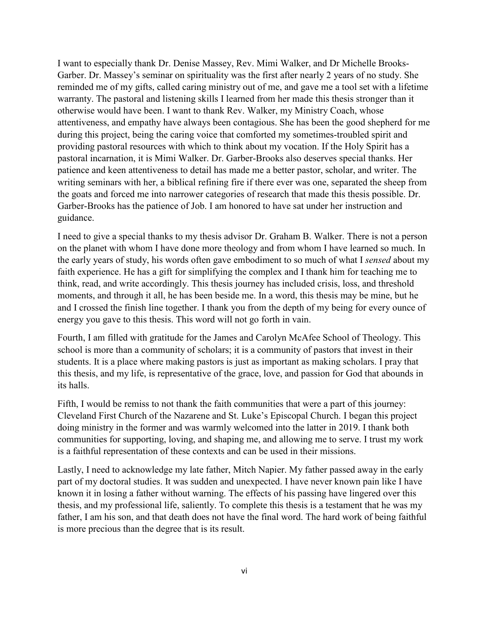I want to especially thank Dr. Denise Massey, Rev. Mimi Walker, and Dr Michelle Brooks-Garber. Dr. Massey's seminar on spirituality was the first after nearly 2 years of no study. She reminded me of my gifts, called caring ministry out of me, and gave me a tool set with a lifetime warranty. The pastoral and listening skills I learned from her made this thesis stronger than it otherwise would have been. I want to thank Rev. Walker, my Ministry Coach, whose attentiveness, and empathy have always been contagious. She has been the good shepherd for me during this project, being the caring voice that comforted my sometimes-troubled spirit and providing pastoral resources with which to think about my vocation. If the Holy Spirit has a pastoral incarnation, it is Mimi Walker. Dr. Garber-Brooks also deserves special thanks. Her patience and keen attentiveness to detail has made me a better pastor, scholar, and writer. The writing seminars with her, a biblical refining fire if there ever was one, separated the sheep from the goats and forced me into narrower categories of research that made this thesis possible. Dr. Garber-Brooks has the patience of Job. I am honored to have sat under her instruction and guidance.

I need to give a special thanks to my thesis advisor Dr. Graham B. Walker. There is not a person on the planet with whom I have done more theology and from whom I have learned so much. In the early years of study, his words often gave embodiment to so much of what I *sensed* about my faith experience. He has a gift for simplifying the complex and I thank him for teaching me to think, read, and write accordingly. This thesis journey has included crisis, loss, and threshold moments, and through it all, he has been beside me. In a word, this thesis may be mine, but he and I crossed the finish line together. I thank you from the depth of my being for every ounce of energy you gave to this thesis. This word will not go forth in vain.

Fourth, I am filled with gratitude for the James and Carolyn McAfee School of Theology. This school is more than a community of scholars; it is a community of pastors that invest in their students. It is a place where making pastors is just as important as making scholars. I pray that this thesis, and my life, is representative of the grace, love, and passion for God that abounds in its halls.

Fifth, I would be remiss to not thank the faith communities that were a part of this journey: Cleveland First Church of the Nazarene and St. Luke's Episcopal Church. I began this project doing ministry in the former and was warmly welcomed into the latter in 2019. I thank both communities for supporting, loving, and shaping me, and allowing me to serve. I trust my work is a faithful representation of these contexts and can be used in their missions.

Lastly, I need to acknowledge my late father, Mitch Napier. My father passed away in the early part of my doctoral studies. It was sudden and unexpected. I have never known pain like I have known it in losing a father without warning. The effects of his passing have lingered over this thesis, and my professional life, saliently. To complete this thesis is a testament that he was my father, I am his son, and that death does not have the final word. The hard work of being faithful is more precious than the degree that is its result.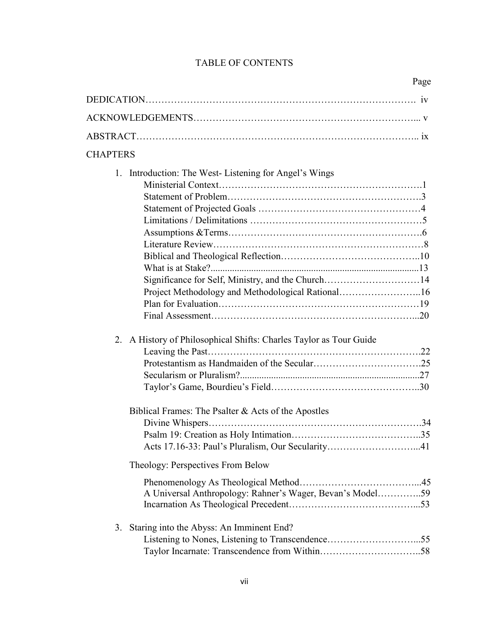# TABLE OF CONTENTS

| Page                                                                                                                                                                        |
|-----------------------------------------------------------------------------------------------------------------------------------------------------------------------------|
|                                                                                                                                                                             |
|                                                                                                                                                                             |
|                                                                                                                                                                             |
| <b>CHAPTERS</b>                                                                                                                                                             |
| Introduction: The West-Listening for Angel's Wings<br>$1_{\cdot}$<br>Significance for Self, Ministry, and the Church14<br>Project Methodology and Methodological Rational16 |
| 2. A History of Philosophical Shifts: Charles Taylor as Tour Guide                                                                                                          |
| Biblical Frames: The Psalter & Acts of the Apostles                                                                                                                         |
| Theology: Perspectives From Below<br>A Universal Anthropology: Rahner's Wager, Bevan's Model59                                                                              |
| Staring into the Abyss: An Imminent End?<br>3.                                                                                                                              |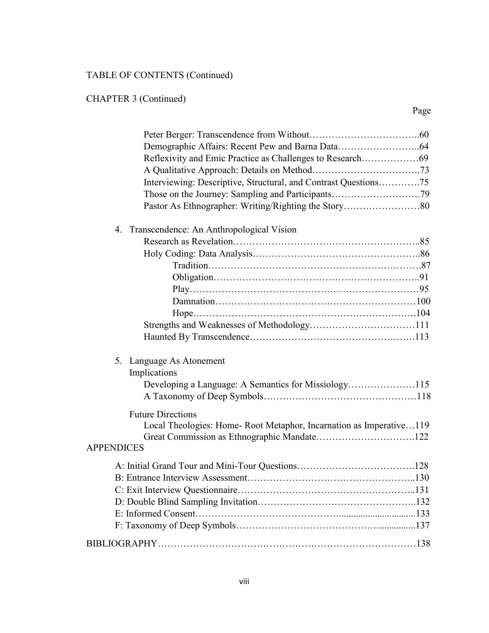# TABLE OF CONTENTS (Continued)

CHAPTER 3 (Continued)

| Interviewing: Descriptive, Structural, and Contrast Questions75                                                     |  |
|---------------------------------------------------------------------------------------------------------------------|--|
|                                                                                                                     |  |
|                                                                                                                     |  |
| 4. Transcendence: An Anthropological Vision                                                                         |  |
|                                                                                                                     |  |
|                                                                                                                     |  |
|                                                                                                                     |  |
|                                                                                                                     |  |
|                                                                                                                     |  |
|                                                                                                                     |  |
|                                                                                                                     |  |
|                                                                                                                     |  |
|                                                                                                                     |  |
| 5. Language As Atonement<br>Implications                                                                            |  |
|                                                                                                                     |  |
| <b>Future Directions</b><br>Local Theologies: Home-Root Metaphor, Incarnation as Imperative119<br><b>APPENDICES</b> |  |
|                                                                                                                     |  |
|                                                                                                                     |  |
|                                                                                                                     |  |
|                                                                                                                     |  |
|                                                                                                                     |  |
|                                                                                                                     |  |
|                                                                                                                     |  |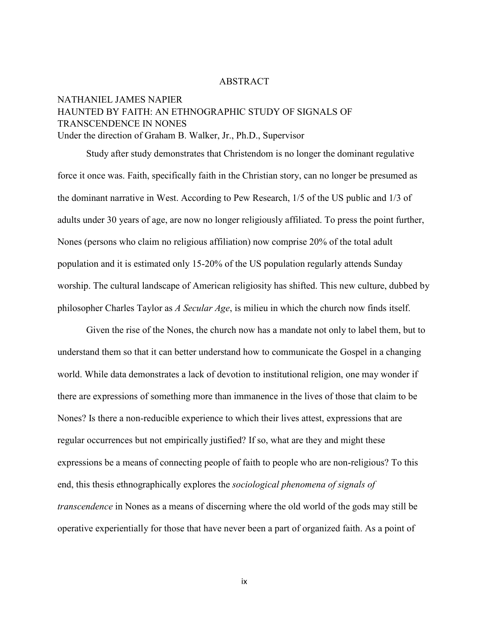#### ABSTRACT

# NATHANIEL JAMES NAPIER HAUNTED BY FAITH: AN ETHNOGRAPHIC STUDY OF SIGNALS OF TRANSCENDENCE IN NONES Under the direction of Graham B. Walker, Jr., Ph.D., Supervisor

 Study after study demonstrates that Christendom is no longer the dominant regulative force it once was. Faith, specifically faith in the Christian story, can no longer be presumed as the dominant narrative in West. According to Pew Research, 1/5 of the US public and 1/3 of adults under 30 years of age, are now no longer religiously affiliated. To press the point further, Nones (persons who claim no religious affiliation) now comprise 20% of the total adult population and it is estimated only 15-20% of the US population regularly attends Sunday worship. The cultural landscape of American religiosity has shifted. This new culture, dubbed by philosopher Charles Taylor as *A Secular Age*, is milieu in which the church now finds itself.

 Given the rise of the Nones, the church now has a mandate not only to label them, but to understand them so that it can better understand how to communicate the Gospel in a changing world. While data demonstrates a lack of devotion to institutional religion, one may wonder if there are expressions of something more than immanence in the lives of those that claim to be Nones? Is there a non-reducible experience to which their lives attest, expressions that are regular occurrences but not empirically justified? If so, what are they and might these expressions be a means of connecting people of faith to people who are non-religious? To this end, this thesis ethnographically explores the *sociological phenomena of signals of transcendence* in Nones as a means of discerning where the old world of the gods may still be operative experientially for those that have never been a part of organized faith. As a point of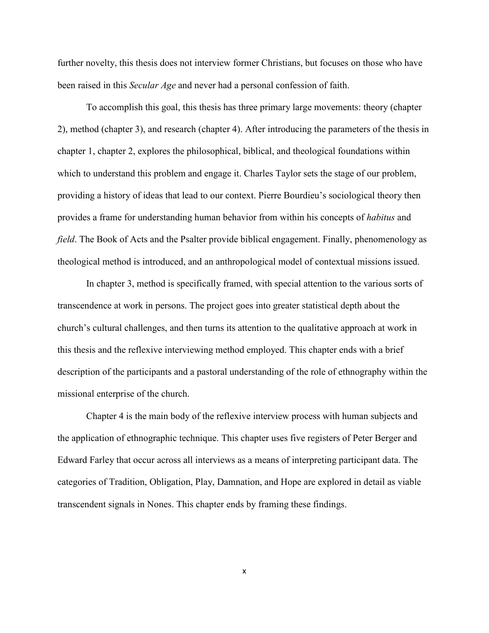further novelty, this thesis does not interview former Christians, but focuses on those who have been raised in this *Secular Age* and never had a personal confession of faith.

 To accomplish this goal, this thesis has three primary large movements: theory (chapter 2), method (chapter 3), and research (chapter 4). After introducing the parameters of the thesis in chapter 1, chapter 2, explores the philosophical, biblical, and theological foundations within which to understand this problem and engage it. Charles Taylor sets the stage of our problem, providing a history of ideas that lead to our context. Pierre Bourdieu's sociological theory then provides a frame for understanding human behavior from within his concepts of *habitus* and *field*. The Book of Acts and the Psalter provide biblical engagement. Finally, phenomenology as theological method is introduced, and an anthropological model of contextual missions issued.

 In chapter 3, method is specifically framed, with special attention to the various sorts of transcendence at work in persons. The project goes into greater statistical depth about the church's cultural challenges, and then turns its attention to the qualitative approach at work in this thesis and the reflexive interviewing method employed. This chapter ends with a brief description of the participants and a pastoral understanding of the role of ethnography within the missional enterprise of the church.

 Chapter 4 is the main body of the reflexive interview process with human subjects and the application of ethnographic technique. This chapter uses five registers of Peter Berger and Edward Farley that occur across all interviews as a means of interpreting participant data. The categories of Tradition, Obligation, Play, Damnation, and Hope are explored in detail as viable transcendent signals in Nones. This chapter ends by framing these findings.

x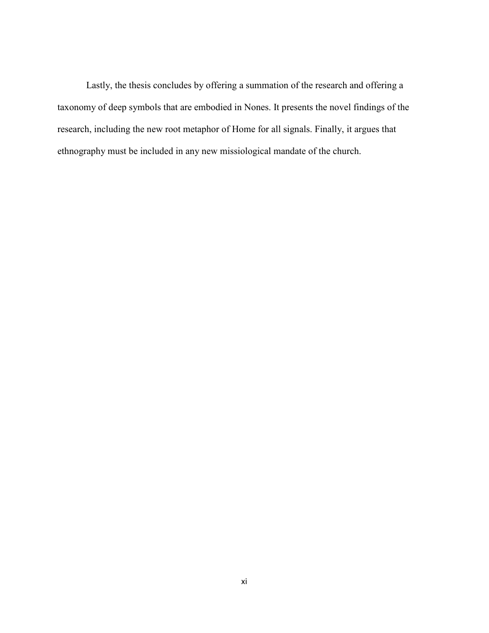Lastly, the thesis concludes by offering a summation of the research and offering a taxonomy of deep symbols that are embodied in Nones. It presents the novel findings of the research, including the new root metaphor of Home for all signals. Finally, it argues that ethnography must be included in any new missiological mandate of the church.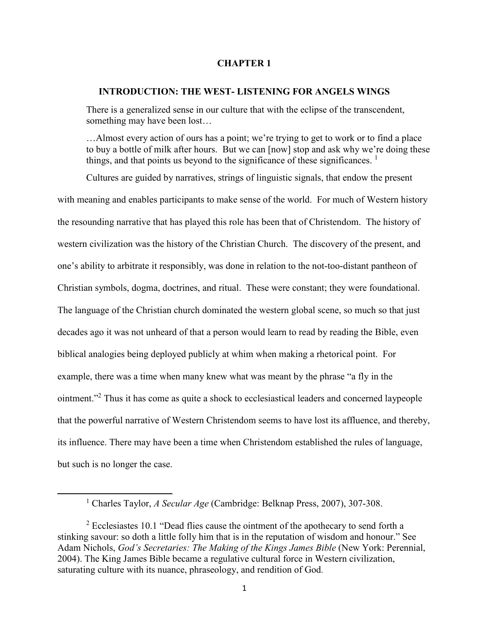#### **CHAPTER 1**

#### **INTRODUCTION: THE WEST- LISTENING FOR ANGELS WINGS**

There is a generalized sense in our culture that with the eclipse of the transcendent, something may have been lost…

…Almost every action of ours has a point; we're trying to get to work or to find a place to buy a bottle of milk after hours. But we can [now] stop and ask why we're doing these things, and that points us beyond to the significance of these significances.  $\frac{1}{1}$ 

Cultures are guided by narratives, strings of linguistic signals, that endow the present with meaning and enables participants to make sense of the world. For much of Western history the resounding narrative that has played this role has been that of Christendom. The history of western civilization was the history of the Christian Church. The discovery of the present, and one's ability to arbitrate it responsibly, was done in relation to the not-too-distant pantheon of Christian symbols, dogma, doctrines, and ritual. These were constant; they were foundational. The language of the Christian church dominated the western global scene, so much so that just decades ago it was not unheard of that a person would learn to read by reading the Bible, even biblical analogies being deployed publicly at whim when making a rhetorical point. For example, there was a time when many knew what was meant by the phrase "a fly in the ointment."<sup>2</sup> Thus it has come as quite a shock to ecclesiastical leaders and concerned laypeople that the powerful narrative of Western Christendom seems to have lost its affluence, and thereby, its influence. There may have been a time when Christendom established the rules of language, but such is no longer the case.

 $\overline{a}$ 

<sup>&</sup>lt;sup>1</sup> Charles Taylor, *A Secular Age* (Cambridge: Belknap Press, 2007), 307-308.

<sup>&</sup>lt;sup>2</sup> Ecclesiastes 10.1 "Dead flies cause the ointment of the apothecary to send forth a stinking savour: so doth a little folly him that is in the reputation of wisdom and honour." See Adam Nichols, *God's Secretaries: The Making of the Kings James Bible* (New York: Perennial, 2004). The King James Bible became a regulative cultural force in Western civilization, saturating culture with its nuance, phraseology, and rendition of God.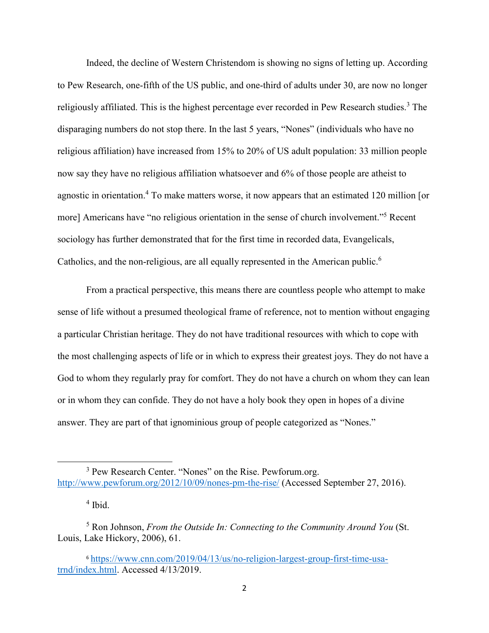Indeed, the decline of Western Christendom is showing no signs of letting up. According to Pew Research, one-fifth of the US public, and one-third of adults under 30, are now no longer religiously affiliated. This is the highest percentage ever recorded in Pew Research studies.<sup>3</sup> The disparaging numbers do not stop there. In the last 5 years, "Nones" (individuals who have no religious affiliation) have increased from 15% to 20% of US adult population: 33 million people now say they have no religious affiliation whatsoever and 6% of those people are atheist to agnostic in orientation.<sup>4</sup> To make matters worse, it now appears that an estimated 120 million [or more] Americans have "no religious orientation in the sense of church involvement."<sup>5</sup> Recent sociology has further demonstrated that for the first time in recorded data, Evangelicals, Catholics, and the non-religious, are all equally represented in the American public.<sup>6</sup>

From a practical perspective, this means there are countless people who attempt to make sense of life without a presumed theological frame of reference, not to mention without engaging a particular Christian heritage. They do not have traditional resources with which to cope with the most challenging aspects of life or in which to express their greatest joys. They do not have a God to whom they regularly pray for comfort. They do not have a church on whom they can lean or in whom they can confide. They do not have a holy book they open in hopes of a divine answer. They are part of that ignominious group of people categorized as "Nones."

 $\overline{a}$ 

<sup>&</sup>lt;sup>3</sup> Pew Research Center. "Nones" on the Rise. Pewforum.org. http://www.pewforum.org/2012/10/09/nones-pm-the-rise/ (Accessed September 27, 2016).

<sup>4</sup> Ibid.

<sup>5</sup> Ron Johnson, *From the Outside In: Connecting to the Community Around You* (St. Louis, Lake Hickory, 2006), 61.

<sup>6</sup> https://www.cnn.com/2019/04/13/us/no-religion-largest-group-first-time-usatrnd/index.html. Accessed 4/13/2019.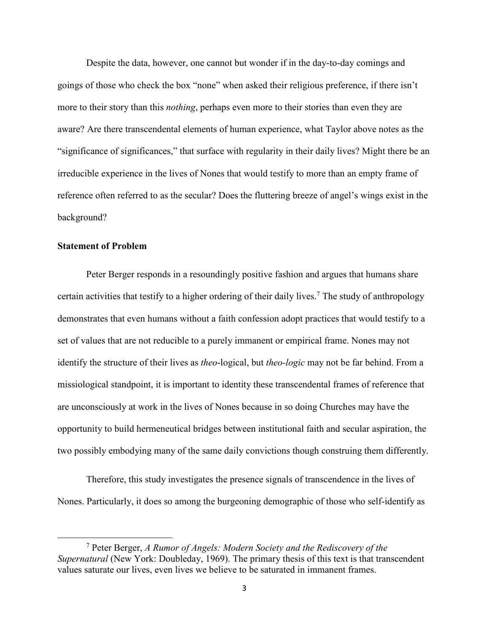Despite the data, however, one cannot but wonder if in the day-to-day comings and goings of those who check the box "none" when asked their religious preference, if there isn't more to their story than this *nothing*, perhaps even more to their stories than even they are aware? Are there transcendental elements of human experience, what Taylor above notes as the "significance of significances," that surface with regularity in their daily lives? Might there be an irreducible experience in the lives of Nones that would testify to more than an empty frame of reference often referred to as the secular? Does the fluttering breeze of angel's wings exist in the background?

### **Statement of Problem**

l

Peter Berger responds in a resoundingly positive fashion and argues that humans share certain activities that testify to a higher ordering of their daily lives.<sup>7</sup> The study of anthropology demonstrates that even humans without a faith confession adopt practices that would testify to a set of values that are not reducible to a purely immanent or empirical frame. Nones may not identify the structure of their lives as *theo*-logical, but *theo-logic* may not be far behind. From a missiological standpoint, it is important to identity these transcendental frames of reference that are unconsciously at work in the lives of Nones because in so doing Churches may have the opportunity to build hermeneutical bridges between institutional faith and secular aspiration, the two possibly embodying many of the same daily convictions though construing them differently.

Therefore, this study investigates the presence signals of transcendence in the lives of Nones. Particularly, it does so among the burgeoning demographic of those who self-identify as

<sup>7</sup> Peter Berger, *A Rumor of Angels: Modern Society and the Rediscovery of the Supernatural* (New York: Doubleday, 1969). The primary thesis of this text is that transcendent values saturate our lives, even lives we believe to be saturated in immanent frames.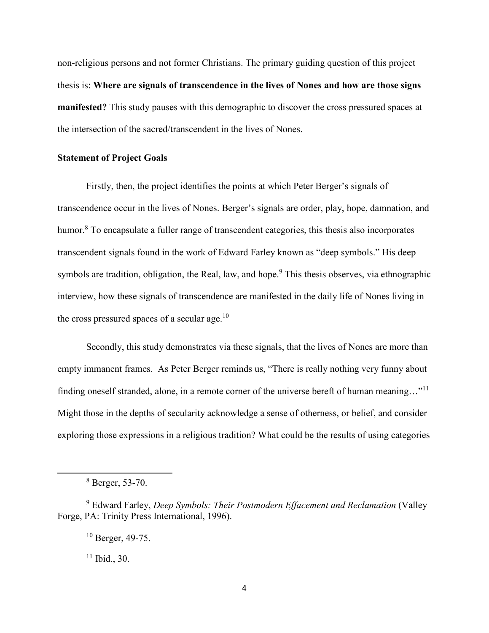non-religious persons and not former Christians. The primary guiding question of this project thesis is: **Where are signals of transcendence in the lives of Nones and how are those signs manifested?** This study pauses with this demographic to discover the cross pressured spaces at the intersection of the sacred/transcendent in the lives of Nones.

# **Statement of Project Goals**

Firstly, then, the project identifies the points at which Peter Berger's signals of transcendence occur in the lives of Nones. Berger's signals are order, play, hope, damnation, and humor.<sup>8</sup> To encapsulate a fuller range of transcendent categories, this thesis also incorporates transcendent signals found in the work of Edward Farley known as "deep symbols." His deep symbols are tradition, obligation, the Real, law, and hope.<sup>9</sup> This thesis observes, via ethnographic interview, how these signals of transcendence are manifested in the daily life of Nones living in the cross pressured spaces of a secular age.<sup>10</sup>

Secondly, this study demonstrates via these signals, that the lives of Nones are more than empty immanent frames. As Peter Berger reminds us, "There is really nothing very funny about finding oneself stranded, alone, in a remote corner of the universe bereft of human meaning..."<sup>11</sup> Might those in the depths of secularity acknowledge a sense of otherness, or belief, and consider exploring those expressions in a religious tradition? What could be the results of using categories

l

 $11$  Ibid., 30.

<sup>8</sup> Berger, 53-70.

<sup>9</sup> Edward Farley, *Deep Symbols: Their Postmodern Effacement and Reclamation* (Valley Forge, PA: Trinity Press International, 1996).

<sup>10</sup> Berger, 49-75.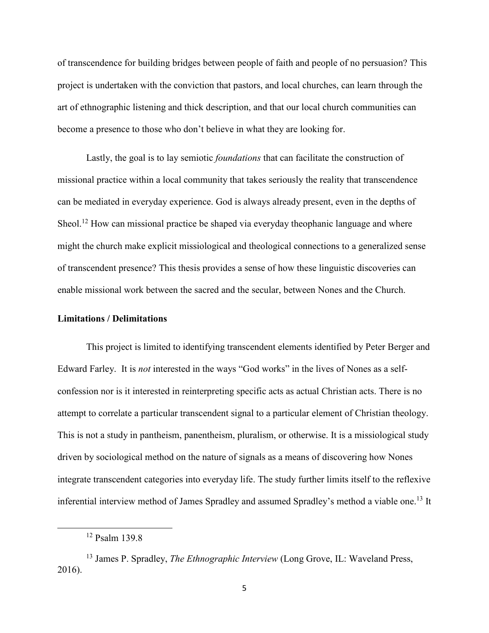of transcendence for building bridges between people of faith and people of no persuasion? This project is undertaken with the conviction that pastors, and local churches, can learn through the art of ethnographic listening and thick description, and that our local church communities can become a presence to those who don't believe in what they are looking for.

Lastly, the goal is to lay semiotic *foundations* that can facilitate the construction of missional practice within a local community that takes seriously the reality that transcendence can be mediated in everyday experience. God is always already present, even in the depths of Sheol.<sup>12</sup> How can missional practice be shaped via everyday theophanic language and where might the church make explicit missiological and theological connections to a generalized sense of transcendent presence? This thesis provides a sense of how these linguistic discoveries can enable missional work between the sacred and the secular, between Nones and the Church.

#### **Limitations / Delimitations**

This project is limited to identifying transcendent elements identified by Peter Berger and Edward Farley. It is *not* interested in the ways "God works" in the lives of Nones as a selfconfession nor is it interested in reinterpreting specific acts as actual Christian acts. There is no attempt to correlate a particular transcendent signal to a particular element of Christian theology. This is not a study in pantheism, panentheism, pluralism, or otherwise. It is a missiological study driven by sociological method on the nature of signals as a means of discovering how Nones integrate transcendent categories into everyday life. The study further limits itself to the reflexive inferential interview method of James Spradley and assumed Spradley's method a viable one.<sup>13</sup> It

l

<sup>12</sup> Psalm 139.8

<sup>13</sup> James P. Spradley, *The Ethnographic Interview* (Long Grove, IL: Waveland Press, 2016).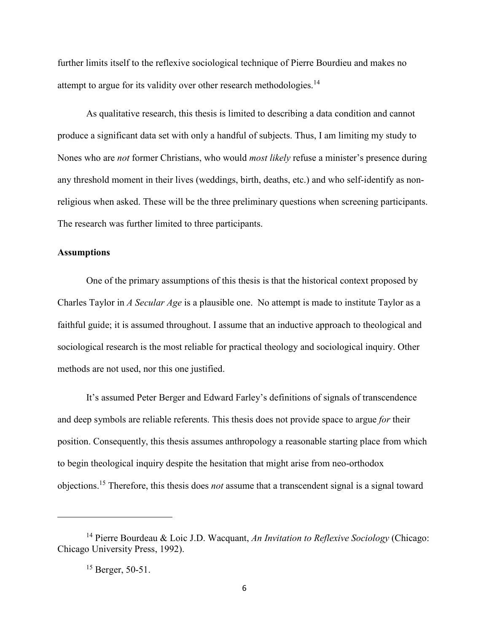further limits itself to the reflexive sociological technique of Pierre Bourdieu and makes no attempt to argue for its validity over other research methodologies.<sup>14</sup>

As qualitative research, this thesis is limited to describing a data condition and cannot produce a significant data set with only a handful of subjects. Thus, I am limiting my study to Nones who are *not* former Christians, who would *most likely* refuse a minister's presence during any threshold moment in their lives (weddings, birth, deaths, etc.) and who self-identify as nonreligious when asked. These will be the three preliminary questions when screening participants. The research was further limited to three participants.

#### **Assumptions**

One of the primary assumptions of this thesis is that the historical context proposed by Charles Taylor in *A Secular Age* is a plausible one. No attempt is made to institute Taylor as a faithful guide; it is assumed throughout. I assume that an inductive approach to theological and sociological research is the most reliable for practical theology and sociological inquiry. Other methods are not used, nor this one justified.

It's assumed Peter Berger and Edward Farley's definitions of signals of transcendence and deep symbols are reliable referents. This thesis does not provide space to argue *for* their position. Consequently, this thesis assumes anthropology a reasonable starting place from which to begin theological inquiry despite the hesitation that might arise from neo-orthodox objections.<sup>15</sup> Therefore, this thesis does *not* assume that a transcendent signal is a signal toward

 $\overline{a}$ 

<sup>14</sup> Pierre Bourdeau & Loic J.D. Wacquant, *An Invitation to Reflexive Sociology* (Chicago: Chicago University Press, 1992).

 $15$  Berger, 50-51.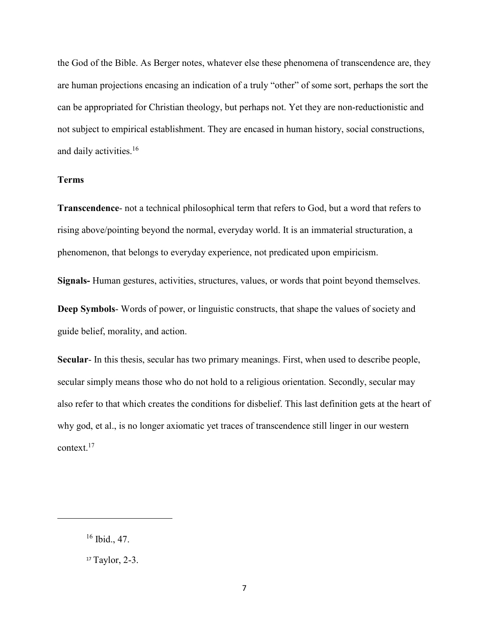the God of the Bible. As Berger notes, whatever else these phenomena of transcendence are, they are human projections encasing an indication of a truly "other" of some sort, perhaps the sort the can be appropriated for Christian theology, but perhaps not. Yet they are non-reductionistic and not subject to empirical establishment. They are encased in human history, social constructions, and daily activities.<sup>16</sup>

#### **Terms**

**Transcendence**- not a technical philosophical term that refers to God, but a word that refers to rising above/pointing beyond the normal, everyday world. It is an immaterial structuration, a phenomenon, that belongs to everyday experience, not predicated upon empiricism.

**Signals-** Human gestures, activities, structures, values, or words that point beyond themselves.

**Deep Symbols**- Words of power, or linguistic constructs, that shape the values of society and guide belief, morality, and action.

**Secular**- In this thesis, secular has two primary meanings. First, when used to describe people, secular simply means those who do not hold to a religious orientation. Secondly, secular may also refer to that which creates the conditions for disbelief. This last definition gets at the heart of why god, et al., is no longer axiomatic yet traces of transcendence still linger in our western context.<sup>17</sup>

 $\overline{\phantom{0}}$ 

<sup>16</sup> Ibid., 47.

<sup>17</sup> Taylor, 2-3.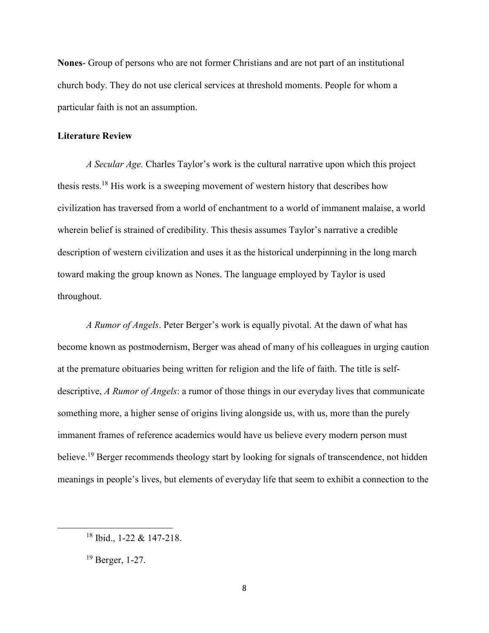**Nones**- Group of persons who are not former Christians and are not part of an institutional church body. They do not use clerical services at threshold moments. People for whom a particular faith is not an assumption.

#### **Literature Review**

*A Secular Age.* Charles Taylor's work is the cultural narrative upon which this project thesis rests.<sup>18</sup> His work is a sweeping movement of western history that describes how civilization has traversed from a world of enchantment to a world of immanent malaise, a world wherein belief is strained of credibility. This thesis assumes Taylor's narrative a credible description of western civilization and uses it as the historical underpinning in the long march toward making the group known as Nones. The language employed by Taylor is used throughout.

*A Rumor of Angels*. Peter Berger's work is equally pivotal. At the dawn of what has become known as postmodernism, Berger was ahead of many of his colleagues in urging caution at the premature obituaries being written for religion and the life of faith. The title is selfdescriptive, *A Rumor of Angels*: a rumor of those things in our everyday lives that communicate something more, a higher sense of origins living alongside us, with us, more than the purely immanent frames of reference academics would have us believe every modern person must believe.<sup>19</sup> Berger recommends theology start by looking for signals of transcendence, not hidden meanings in people's lives, but elements of everyday life that seem to exhibit a connection to the

l

<sup>18</sup> Ibid., 1-22 & 147-218.

<sup>19</sup> Berger, 1-27.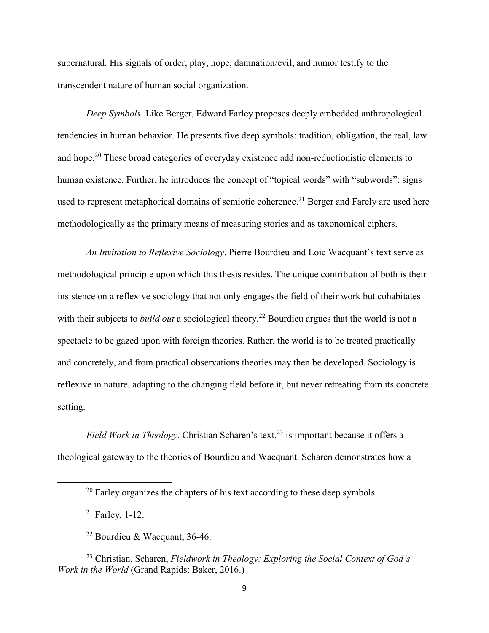supernatural. His signals of order, play, hope, damnation/evil, and humor testify to the transcendent nature of human social organization.

*Deep Symbols*. Like Berger, Edward Farley proposes deeply embedded anthropological tendencies in human behavior. He presents five deep symbols: tradition, obligation, the real, law and hope.<sup>20</sup> These broad categories of everyday existence add non-reductionistic elements to human existence. Further, he introduces the concept of "topical words" with "subwords": signs used to represent metaphorical domains of semiotic coherence.<sup>21</sup> Berger and Farely are used here methodologically as the primary means of measuring stories and as taxonomical ciphers.

*An Invitation to Reflexive Sociology*. Pierre Bourdieu and Loic Wacquant's text serve as methodological principle upon which this thesis resides. The unique contribution of both is their insistence on a reflexive sociology that not only engages the field of their work but cohabitates with their subjects to *build out* a sociological theory.<sup>22</sup> Bourdieu argues that the world is not a spectacle to be gazed upon with foreign theories. Rather, the world is to be treated practically and concretely, and from practical observations theories may then be developed. Sociology is reflexive in nature, adapting to the changing field before it, but never retreating from its concrete setting.

*Field Work in Theology.* Christian Scharen's text,<sup>23</sup> is important because it offers a theological gateway to the theories of Bourdieu and Wacquant. Scharen demonstrates how a

l

 $20$  Farley organizes the chapters of his text according to these deep symbols.

 $21$  Farley, 1-12.

 $22$  Bourdieu & Wacquant, 36-46.

<sup>23</sup> Christian, Scharen, *Fieldwork in Theology: Exploring the Social Context of God's Work in the World* (Grand Rapids: Baker, 2016.)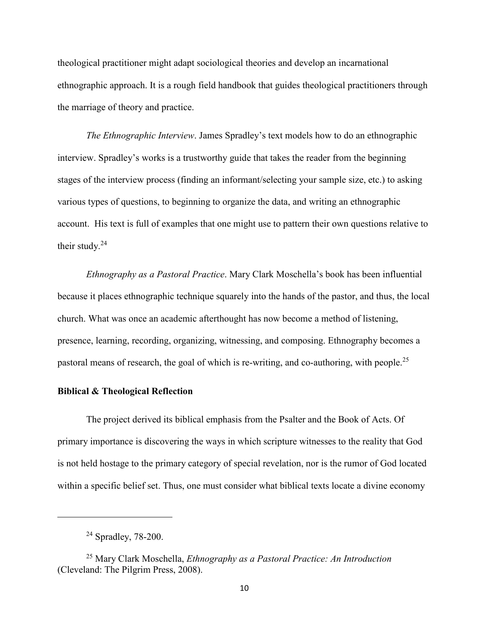theological practitioner might adapt sociological theories and develop an incarnational ethnographic approach. It is a rough field handbook that guides theological practitioners through the marriage of theory and practice.

*The Ethnographic Interview*. James Spradley's text models how to do an ethnographic interview. Spradley's works is a trustworthy guide that takes the reader from the beginning stages of the interview process (finding an informant/selecting your sample size, etc.) to asking various types of questions, to beginning to organize the data, and writing an ethnographic account. His text is full of examples that one might use to pattern their own questions relative to their study. $24$ 

*Ethnography as a Pastoral Practice*. Mary Clark Moschella's book has been influential because it places ethnographic technique squarely into the hands of the pastor, and thus, the local church. What was once an academic afterthought has now become a method of listening, presence, learning, recording, organizing, witnessing, and composing. Ethnography becomes a pastoral means of research, the goal of which is re-writing, and co-authoring, with people.<sup>25</sup>

# **Biblical & Theological Reflection**

The project derived its biblical emphasis from the Psalter and the Book of Acts. Of primary importance is discovering the ways in which scripture witnesses to the reality that God is not held hostage to the primary category of special revelation, nor is the rumor of God located within a specific belief set. Thus, one must consider what biblical texts locate a divine economy

 $\overline{a}$ 

<sup>24</sup> Spradley, 78-200.

<sup>25</sup> Mary Clark Moschella, *Ethnography as a Pastoral Practice: An Introduction* (Cleveland: The Pilgrim Press, 2008).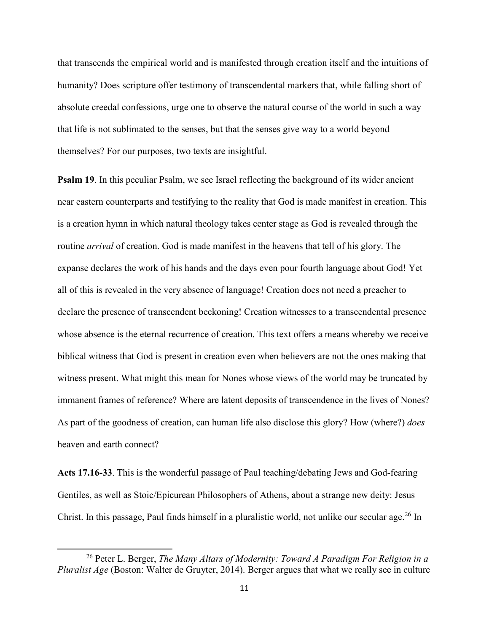that transcends the empirical world and is manifested through creation itself and the intuitions of humanity? Does scripture offer testimony of transcendental markers that, while falling short of absolute creedal confessions, urge one to observe the natural course of the world in such a way that life is not sublimated to the senses, but that the senses give way to a world beyond themselves? For our purposes, two texts are insightful.

**Psalm 19.** In this peculiar Psalm, we see Israel reflecting the background of its wider ancient near eastern counterparts and testifying to the reality that God is made manifest in creation. This is a creation hymn in which natural theology takes center stage as God is revealed through the routine *arrival* of creation. God is made manifest in the heavens that tell of his glory. The expanse declares the work of his hands and the days even pour fourth language about God! Yet all of this is revealed in the very absence of language! Creation does not need a preacher to declare the presence of transcendent beckoning! Creation witnesses to a transcendental presence whose absence is the eternal recurrence of creation. This text offers a means whereby we receive biblical witness that God is present in creation even when believers are not the ones making that witness present. What might this mean for Nones whose views of the world may be truncated by immanent frames of reference? Where are latent deposits of transcendence in the lives of Nones? As part of the goodness of creation, can human life also disclose this glory? How (where?) *does* heaven and earth connect?

**Acts 17.16-33**. This is the wonderful passage of Paul teaching/debating Jews and God-fearing Gentiles, as well as Stoic/Epicurean Philosophers of Athens, about a strange new deity: Jesus Christ. In this passage, Paul finds himself in a pluralistic world, not unlike our secular age.<sup>26</sup> In

 $\overline{\phantom{0}}$ 

<sup>26</sup> Peter L. Berger, *The Many Altars of Modernity: Toward A Paradigm For Religion in a Pluralist Age* (Boston: Walter de Gruyter, 2014). Berger argues that what we really see in culture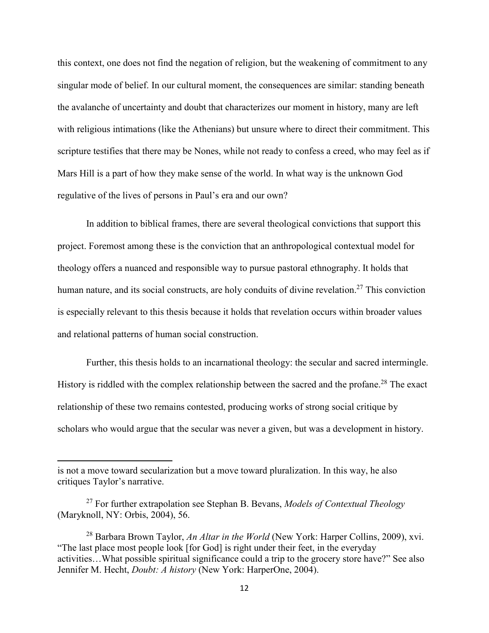this context, one does not find the negation of religion, but the weakening of commitment to any singular mode of belief. In our cultural moment, the consequences are similar: standing beneath the avalanche of uncertainty and doubt that characterizes our moment in history, many are left with religious intimations (like the Athenians) but unsure where to direct their commitment. This scripture testifies that there may be Nones, while not ready to confess a creed, who may feel as if Mars Hill is a part of how they make sense of the world. In what way is the unknown God regulative of the lives of persons in Paul's era and our own?

In addition to biblical frames, there are several theological convictions that support this project. Foremost among these is the conviction that an anthropological contextual model for theology offers a nuanced and responsible way to pursue pastoral ethnography. It holds that human nature, and its social constructs, are holy conduits of divine revelation.<sup>27</sup> This conviction is especially relevant to this thesis because it holds that revelation occurs within broader values and relational patterns of human social construction.

Further, this thesis holds to an incarnational theology: the secular and sacred intermingle. History is riddled with the complex relationship between the sacred and the profane.<sup>28</sup> The exact relationship of these two remains contested, producing works of strong social critique by scholars who would argue that the secular was never a given, but was a development in history.

 $\overline{a}$ 

is not a move toward secularization but a move toward pluralization. In this way, he also critiques Taylor's narrative.

<sup>27</sup> For further extrapolation see Stephan B. Bevans, *Models of Contextual Theology* (Maryknoll, NY: Orbis, 2004), 56.

<sup>28</sup> Barbara Brown Taylor, *An Altar in the World* (New York: Harper Collins, 2009), xvi. "The last place most people look [for God] is right under their feet, in the everyday activities…What possible spiritual significance could a trip to the grocery store have?" See also Jennifer M. Hecht, *Doubt: A history* (New York: HarperOne, 2004).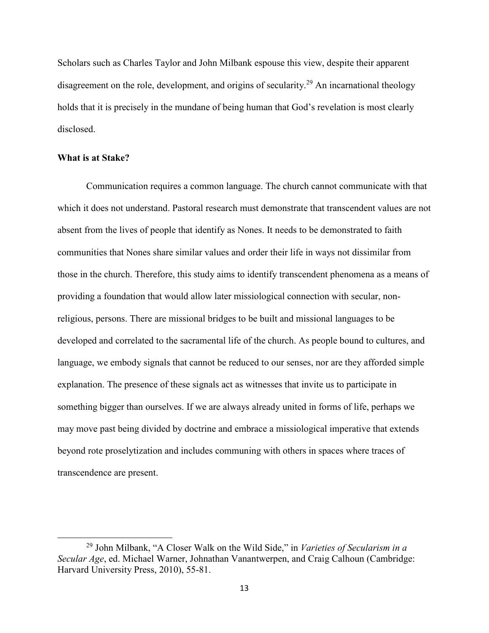Scholars such as Charles Taylor and John Milbank espouse this view, despite their apparent disagreement on the role, development, and origins of secularity.<sup>29</sup> An incarnational theology holds that it is precisely in the mundane of being human that God's revelation is most clearly disclosed.

#### **What is at Stake?**

l

Communication requires a common language. The church cannot communicate with that which it does not understand. Pastoral research must demonstrate that transcendent values are not absent from the lives of people that identify as Nones. It needs to be demonstrated to faith communities that Nones share similar values and order their life in ways not dissimilar from those in the church. Therefore, this study aims to identify transcendent phenomena as a means of providing a foundation that would allow later missiological connection with secular, nonreligious, persons. There are missional bridges to be built and missional languages to be developed and correlated to the sacramental life of the church. As people bound to cultures, and language, we embody signals that cannot be reduced to our senses, nor are they afforded simple explanation. The presence of these signals act as witnesses that invite us to participate in something bigger than ourselves. If we are always already united in forms of life, perhaps we may move past being divided by doctrine and embrace a missiological imperative that extends beyond rote proselytization and includes communing with others in spaces where traces of transcendence are present.

<sup>29</sup> John Milbank, "A Closer Walk on the Wild Side," in *Varieties of Secularism in a Secular Age*, ed. Michael Warner, Johnathan Vanantwerpen, and Craig Calhoun (Cambridge: Harvard University Press, 2010), 55-81.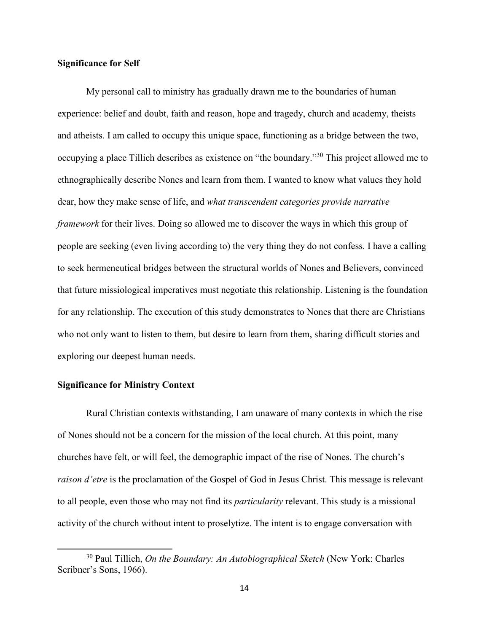#### **Significance for Self**

My personal call to ministry has gradually drawn me to the boundaries of human experience: belief and doubt, faith and reason, hope and tragedy, church and academy, theists and atheists. I am called to occupy this unique space, functioning as a bridge between the two, occupying a place Tillich describes as existence on "the boundary."<sup>30</sup> This project allowed me to ethnographically describe Nones and learn from them. I wanted to know what values they hold dear, how they make sense of life, and *what transcendent categories provide narrative framework* for their lives. Doing so allowed me to discover the ways in which this group of people are seeking (even living according to) the very thing they do not confess. I have a calling to seek hermeneutical bridges between the structural worlds of Nones and Believers, convinced that future missiological imperatives must negotiate this relationship. Listening is the foundation for any relationship. The execution of this study demonstrates to Nones that there are Christians who not only want to listen to them, but desire to learn from them, sharing difficult stories and exploring our deepest human needs.

#### **Significance for Ministry Context**

 $\overline{\phantom{0}}$ 

Rural Christian contexts withstanding, I am unaware of many contexts in which the rise of Nones should not be a concern for the mission of the local church. At this point, many churches have felt, or will feel, the demographic impact of the rise of Nones. The church's *raison d'etre* is the proclamation of the Gospel of God in Jesus Christ. This message is relevant to all people, even those who may not find its *particularity* relevant. This study is a missional activity of the church without intent to proselytize. The intent is to engage conversation with

<sup>30</sup> Paul Tillich, *On the Boundary: An Autobiographical Sketch* (New York: Charles Scribner's Sons, 1966).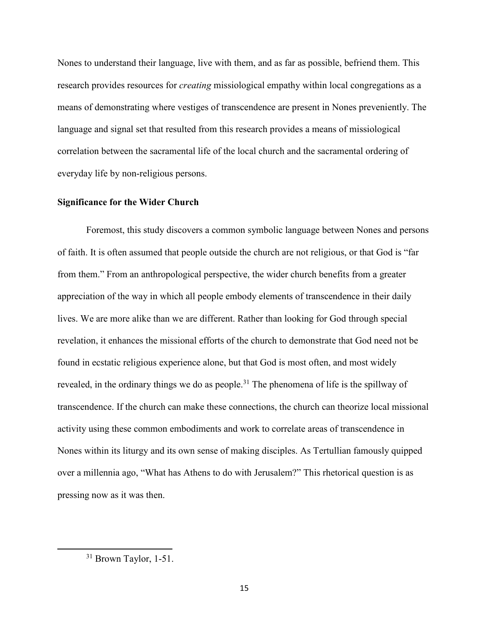Nones to understand their language, live with them, and as far as possible, befriend them. This research provides resources for *creating* missiological empathy within local congregations as a means of demonstrating where vestiges of transcendence are present in Nones preveniently. The language and signal set that resulted from this research provides a means of missiological correlation between the sacramental life of the local church and the sacramental ordering of everyday life by non-religious persons.

# **Significance for the Wider Church**

Foremost, this study discovers a common symbolic language between Nones and persons of faith. It is often assumed that people outside the church are not religious, or that God is "far from them." From an anthropological perspective, the wider church benefits from a greater appreciation of the way in which all people embody elements of transcendence in their daily lives. We are more alike than we are different. Rather than looking for God through special revelation, it enhances the missional efforts of the church to demonstrate that God need not be found in ecstatic religious experience alone, but that God is most often, and most widely revealed, in the ordinary things we do as people.<sup>31</sup> The phenomena of life is the spillway of transcendence. If the church can make these connections, the church can theorize local missional activity using these common embodiments and work to correlate areas of transcendence in Nones within its liturgy and its own sense of making disciples. As Tertullian famously quipped over a millennia ago, "What has Athens to do with Jerusalem?" This rhetorical question is as pressing now as it was then.

 $\overline{\phantom{0}}$ 

<sup>&</sup>lt;sup>31</sup> Brown Taylor, 1-51.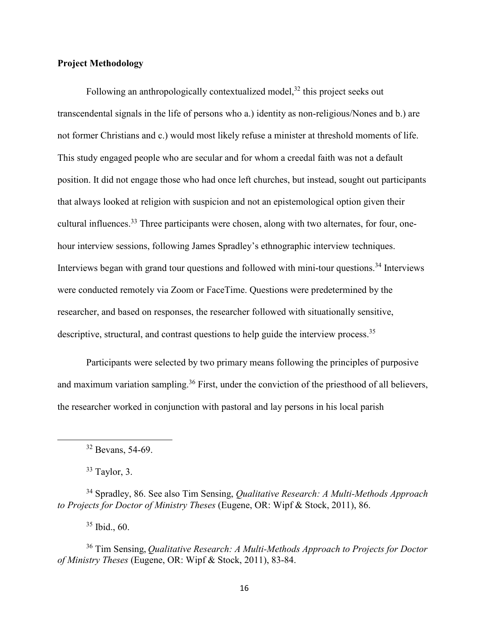#### **Project Methodology**

Following an anthropologically contextualized model,<sup>32</sup> this project seeks out transcendental signals in the life of persons who a.) identity as non-religious/Nones and b.) are not former Christians and c.) would most likely refuse a minister at threshold moments of life. This study engaged people who are secular and for whom a creedal faith was not a default position. It did not engage those who had once left churches, but instead, sought out participants that always looked at religion with suspicion and not an epistemological option given their cultural influences.<sup>33</sup> Three participants were chosen, along with two alternates, for four, onehour interview sessions, following James Spradley's ethnographic interview techniques. Interviews began with grand tour questions and followed with mini-tour questions.<sup>34</sup> Interviews were conducted remotely via Zoom or FaceTime. Questions were predetermined by the researcher, and based on responses, the researcher followed with situationally sensitive, descriptive, structural, and contrast questions to help guide the interview process.<sup>35</sup>

Participants were selected by two primary means following the principles of purposive and maximum variation sampling.<sup>36</sup> First, under the conviction of the priesthood of all believers, the researcher worked in conjunction with pastoral and lay persons in his local parish

 $\overline{\phantom{0}}$ 

 $35$  Ibid., 60.

<sup>32</sup> Bevans, 54-69.

 $33$  Taylor, 3.

<sup>34</sup> Spradley, 86. See also Tim Sensing, *Qualitative Research: A Multi-Methods Approach to Projects for Doctor of Ministry Theses* (Eugene, OR: Wipf & Stock, 2011), 86.

<sup>36</sup> Tim Sensing, *Qualitative Research: A Multi-Methods Approach to Projects for Doctor of Ministry Theses* (Eugene, OR: Wipf & Stock, 2011), 83-84.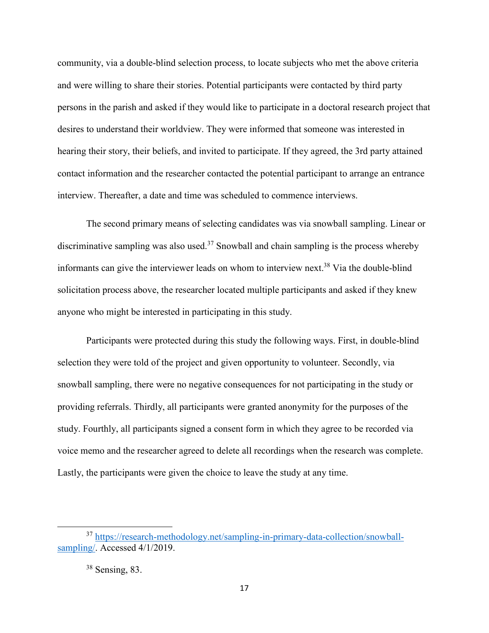community, via a double-blind selection process, to locate subjects who met the above criteria and were willing to share their stories. Potential participants were contacted by third party persons in the parish and asked if they would like to participate in a doctoral research project that desires to understand their worldview. They were informed that someone was interested in hearing their story, their beliefs, and invited to participate. If they agreed, the 3rd party attained contact information and the researcher contacted the potential participant to arrange an entrance interview. Thereafter, a date and time was scheduled to commence interviews.

The second primary means of selecting candidates was via snowball sampling. Linear or discriminative sampling was also used.<sup>37</sup> Snowball and chain sampling is the process whereby informants can give the interviewer leads on whom to interview next.<sup>38</sup> Via the double-blind solicitation process above, the researcher located multiple participants and asked if they knew anyone who might be interested in participating in this study.

Participants were protected during this study the following ways. First, in double-blind selection they were told of the project and given opportunity to volunteer. Secondly, via snowball sampling, there were no negative consequences for not participating in the study or providing referrals. Thirdly, all participants were granted anonymity for the purposes of the study. Fourthly, all participants signed a consent form in which they agree to be recorded via voice memo and the researcher agreed to delete all recordings when the research was complete. Lastly, the participants were given the choice to leave the study at any time.

l

<sup>37</sup> https://research-methodology.net/sampling-in-primary-data-collection/snowballsampling/. Accessed 4/1/2019.

<sup>38</sup> Sensing, 83.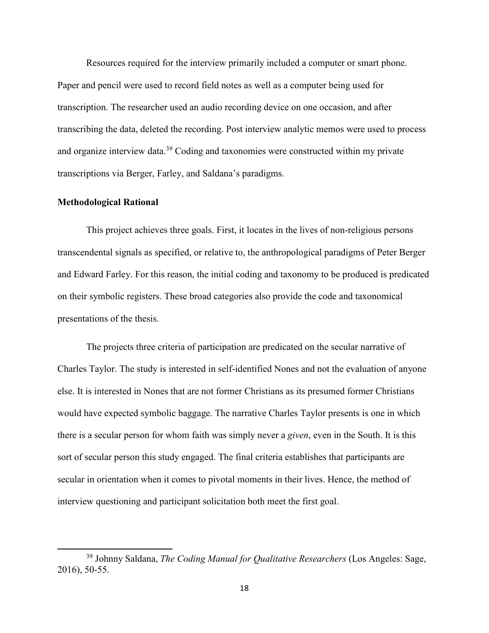Resources required for the interview primarily included a computer or smart phone. Paper and pencil were used to record field notes as well as a computer being used for transcription. The researcher used an audio recording device on one occasion, and after transcribing the data, deleted the recording. Post interview analytic memos were used to process and organize interview data.<sup>39</sup> Coding and taxonomies were constructed within my private transcriptions via Berger, Farley, and Saldana's paradigms.

#### **Methodological Rational**

 $\overline{\phantom{0}}$ 

This project achieves three goals. First, it locates in the lives of non-religious persons transcendental signals as specified, or relative to, the anthropological paradigms of Peter Berger and Edward Farley. For this reason, the initial coding and taxonomy to be produced is predicated on their symbolic registers. These broad categories also provide the code and taxonomical presentations of the thesis.

The projects three criteria of participation are predicated on the secular narrative of Charles Taylor. The study is interested in self-identified Nones and not the evaluation of anyone else. It is interested in Nones that are not former Christians as its presumed former Christians would have expected symbolic baggage. The narrative Charles Taylor presents is one in which there is a secular person for whom faith was simply never a *given*, even in the South. It is this sort of secular person this study engaged. The final criteria establishes that participants are secular in orientation when it comes to pivotal moments in their lives. Hence, the method of interview questioning and participant solicitation both meet the first goal.

<sup>39</sup> Johnny Saldana, *The Coding Manual for Qualitative Researchers* (Los Angeles: Sage, 2016), 50-55.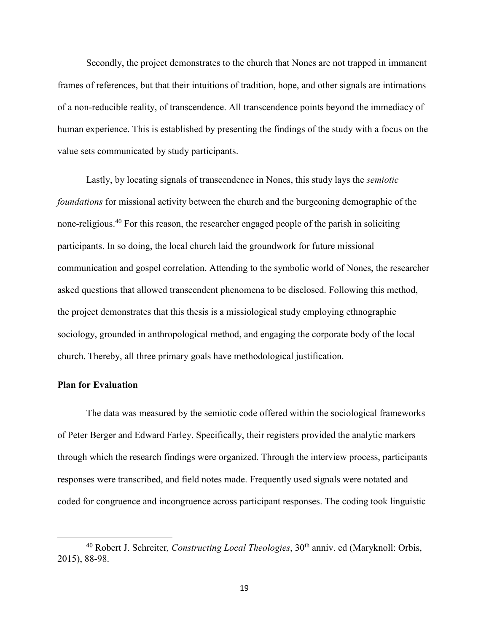Secondly, the project demonstrates to the church that Nones are not trapped in immanent frames of references, but that their intuitions of tradition, hope, and other signals are intimations of a non-reducible reality, of transcendence. All transcendence points beyond the immediacy of human experience. This is established by presenting the findings of the study with a focus on the value sets communicated by study participants.

Lastly, by locating signals of transcendence in Nones, this study lays the *semiotic foundations* for missional activity between the church and the burgeoning demographic of the none-religious.<sup>40</sup> For this reason, the researcher engaged people of the parish in soliciting participants. In so doing, the local church laid the groundwork for future missional communication and gospel correlation. Attending to the symbolic world of Nones, the researcher asked questions that allowed transcendent phenomena to be disclosed. Following this method, the project demonstrates that this thesis is a missiological study employing ethnographic sociology, grounded in anthropological method, and engaging the corporate body of the local church. Thereby, all three primary goals have methodological justification.

#### **Plan for Evaluation**

l

The data was measured by the semiotic code offered within the sociological frameworks of Peter Berger and Edward Farley. Specifically, their registers provided the analytic markers through which the research findings were organized. Through the interview process, participants responses were transcribed, and field notes made. Frequently used signals were notated and coded for congruence and incongruence across participant responses. The coding took linguistic

<sup>&</sup>lt;sup>40</sup> Robert J. Schreiter, *Constructing Local Theologies*, 30<sup>th</sup> anniv. ed (Maryknoll: Orbis, 2015), 88-98.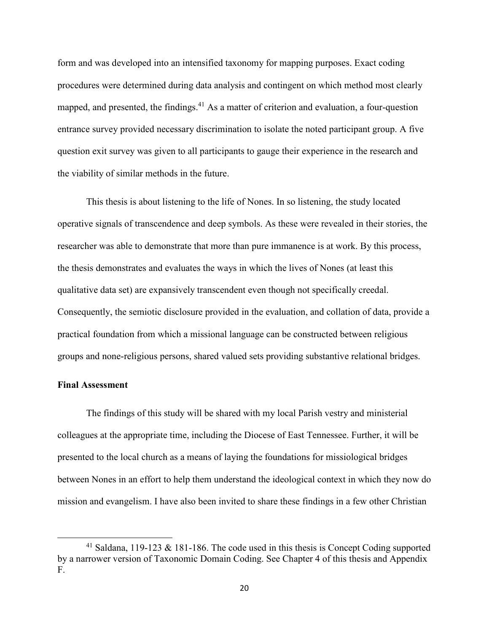form and was developed into an intensified taxonomy for mapping purposes. Exact coding procedures were determined during data analysis and contingent on which method most clearly mapped, and presented, the findings. $41$  As a matter of criterion and evaluation, a four-question entrance survey provided necessary discrimination to isolate the noted participant group. A five question exit survey was given to all participants to gauge their experience in the research and the viability of similar methods in the future.

This thesis is about listening to the life of Nones. In so listening, the study located operative signals of transcendence and deep symbols. As these were revealed in their stories, the researcher was able to demonstrate that more than pure immanence is at work. By this process, the thesis demonstrates and evaluates the ways in which the lives of Nones (at least this qualitative data set) are expansively transcendent even though not specifically creedal. Consequently, the semiotic disclosure provided in the evaluation, and collation of data, provide a practical foundation from which a missional language can be constructed between religious groups and none-religious persons, shared valued sets providing substantive relational bridges.

#### **Final Assessment**

l

The findings of this study will be shared with my local Parish vestry and ministerial colleagues at the appropriate time, including the Diocese of East Tennessee. Further, it will be presented to the local church as a means of laying the foundations for missiological bridges between Nones in an effort to help them understand the ideological context in which they now do mission and evangelism. I have also been invited to share these findings in a few other Christian

<sup>&</sup>lt;sup>41</sup> Saldana, 119-123 & 181-186. The code used in this thesis is Concept Coding supported by a narrower version of Taxonomic Domain Coding. See Chapter 4 of this thesis and Appendix F.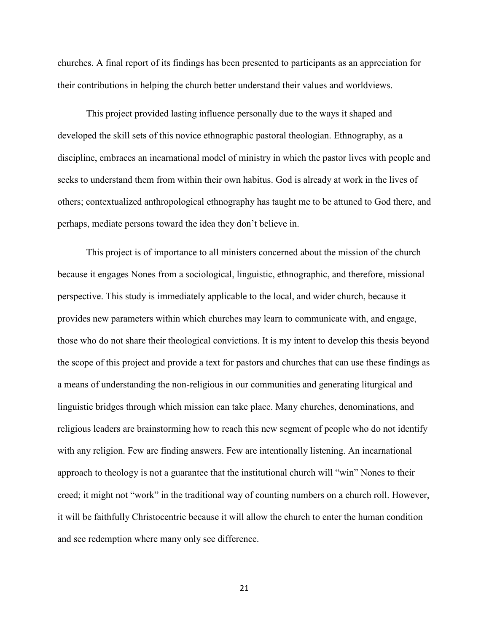churches. A final report of its findings has been presented to participants as an appreciation for their contributions in helping the church better understand their values and worldviews.

This project provided lasting influence personally due to the ways it shaped and developed the skill sets of this novice ethnographic pastoral theologian. Ethnography, as a discipline, embraces an incarnational model of ministry in which the pastor lives with people and seeks to understand them from within their own habitus. God is already at work in the lives of others; contextualized anthropological ethnography has taught me to be attuned to God there, and perhaps, mediate persons toward the idea they don't believe in.

This project is of importance to all ministers concerned about the mission of the church because it engages Nones from a sociological, linguistic, ethnographic, and therefore, missional perspective. This study is immediately applicable to the local, and wider church, because it provides new parameters within which churches may learn to communicate with, and engage, those who do not share their theological convictions. It is my intent to develop this thesis beyond the scope of this project and provide a text for pastors and churches that can use these findings as a means of understanding the non-religious in our communities and generating liturgical and linguistic bridges through which mission can take place. Many churches, denominations, and religious leaders are brainstorming how to reach this new segment of people who do not identify with any religion. Few are finding answers. Few are intentionally listening. An incarnational approach to theology is not a guarantee that the institutional church will "win" Nones to their creed; it might not "work" in the traditional way of counting numbers on a church roll. However, it will be faithfully Christocentric because it will allow the church to enter the human condition and see redemption where many only see difference.

21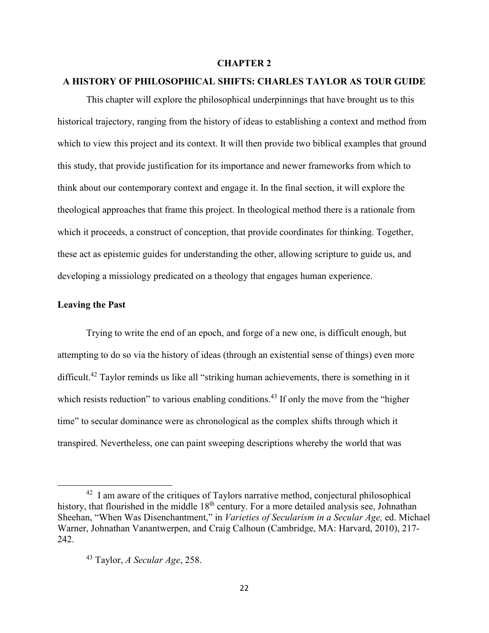#### **CHAPTER 2**

### **A HISTORY OF PHILOSOPHICAL SHIFTS: CHARLES TAYLOR AS TOUR GUIDE**

This chapter will explore the philosophical underpinnings that have brought us to this historical trajectory, ranging from the history of ideas to establishing a context and method from which to view this project and its context. It will then provide two biblical examples that ground this study, that provide justification for its importance and newer frameworks from which to think about our contemporary context and engage it. In the final section, it will explore the theological approaches that frame this project. In theological method there is a rationale from which it proceeds, a construct of conception, that provide coordinates for thinking. Together, these act as epistemic guides for understanding the other, allowing scripture to guide us, and developing a missiology predicated on a theology that engages human experience.

#### **Leaving the Past**

 $\overline{\phantom{0}}$ 

Trying to write the end of an epoch, and forge of a new one, is difficult enough, but attempting to do so via the history of ideas (through an existential sense of things) even more difficult.<sup>42</sup> Taylor reminds us like all "striking human achievements, there is something in it which resists reduction" to various enabling conditions.<sup>43</sup> If only the move from the "higher" time" to secular dominance were as chronological as the complex shifts through which it transpired. Nevertheless, one can paint sweeping descriptions whereby the world that was

<sup>&</sup>lt;sup>42</sup> I am aware of the critiques of Taylors narrative method, conjectural philosophical history, that flourished in the middle 18<sup>th</sup> century. For a more detailed analysis see, Johnathan Sheehan, "When Was Disenchantment," in *Varieties of Secularism in a Secular Age,* ed. Michael Warner, Johnathan Vanantwerpen, and Craig Calhoun (Cambridge, MA: Harvard, 2010), 217- 242.

<sup>43</sup> Taylor, *A Secular Age*, 258.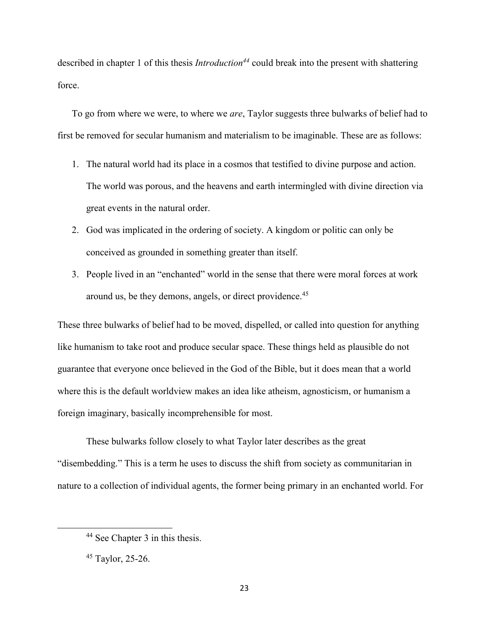described in chapter 1 of this thesis *Introduction<sup>44</sup>* could break into the present with shattering force.

To go from where we were, to where we *are*, Taylor suggests three bulwarks of belief had to first be removed for secular humanism and materialism to be imaginable. These are as follows:

- 1. The natural world had its place in a cosmos that testified to divine purpose and action. The world was porous, and the heavens and earth intermingled with divine direction via great events in the natural order.
- 2. God was implicated in the ordering of society. A kingdom or politic can only be conceived as grounded in something greater than itself.
- 3. People lived in an "enchanted" world in the sense that there were moral forces at work around us, be they demons, angels, or direct providence.<sup>45</sup>

These three bulwarks of belief had to be moved, dispelled, or called into question for anything like humanism to take root and produce secular space. These things held as plausible do not guarantee that everyone once believed in the God of the Bible, but it does mean that a world where this is the default worldview makes an idea like atheism, agnosticism, or humanism a foreign imaginary, basically incomprehensible for most.

These bulwarks follow closely to what Taylor later describes as the great "disembedding." This is a term he uses to discuss the shift from society as communitarian in nature to a collection of individual agents, the former being primary in an enchanted world. For

l

<sup>44</sup> See Chapter 3 in this thesis.

 $45$  Taylor, 25-26.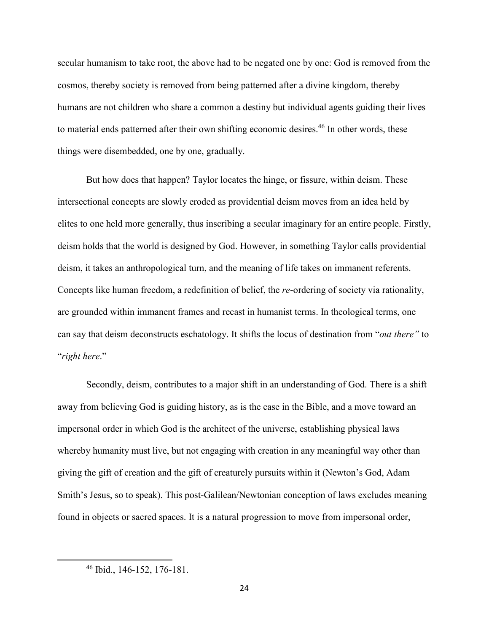secular humanism to take root, the above had to be negated one by one: God is removed from the cosmos, thereby society is removed from being patterned after a divine kingdom, thereby humans are not children who share a common a destiny but individual agents guiding their lives to material ends patterned after their own shifting economic desires.<sup>46</sup> In other words, these things were disembedded, one by one, gradually.

But how does that happen? Taylor locates the hinge, or fissure, within deism. These intersectional concepts are slowly eroded as providential deism moves from an idea held by elites to one held more generally, thus inscribing a secular imaginary for an entire people. Firstly, deism holds that the world is designed by God. However, in something Taylor calls providential deism, it takes an anthropological turn, and the meaning of life takes on immanent referents. Concepts like human freedom, a redefinition of belief, the *re*-ordering of society via rationality, are grounded within immanent frames and recast in humanist terms. In theological terms, one can say that deism deconstructs eschatology. It shifts the locus of destination from "*out there"* to "*right here*."

Secondly, deism, contributes to a major shift in an understanding of God. There is a shift away from believing God is guiding history, as is the case in the Bible, and a move toward an impersonal order in which God is the architect of the universe, establishing physical laws whereby humanity must live, but not engaging with creation in any meaningful way other than giving the gift of creation and the gift of creaturely pursuits within it (Newton's God, Adam Smith's Jesus, so to speak). This post-Galilean/Newtonian conception of laws excludes meaning found in objects or sacred spaces. It is a natural progression to move from impersonal order,

 $\overline{a}$ 

<sup>46</sup> Ibid., 146-152, 176-181.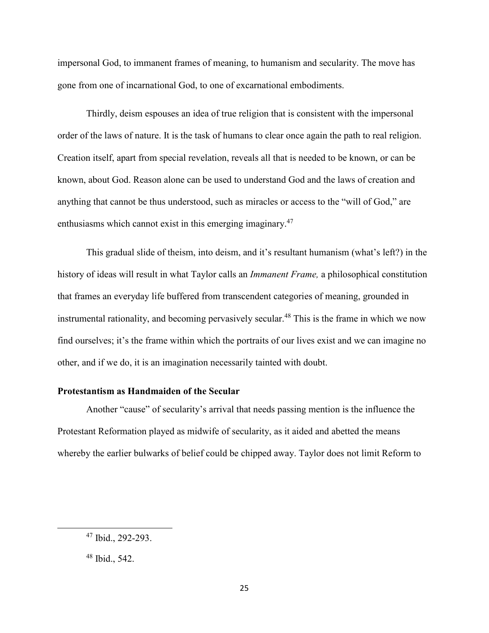impersonal God, to immanent frames of meaning, to humanism and secularity. The move has gone from one of incarnational God, to one of excarnational embodiments.

Thirdly, deism espouses an idea of true religion that is consistent with the impersonal order of the laws of nature. It is the task of humans to clear once again the path to real religion. Creation itself, apart from special revelation, reveals all that is needed to be known, or can be known, about God. Reason alone can be used to understand God and the laws of creation and anything that cannot be thus understood, such as miracles or access to the "will of God," are enthusiasms which cannot exist in this emerging imaginary.<sup>47</sup>

This gradual slide of theism, into deism, and it's resultant humanism (what's left?) in the history of ideas will result in what Taylor calls an *Immanent Frame,* a philosophical constitution that frames an everyday life buffered from transcendent categories of meaning, grounded in instrumental rationality, and becoming pervasively secular.<sup>48</sup> This is the frame in which we now find ourselves; it's the frame within which the portraits of our lives exist and we can imagine no other, and if we do, it is an imagination necessarily tainted with doubt.

# **Protestantism as Handmaiden of the Secular**

 Another "cause" of secularity's arrival that needs passing mention is the influence the Protestant Reformation played as midwife of secularity, as it aided and abetted the means whereby the earlier bulwarks of belief could be chipped away. Taylor does not limit Reform to

l

<sup>47</sup> Ibid., 292-293.

<sup>48</sup> Ibid., 542.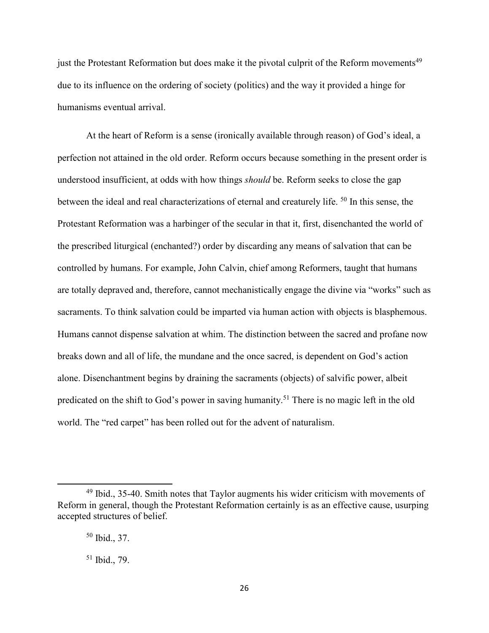just the Protestant Reformation but does make it the pivotal culprit of the Reform movements<sup>49</sup> due to its influence on the ordering of society (politics) and the way it provided a hinge for humanisms eventual arrival.

 At the heart of Reform is a sense (ironically available through reason) of God's ideal, a perfection not attained in the old order. Reform occurs because something in the present order is understood insufficient, at odds with how things *should* be. Reform seeks to close the gap between the ideal and real characterizations of eternal and creaturely life. <sup>50</sup> In this sense, the Protestant Reformation was a harbinger of the secular in that it, first, disenchanted the world of the prescribed liturgical (enchanted?) order by discarding any means of salvation that can be controlled by humans. For example, John Calvin, chief among Reformers, taught that humans are totally depraved and, therefore, cannot mechanistically engage the divine via "works" such as sacraments. To think salvation could be imparted via human action with objects is blasphemous. Humans cannot dispense salvation at whim. The distinction between the sacred and profane now breaks down and all of life, the mundane and the once sacred, is dependent on God's action alone. Disenchantment begins by draining the sacraments (objects) of salvific power, albeit predicated on the shift to God's power in saving humanity.<sup>51</sup> There is no magic left in the old world. The "red carpet" has been rolled out for the advent of naturalism.

 $49$  Ibid., 35-40. Smith notes that Taylor augments his wider criticism with movements of Reform in general, though the Protestant Reformation certainly is as an effective cause, usurping accepted structures of belief.

<sup>50</sup> Ibid., 37.

<sup>51</sup> Ibid., 79.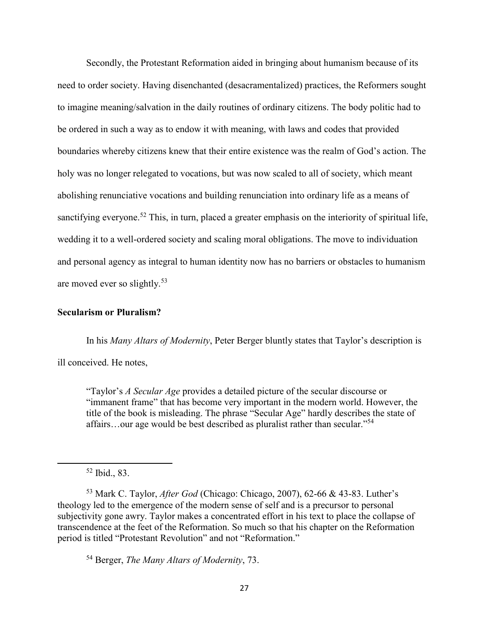Secondly, the Protestant Reformation aided in bringing about humanism because of its need to order society. Having disenchanted (desacramentalized) practices, the Reformers sought to imagine meaning/salvation in the daily routines of ordinary citizens. The body politic had to be ordered in such a way as to endow it with meaning, with laws and codes that provided boundaries whereby citizens knew that their entire existence was the realm of God's action. The holy was no longer relegated to vocations, but was now scaled to all of society, which meant abolishing renunciative vocations and building renunciation into ordinary life as a means of sanctifying everyone.<sup>52</sup> This, in turn, placed a greater emphasis on the interiority of spiritual life, wedding it to a well-ordered society and scaling moral obligations. The move to individuation and personal agency as integral to human identity now has no barriers or obstacles to humanism are moved ever so slightly.<sup>53</sup>

## **Secularism or Pluralism?**

In his *Many Altars of Modernity*, Peter Berger bluntly states that Taylor's description is ill conceived. He notes,

"Taylor's *A Secular Age* provides a detailed picture of the secular discourse or "immanent frame" that has become very important in the modern world. However, the title of the book is misleading. The phrase "Secular Age" hardly describes the state of affairs...our age would be best described as pluralist rather than secular."<sup>54</sup>

l

<sup>54</sup> Berger, *The Many Altars of Modernity*, 73.

<sup>52</sup> Ibid., 83.

<sup>53</sup> Mark C. Taylor, *After God* (Chicago: Chicago, 2007), 62-66 & 43-83. Luther's theology led to the emergence of the modern sense of self and is a precursor to personal subjectivity gone awry. Taylor makes a concentrated effort in his text to place the collapse of transcendence at the feet of the Reformation. So much so that his chapter on the Reformation period is titled "Protestant Revolution" and not "Reformation."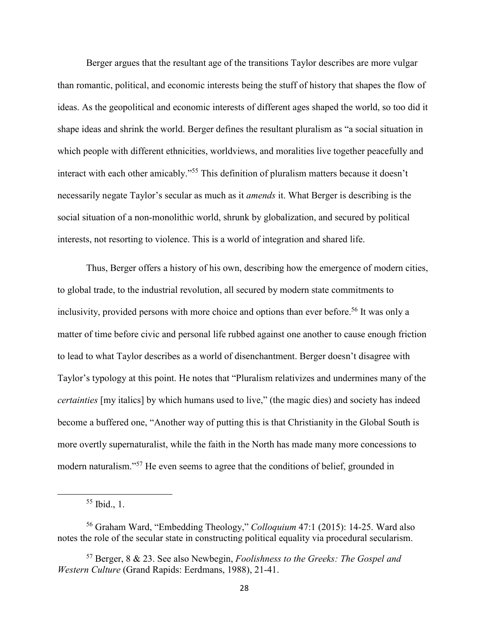Berger argues that the resultant age of the transitions Taylor describes are more vulgar than romantic, political, and economic interests being the stuff of history that shapes the flow of ideas. As the geopolitical and economic interests of different ages shaped the world, so too did it shape ideas and shrink the world. Berger defines the resultant pluralism as "a social situation in which people with different ethnicities, worldviews, and moralities live together peacefully and interact with each other amicably."<sup>55</sup> This definition of pluralism matters because it doesn't necessarily negate Taylor's secular as much as it *amends* it. What Berger is describing is the social situation of a non-monolithic world, shrunk by globalization, and secured by political interests, not resorting to violence. This is a world of integration and shared life.

Thus, Berger offers a history of his own, describing how the emergence of modern cities, to global trade, to the industrial revolution, all secured by modern state commitments to inclusivity, provided persons with more choice and options than ever before.<sup>56</sup> It was only a matter of time before civic and personal life rubbed against one another to cause enough friction to lead to what Taylor describes as a world of disenchantment. Berger doesn't disagree with Taylor's typology at this point. He notes that "Pluralism relativizes and undermines many of the *certainties* [my italics] by which humans used to live," (the magic dies) and society has indeed become a buffered one, "Another way of putting this is that Christianity in the Global South is more overtly supernaturalist, while the faith in the North has made many more concessions to modern naturalism."<sup>57</sup> He even seems to agree that the conditions of belief, grounded in

<sup>55</sup> Ibid., 1.

<sup>56</sup> Graham Ward, "Embedding Theology," *Colloquium* 47:1 (2015): 14-25. Ward also notes the role of the secular state in constructing political equality via procedural secularism.

<sup>57</sup> Berger, 8 & 23. See also Newbegin, *Foolishness to the Greeks: The Gospel and Western Culture* (Grand Rapids: Eerdmans, 1988), 21-41.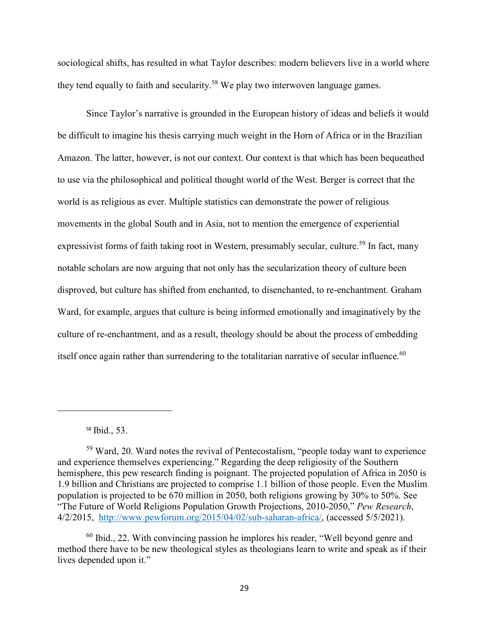sociological shifts, has resulted in what Taylor describes: modern believers live in a world where they tend equally to faith and secularity.<sup>58</sup> We play two interwoven language games.

Since Taylor's narrative is grounded in the European history of ideas and beliefs it would be difficult to imagine his thesis carrying much weight in the Horn of Africa or in the Brazilian Amazon. The latter, however, is not our context. Our context is that which has been bequeathed to use via the philosophical and political thought world of the West. Berger is correct that the world is as religious as ever. Multiple statistics can demonstrate the power of religious movements in the global South and in Asia, not to mention the emergence of experiential expressivist forms of faith taking root in Western, presumably secular, culture.<sup>59</sup> In fact, many notable scholars are now arguing that not only has the secularization theory of culture been disproved, but culture has shifted from enchanted, to disenchanted, to re-enchantment. Graham Ward, for example, argues that culture is being informed emotionally and imaginatively by the culture of re-enchantment, and as a result, theology should be about the process of embedding itself once again rather than surrendering to the totalitarian narrative of secular influence.<sup>60</sup>

<sup>58</sup> Ibid., 53.

<sup>59</sup> Ward, 20. Ward notes the revival of Pentecostalism, "people today want to experience and experience themselves experiencing." Regarding the deep religiosity of the Southern hemisphere, this pew research finding is poignant. The projected population of Africa in 2050 is 1.9 billion and Christians are projected to comprise 1.1 billion of those people. Even the Muslim population is projected to be 670 million in 2050, both religions growing by 30% to 50%. See "The Future of World Religions Population Growth Projections, 2010-2050," *Pew Research*, 4/2/2015, http://www.pewforum.org/2015/04/02/sub-saharan-africa/, (accessed 5/5/2021).

<sup>60</sup> Ibid., 22. With convincing passion he implores his reader, "Well beyond genre and method there have to be new theological styles as theologians learn to write and speak as if their lives depended upon it."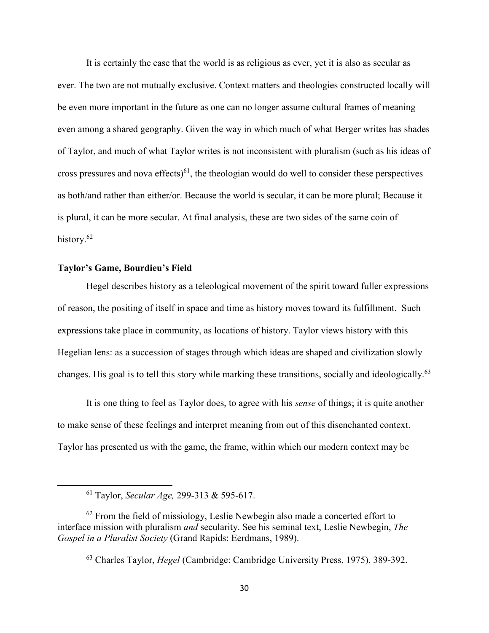It is certainly the case that the world is as religious as ever, yet it is also as secular as ever. The two are not mutually exclusive. Context matters and theologies constructed locally will be even more important in the future as one can no longer assume cultural frames of meaning even among a shared geography. Given the way in which much of what Berger writes has shades of Taylor, and much of what Taylor writes is not inconsistent with pluralism (such as his ideas of cross pressures and nova effects) $61$ , the theologian would do well to consider these perspectives as both/and rather than either/or. Because the world is secular, it can be more plural; Because it is plural, it can be more secular. At final analysis, these are two sides of the same coin of history.<sup>62</sup>

### **Taylor's Game, Bourdieu's Field**

 $\overline{\phantom{0}}$ 

Hegel describes history as a teleological movement of the spirit toward fuller expressions of reason, the positing of itself in space and time as history moves toward its fulfillment. Such expressions take place in community, as locations of history. Taylor views history with this Hegelian lens: as a succession of stages through which ideas are shaped and civilization slowly changes. His goal is to tell this story while marking these transitions, socially and ideologically.<sup>63</sup>

It is one thing to feel as Taylor does, to agree with his *sense* of things; it is quite another to make sense of these feelings and interpret meaning from out of this disenchanted context. Taylor has presented us with the game, the frame, within which our modern context may be

<sup>63</sup> Charles Taylor, *Hegel* (Cambridge: Cambridge University Press, 1975), 389-392.

<sup>61</sup> Taylor, *Secular Age,* 299-313 & 595-617.

 $62$  From the field of missiology, Leslie Newbegin also made a concerted effort to interface mission with pluralism *and* secularity. See his seminal text, Leslie Newbegin, *The Gospel in a Pluralist Society* (Grand Rapids: Eerdmans, 1989).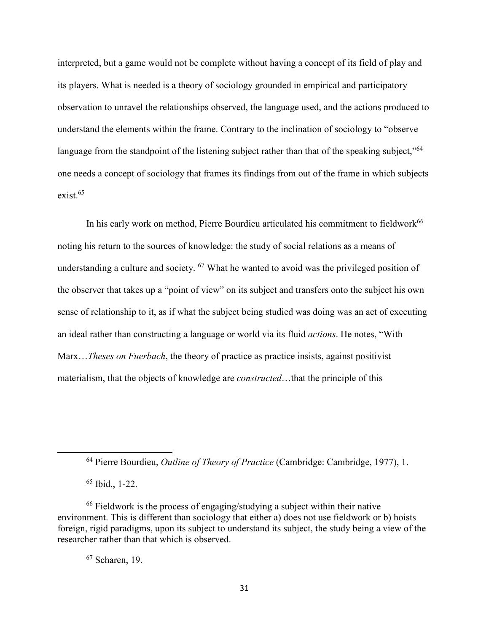interpreted, but a game would not be complete without having a concept of its field of play and its players. What is needed is a theory of sociology grounded in empirical and participatory observation to unravel the relationships observed, the language used, and the actions produced to understand the elements within the frame. Contrary to the inclination of sociology to "observe language from the standpoint of the listening subject rather than that of the speaking subject,"<sup>64</sup> one needs a concept of sociology that frames its findings from out of the frame in which subjects exist.<sup>65</sup>

In his early work on method, Pierre Bourdieu articulated his commitment to fieldwork<sup>66</sup> noting his return to the sources of knowledge: the study of social relations as a means of understanding a culture and society. <sup>67</sup> What he wanted to avoid was the privileged position of the observer that takes up a "point of view" on its subject and transfers onto the subject his own sense of relationship to it, as if what the subject being studied was doing was an act of executing an ideal rather than constructing a language or world via its fluid *actions*. He notes, "With Marx…*Theses on Fuerbach*, the theory of practice as practice insists, against positivist materialism, that the objects of knowledge are *constructed*…that the principle of this

<sup>64</sup> Pierre Bourdieu, *Outline of Theory of Practice* (Cambridge: Cambridge, 1977), 1.

<sup>65</sup> Ibid., 1-22.

l

<sup>66</sup> Fieldwork is the process of engaging/studying a subject within their native environment. This is different than sociology that either a) does not use fieldwork or b) hoists foreign, rigid paradigms, upon its subject to understand its subject, the study being a view of the researcher rather than that which is observed.

<sup>67</sup> Scharen, 19.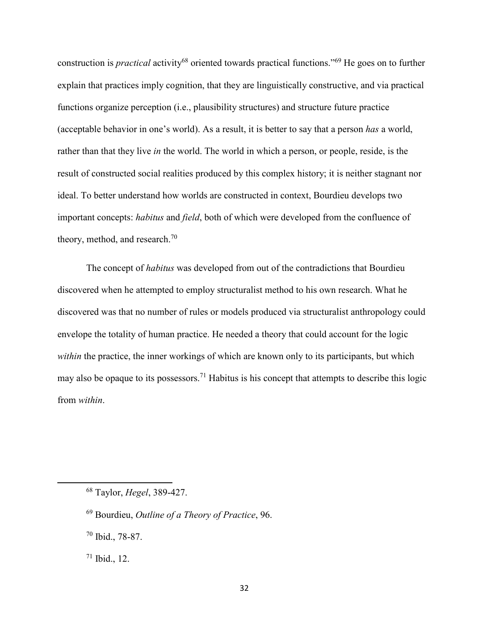construction is *practical* activity<sup>68</sup> oriented towards practical functions."<sup>69</sup> He goes on to further explain that practices imply cognition, that they are linguistically constructive, and via practical functions organize perception (i.e., plausibility structures) and structure future practice (acceptable behavior in one's world). As a result, it is better to say that a person *has* a world, rather than that they live *in* the world. The world in which a person, or people, reside, is the result of constructed social realities produced by this complex history; it is neither stagnant nor ideal. To better understand how worlds are constructed in context, Bourdieu develops two important concepts: *habitus* and *field*, both of which were developed from the confluence of theory, method, and research. $70$ 

The concept of *habitus* was developed from out of the contradictions that Bourdieu discovered when he attempted to employ structuralist method to his own research. What he discovered was that no number of rules or models produced via structuralist anthropology could envelope the totality of human practice. He needed a theory that could account for the logic *within* the practice, the inner workings of which are known only to its participants, but which may also be opaque to its possessors.<sup>71</sup> Habitus is his concept that attempts to describe this logic from *within*.

<sup>68</sup> Taylor, *Hegel*, 389-427.

<sup>69</sup> Bourdieu, *Outline of a Theory of Practice*, 96.

<sup>70</sup> Ibid., 78-87.

 $71$  Ibid., 12.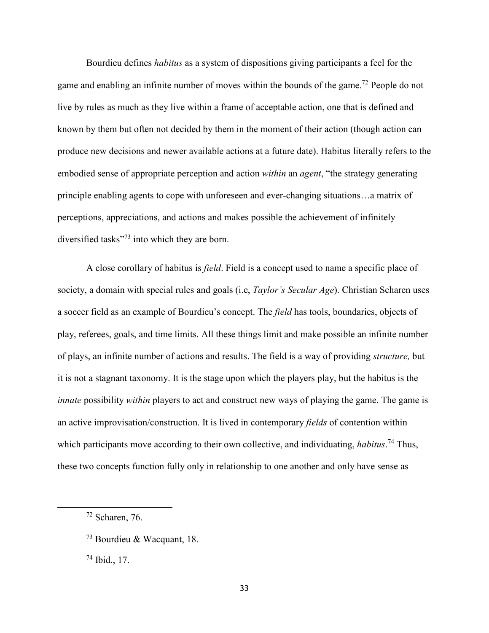Bourdieu defines *habitus* as a system of dispositions giving participants a feel for the game and enabling an infinite number of moves within the bounds of the game.<sup>72</sup> People do not live by rules as much as they live within a frame of acceptable action, one that is defined and known by them but often not decided by them in the moment of their action (though action can produce new decisions and newer available actions at a future date). Habitus literally refers to the embodied sense of appropriate perception and action *within* an *agent*, "the strategy generating principle enabling agents to cope with unforeseen and ever-changing situations…a matrix of perceptions, appreciations, and actions and makes possible the achievement of infinitely diversified tasks"<sup>73</sup> into which they are born.

A close corollary of habitus is *field*. Field is a concept used to name a specific place of society, a domain with special rules and goals (i.e, *Taylor's Secular Age*). Christian Scharen uses a soccer field as an example of Bourdieu's concept. The *field* has tools, boundaries, objects of play, referees, goals, and time limits. All these things limit and make possible an infinite number of plays, an infinite number of actions and results. The field is a way of providing *structure,* but it is not a stagnant taxonomy. It is the stage upon which the players play, but the habitus is the *innate* possibility *within* players to act and construct new ways of playing the game. The game is an active improvisation/construction. It is lived in contemporary *fields* of contention within which participants move according to their own collective, and individuating, *habitus*. <sup>74</sup> Thus, these two concepts function fully only in relationship to one another and only have sense as

l

 $74$  Ibid., 17.

 $72$  Scharen, 76.

<sup>73</sup> Bourdieu & Wacquant, 18.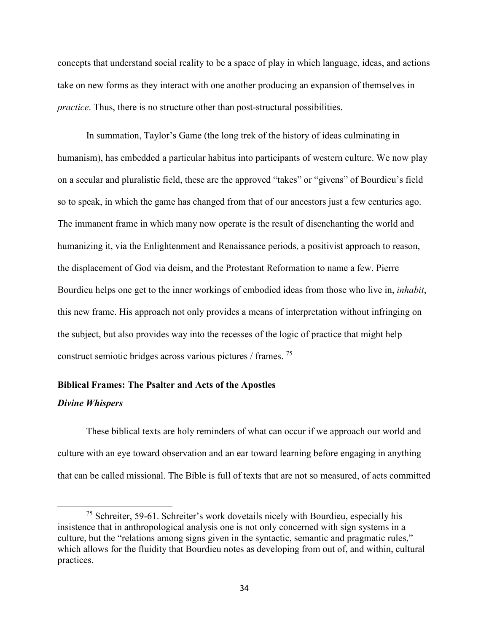concepts that understand social reality to be a space of play in which language, ideas, and actions take on new forms as they interact with one another producing an expansion of themselves in *practice*. Thus, there is no structure other than post-structural possibilities.

In summation, Taylor's Game (the long trek of the history of ideas culminating in humanism), has embedded a particular habitus into participants of western culture. We now play on a secular and pluralistic field, these are the approved "takes" or "givens" of Bourdieu's field so to speak, in which the game has changed from that of our ancestors just a few centuries ago. The immanent frame in which many now operate is the result of disenchanting the world and humanizing it, via the Enlightenment and Renaissance periods, a positivist approach to reason, the displacement of God via deism, and the Protestant Reformation to name a few. Pierre Bourdieu helps one get to the inner workings of embodied ideas from those who live in, *inhabit*, this new frame. His approach not only provides a means of interpretation without infringing on the subject, but also provides way into the recesses of the logic of practice that might help construct semiotic bridges across various pictures / frames. <sup>75</sup>

## **Biblical Frames: The Psalter and Acts of the Apostles**

#### *Divine Whispers*

 $\overline{\phantom{0}}$ 

These biblical texts are holy reminders of what can occur if we approach our world and culture with an eye toward observation and an ear toward learning before engaging in anything that can be called missional. The Bible is full of texts that are not so measured, of acts committed

<sup>&</sup>lt;sup>75</sup> Schreiter, 59-61. Schreiter's work dovetails nicely with Bourdieu, especially his insistence that in anthropological analysis one is not only concerned with sign systems in a culture, but the "relations among signs given in the syntactic, semantic and pragmatic rules," which allows for the fluidity that Bourdieu notes as developing from out of, and within, cultural practices.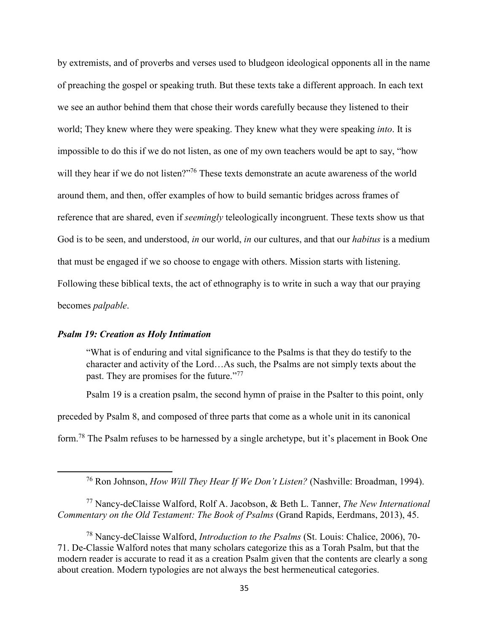by extremists, and of proverbs and verses used to bludgeon ideological opponents all in the name of preaching the gospel or speaking truth. But these texts take a different approach. In each text we see an author behind them that chose their words carefully because they listened to their world; They knew where they were speaking. They knew what they were speaking *into*. It is impossible to do this if we do not listen, as one of my own teachers would be apt to say, "how will they hear if we do not listen?"<sup>76</sup> These texts demonstrate an acute awareness of the world around them, and then, offer examples of how to build semantic bridges across frames of reference that are shared, even if *seemingly* teleologically incongruent. These texts show us that God is to be seen, and understood, *in* our world, *in* our cultures, and that our *habitus* is a medium that must be engaged if we so choose to engage with others. Mission starts with listening. Following these biblical texts, the act of ethnography is to write in such a way that our praying becomes *palpable*.

# *Psalm 19: Creation as Holy Intimation*

l

"What is of enduring and vital significance to the Psalms is that they do testify to the character and activity of the Lord…As such, the Psalms are not simply texts about the past. They are promises for the future."<sup>77</sup>

Psalm 19 is a creation psalm, the second hymn of praise in the Psalter to this point, only preceded by Psalm 8, and composed of three parts that come as a whole unit in its canonical form.<sup>78</sup> The Psalm refuses to be harnessed by a single archetype, but it's placement in Book One

<sup>77</sup> Nancy-deClaisse Walford, Rolf A. Jacobson, & Beth L. Tanner, *The New International Commentary on the Old Testament: The Book of Psalms* (Grand Rapids, Eerdmans, 2013), 45.

<sup>76</sup> Ron Johnson, *How Will They Hear If We Don't Listen?* (Nashville: Broadman, 1994).

<sup>78</sup> Nancy-deClaisse Walford, *Introduction to the Psalms* (St. Louis: Chalice, 2006), 70- 71. De-Classie Walford notes that many scholars categorize this as a Torah Psalm, but that the modern reader is accurate to read it as a creation Psalm given that the contents are clearly a song about creation. Modern typologies are not always the best hermeneutical categories.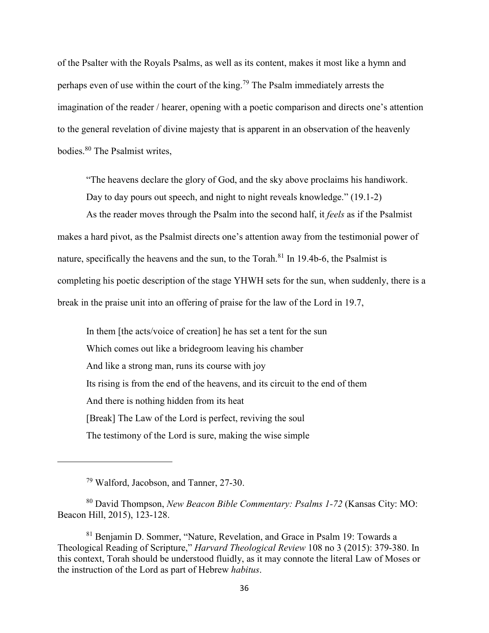of the Psalter with the Royals Psalms, as well as its content, makes it most like a hymn and perhaps even of use within the court of the king.<sup>79</sup> The Psalm immediately arrests the imagination of the reader / hearer, opening with a poetic comparison and directs one's attention to the general revelation of divine majesty that is apparent in an observation of the heavenly bodies.<sup>80</sup> The Psalmist writes,

"The heavens declare the glory of God, and the sky above proclaims his handiwork. Day to day pours out speech, and night to night reveals knowledge." (19.1-2)

As the reader moves through the Psalm into the second half, it *feels* as if the Psalmist makes a hard pivot, as the Psalmist directs one's attention away from the testimonial power of nature, specifically the heavens and the sun, to the Torah.<sup>81</sup> In 19.4b-6, the Psalmist is completing his poetic description of the stage YHWH sets for the sun, when suddenly, there is a break in the praise unit into an offering of praise for the law of the Lord in 19.7,

In them [the acts/voice of creation] he has set a tent for the sun Which comes out like a bridegroom leaving his chamber And like a strong man, runs its course with joy Its rising is from the end of the heavens, and its circuit to the end of them And there is nothing hidden from its heat [Break] The Law of the Lord is perfect, reviving the soul The testimony of the Lord is sure, making the wise simple

<sup>79</sup> Walford, Jacobson, and Tanner, 27-30.

<sup>80</sup> David Thompson, *New Beacon Bible Commentary: Psalms 1-72* (Kansas City: MO: Beacon Hill, 2015), 123-128.

<sup>81</sup> Benjamin D. Sommer, "Nature, Revelation, and Grace in Psalm 19: Towards a Theological Reading of Scripture," *Harvard Theological Review* 108 no 3 (2015): 379-380. In this context, Torah should be understood fluidly, as it may connote the literal Law of Moses or the instruction of the Lord as part of Hebrew *habitus*.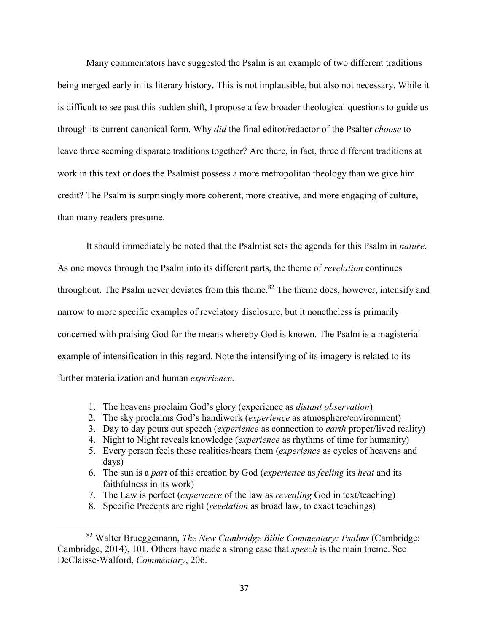Many commentators have suggested the Psalm is an example of two different traditions being merged early in its literary history. This is not implausible, but also not necessary. While it is difficult to see past this sudden shift, I propose a few broader theological questions to guide us through its current canonical form. Why *did* the final editor/redactor of the Psalter *choose* to leave three seeming disparate traditions together? Are there, in fact, three different traditions at work in this text or does the Psalmist possess a more metropolitan theology than we give him credit? The Psalm is surprisingly more coherent, more creative, and more engaging of culture, than many readers presume.

It should immediately be noted that the Psalmist sets the agenda for this Psalm in *nature*. As one moves through the Psalm into its different parts, the theme of *revelation* continues throughout. The Psalm never deviates from this theme.<sup>82</sup> The theme does, however, intensify and narrow to more specific examples of revelatory disclosure, but it nonetheless is primarily concerned with praising God for the means whereby God is known. The Psalm is a magisterial example of intensification in this regard. Note the intensifying of its imagery is related to its further materialization and human *experience*.

- 1. The heavens proclaim God's glory (experience as *distant observation*)
- 2. The sky proclaims God's handiwork (*experience* as atmosphere/environment)
- 3. Day to day pours out speech (*experience* as connection to *earth* proper/lived reality)
- 4. Night to Night reveals knowledge (*experience* as rhythms of time for humanity)
- 5. Every person feels these realities/hears them (*experience* as cycles of heavens and days)
- 6. The sun is a *part* of this creation by God (*experience* as *feeling* its *heat* and its faithfulness in its work)
- 7. The Law is perfect (*experience* of the law as *revealing* God in text/teaching)
- 8. Specific Precepts are right (*revelation* as broad law, to exact teachings)

<sup>82</sup> Walter Brueggemann, *The New Cambridge Bible Commentary: Psalms* (Cambridge: Cambridge, 2014), 101. Others have made a strong case that *speech* is the main theme. See DeClaisse-Walford, *Commentary*, 206.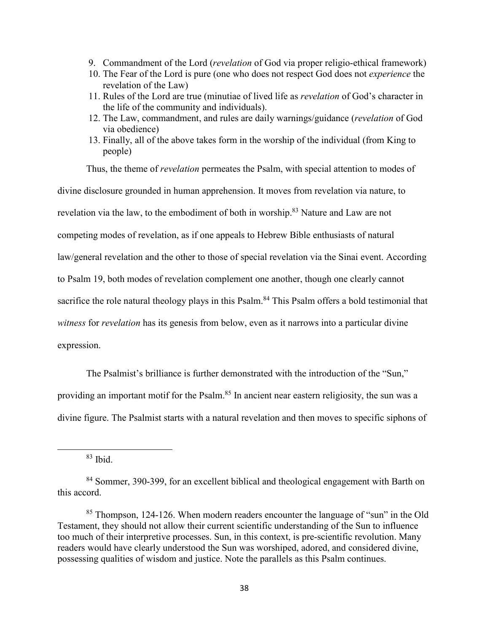- 9. Commandment of the Lord (*revelation* of God via proper religio-ethical framework)
- 10. The Fear of the Lord is pure (one who does not respect God does not *experience* the revelation of the Law)
- 11. Rules of the Lord are true (minutiae of lived life as *revelation* of God's character in the life of the community and individuals).
- 12. The Law, commandment, and rules are daily warnings/guidance (*revelation* of God via obedience)
- 13. Finally, all of the above takes form in the worship of the individual (from King to people)

Thus, the theme of *revelation* permeates the Psalm, with special attention to modes of

divine disclosure grounded in human apprehension. It moves from revelation via nature, to

revelation via the law, to the embodiment of both in worship.<sup>83</sup> Nature and Law are not

competing modes of revelation, as if one appeals to Hebrew Bible enthusiasts of natural

law/general revelation and the other to those of special revelation via the Sinai event. According

to Psalm 19, both modes of revelation complement one another, though one clearly cannot

sacrifice the role natural theology plays in this Psalm.<sup>84</sup> This Psalm offers a bold testimonial that

*witness* for *revelation* has its genesis from below, even as it narrows into a particular divine

expression.

 $\overline{a}$ 

The Psalmist's brilliance is further demonstrated with the introduction of the "Sun," providing an important motif for the Psalm.<sup>85</sup> In ancient near eastern religiosity, the sun was a divine figure. The Psalmist starts with a natural revelation and then moves to specific siphons of

 $83$  Ibid.

<sup>84</sup> Sommer, 390-399, for an excellent biblical and theological engagement with Barth on this accord.

<sup>85</sup> Thompson, 124-126. When modern readers encounter the language of "sun" in the Old Testament, they should not allow their current scientific understanding of the Sun to influence too much of their interpretive processes. Sun, in this context, is pre-scientific revolution. Many readers would have clearly understood the Sun was worshiped, adored, and considered divine, possessing qualities of wisdom and justice. Note the parallels as this Psalm continues.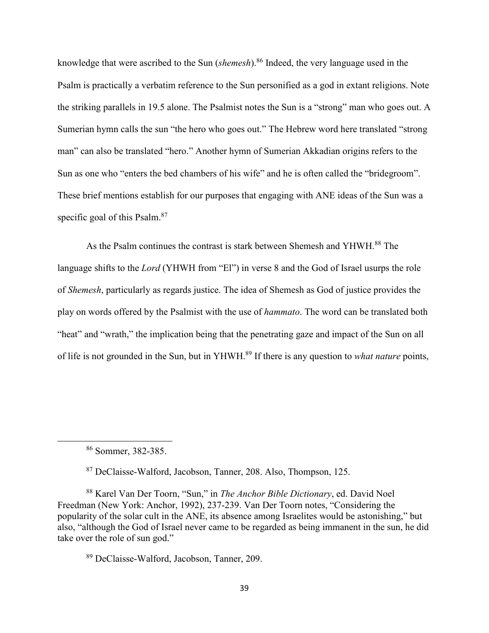knowledge that were ascribed to the Sun (*shemesh*).<sup>86</sup> Indeed, the very language used in the Psalm is practically a verbatim reference to the Sun personified as a god in extant religions. Note the striking parallels in 19.5 alone. The Psalmist notes the Sun is a "strong" man who goes out. A Sumerian hymn calls the sun "the hero who goes out." The Hebrew word here translated "strong man" can also be translated "hero." Another hymn of Sumerian Akkadian origins refers to the Sun as one who "enters the bed chambers of his wife" and he is often called the "bridegroom". These brief mentions establish for our purposes that engaging with ANE ideas of the Sun was a specific goal of this Psalm.<sup>87</sup>

As the Psalm continues the contrast is stark between Shemesh and YHWH.<sup>88</sup> The language shifts to the *Lord* (YHWH from "El") in verse 8 and the God of Israel usurps the role of *Shemesh*, particularly as regards justice. The idea of Shemesh as God of justice provides the play on words offered by the Psalmist with the use of *hammato*. The word can be translated both "heat" and "wrath," the implication being that the penetrating gaze and impact of the Sun on all of life is not grounded in the Sun, but in YHWH.<sup>89</sup> If there is any question to *what nature* points,

 $\overline{a}$ 

<sup>87</sup> DeClaisse-Walford, Jacobson, Tanner, 208. Also, Thompson, 125.

<sup>88</sup> Karel Van Der Toorn, "Sun," in *The Anchor Bible Dictionary*, ed. David Noel Freedman (New York: Anchor, 1992), 237-239. Van Der Toorn notes, "Considering the popularity of the solar cult in the ANE, its absence among Israelites would be astonishing," but also, "although the God of Israel never came to be regarded as being immanent in the sun, he did take over the role of sun god."

<sup>89</sup> DeClaisse-Walford, Jacobson, Tanner, 209.

<sup>86</sup> Sommer, 382-385.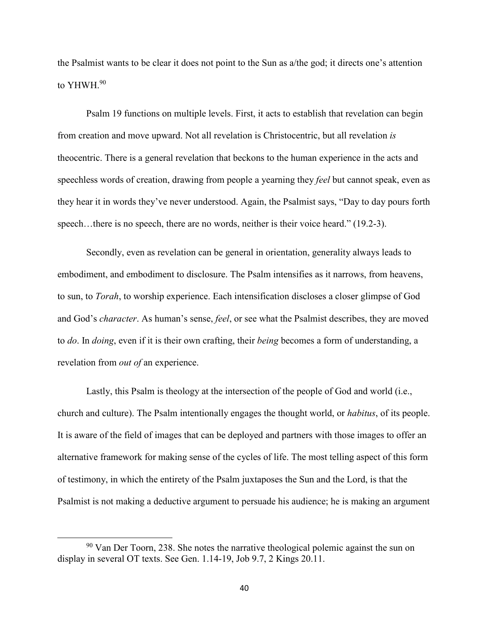the Psalmist wants to be clear it does not point to the Sun as a/the god; it directs one's attention to YHWH.<sup>90</sup>

Psalm 19 functions on multiple levels. First, it acts to establish that revelation can begin from creation and move upward. Not all revelation is Christocentric, but all revelation *is* theocentric. There is a general revelation that beckons to the human experience in the acts and speechless words of creation, drawing from people a yearning they *feel* but cannot speak, even as they hear it in words they've never understood. Again, the Psalmist says, "Day to day pours forth speech...there is no speech, there are no words, neither is their voice heard." (19.2-3).

Secondly, even as revelation can be general in orientation, generality always leads to embodiment, and embodiment to disclosure. The Psalm intensifies as it narrows, from heavens, to sun, to *Torah*, to worship experience. Each intensification discloses a closer glimpse of God and God's *character*. As human's sense, *feel*, or see what the Psalmist describes, they are moved to *do*. In *doing*, even if it is their own crafting, their *being* becomes a form of understanding, a revelation from *out of* an experience.

Lastly, this Psalm is theology at the intersection of the people of God and world (i.e., church and culture). The Psalm intentionally engages the thought world, or *habitus*, of its people. It is aware of the field of images that can be deployed and partners with those images to offer an alternative framework for making sense of the cycles of life. The most telling aspect of this form of testimony, in which the entirety of the Psalm juxtaposes the Sun and the Lord, is that the Psalmist is not making a deductive argument to persuade his audience; he is making an argument

<sup>&</sup>lt;sup>90</sup> Van Der Toorn, 238. She notes the narrative theological polemic against the sun on display in several OT texts. See Gen. 1.14-19, Job 9.7, 2 Kings 20.11.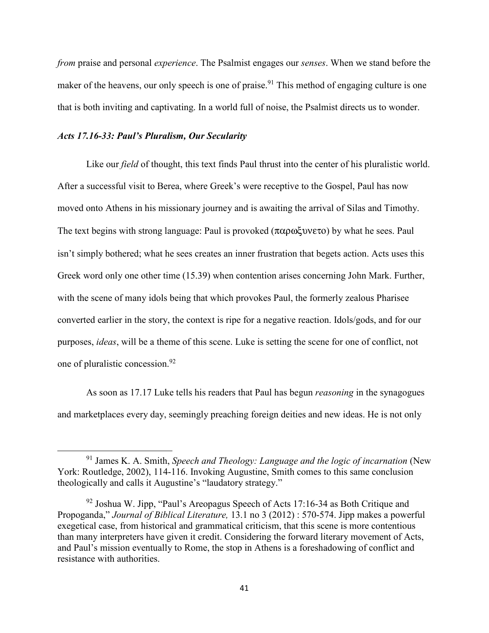*from* praise and personal *experience*. The Psalmist engages our *senses*. When we stand before the maker of the heavens, our only speech is one of praise.<sup>91</sup> This method of engaging culture is one that is both inviting and captivating. In a world full of noise, the Psalmist directs us to wonder.

## *Acts 17.16-33: Paul's Pluralism, Our Secularity*

 $\overline{\phantom{0}}$ 

Like our *field* of thought, this text finds Paul thrust into the center of his pluralistic world. After a successful visit to Berea, where Greek's were receptive to the Gospel, Paul has now moved onto Athens in his missionary journey and is awaiting the arrival of Silas and Timothy. The text begins with strong language: Paul is provoked (παρωξυνετο) by what he sees. Paul isn't simply bothered; what he sees creates an inner frustration that begets action. Acts uses this Greek word only one other time (15.39) when contention arises concerning John Mark. Further, with the scene of many idols being that which provokes Paul, the formerly zealous Pharisee converted earlier in the story, the context is ripe for a negative reaction. Idols/gods, and for our purposes, *ideas*, will be a theme of this scene. Luke is setting the scene for one of conflict, not one of pluralistic concession.<sup>92</sup>

As soon as 17.17 Luke tells his readers that Paul has begun *reasoning* in the synagogues and marketplaces every day, seemingly preaching foreign deities and new ideas. He is not only

<sup>91</sup> James K. A. Smith, *Speech and Theology: Language and the logic of incarnation* (New York: Routledge, 2002), 114-116. Invoking Augustine, Smith comes to this same conclusion theologically and calls it Augustine's "laudatory strategy."

 $92$  Joshua W. Jipp, "Paul's Areopagus Speech of Acts 17:16-34 as Both Critique and Propoganda," *Journal of Biblical Literature,* 13.1 no 3 (2012) : 570-574. Jipp makes a powerful exegetical case, from historical and grammatical criticism, that this scene is more contentious than many interpreters have given it credit. Considering the forward literary movement of Acts, and Paul's mission eventually to Rome, the stop in Athens is a foreshadowing of conflict and resistance with authorities.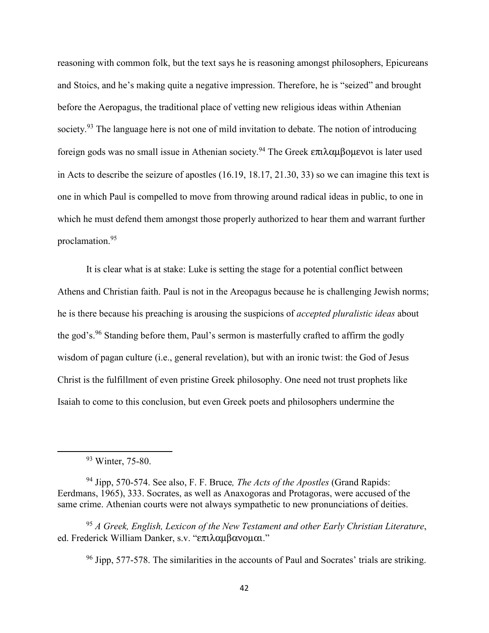reasoning with common folk, but the text says he is reasoning amongst philosophers, Epicureans and Stoics, and he's making quite a negative impression. Therefore, he is "seized" and brought before the Aeropagus, the traditional place of vetting new religious ideas within Athenian society.<sup>93</sup> The language here is not one of mild invitation to debate. The notion of introducing foreign gods was no small issue in Athenian society. <sup>94</sup> The Greek επιλαµβοµενοι is later used in Acts to describe the seizure of apostles (16.19, 18.17, 21.30, 33) so we can imagine this text is one in which Paul is compelled to move from throwing around radical ideas in public, to one in which he must defend them amongst those properly authorized to hear them and warrant further proclamation.<sup>95</sup>

It is clear what is at stake: Luke is setting the stage for a potential conflict between Athens and Christian faith. Paul is not in the Areopagus because he is challenging Jewish norms; he is there because his preaching is arousing the suspicions of *accepted pluralistic ideas* about the god's.<sup>96</sup> Standing before them, Paul's sermon is masterfully crafted to affirm the godly wisdom of pagan culture (i.e., general revelation), but with an ironic twist: the God of Jesus Christ is the fulfillment of even pristine Greek philosophy. One need not trust prophets like Isaiah to come to this conclusion, but even Greek poets and philosophers undermine the

 $\overline{\phantom{0}}$ 

<sup>94</sup> Jipp, 570-574. See also, F. F. Bruce*, The Acts of the Apostles* (Grand Rapids: Eerdmans, 1965), 333. Socrates, as well as Anaxogoras and Protagoras, were accused of the same crime. Athenian courts were not always sympathetic to new pronunciations of deities.

<sup>95</sup> *A Greek, English, Lexicon of the New Testament and other Early Christian Literature*, ed. Frederick William Danker, s.v. "επιλαµβανοµαι."

 $96$  Jipp, 577-578. The similarities in the accounts of Paul and Socrates' trials are striking.

<sup>&</sup>lt;sup>93</sup> Winter, 75-80.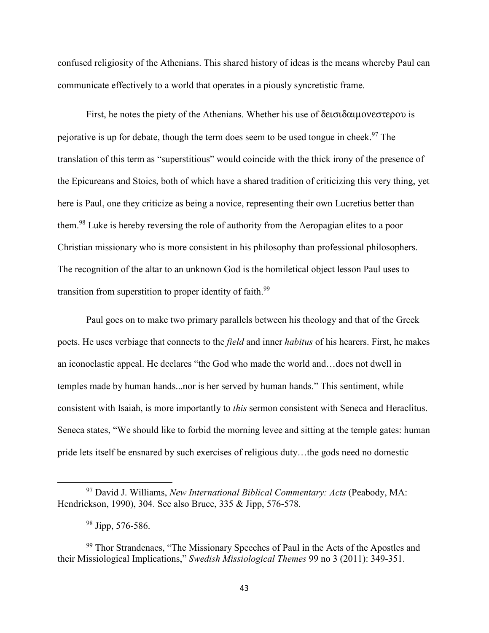confused religiosity of the Athenians. This shared history of ideas is the means whereby Paul can communicate effectively to a world that operates in a piously syncretistic frame.

First, he notes the piety of the Athenians. Whether his use of δεισιδαιμονεστερου is pejorative is up for debate, though the term does seem to be used tongue in cheek.<sup>97</sup> The translation of this term as "superstitious" would coincide with the thick irony of the presence of the Epicureans and Stoics, both of which have a shared tradition of criticizing this very thing, yet here is Paul, one they criticize as being a novice, representing their own Lucretius better than them.<sup>98</sup> Luke is hereby reversing the role of authority from the Aeropagian elites to a poor Christian missionary who is more consistent in his philosophy than professional philosophers. The recognition of the altar to an unknown God is the homiletical object lesson Paul uses to transition from superstition to proper identity of faith.<sup>99</sup>

Paul goes on to make two primary parallels between his theology and that of the Greek poets. He uses verbiage that connects to the *field* and inner *habitus* of his hearers. First, he makes an iconoclastic appeal. He declares "the God who made the world and…does not dwell in temples made by human hands...nor is her served by human hands." This sentiment, while consistent with Isaiah, is more importantly to *this* sermon consistent with Seneca and Heraclitus. Seneca states, "We should like to forbid the morning levee and sitting at the temple gates: human pride lets itself be ensnared by such exercises of religious duty…the gods need no domestic

<sup>97</sup> David J. Williams, *New International Biblical Commentary: Acts* (Peabody, MA: Hendrickson, 1990), 304. See also Bruce, 335 & Jipp, 576-578.

<sup>98</sup> Jipp, 576-586.

<sup>&</sup>lt;sup>99</sup> Thor Strandenaes, "The Missionary Speeches of Paul in the Acts of the Apostles and their Missiological Implications," *Swedish Missiological Themes* 99 no 3 (2011): 349-351.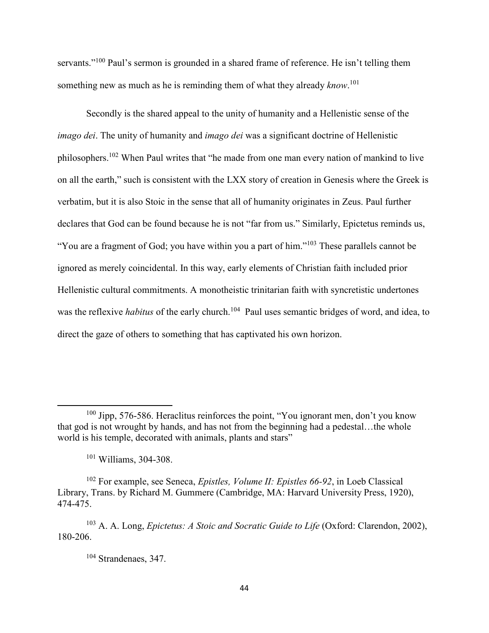servants."<sup>100</sup> Paul's sermon is grounded in a shared frame of reference. He isn't telling them something new as much as he is reminding them of what they already *know*. 101

Secondly is the shared appeal to the unity of humanity and a Hellenistic sense of the *imago dei*. The unity of humanity and *imago dei* was a significant doctrine of Hellenistic philosophers.<sup>102</sup> When Paul writes that "he made from one man every nation of mankind to live on all the earth," such is consistent with the LXX story of creation in Genesis where the Greek is verbatim, but it is also Stoic in the sense that all of humanity originates in Zeus. Paul further declares that God can be found because he is not "far from us." Similarly, Epictetus reminds us, "You are a fragment of God; you have within you a part of him."<sup>103</sup> These parallels cannot be ignored as merely coincidental. In this way, early elements of Christian faith included prior Hellenistic cultural commitments. A monotheistic trinitarian faith with syncretistic undertones was the reflexive *habitus* of the early church.<sup>104</sup> Paul uses semantic bridges of word, and idea, to direct the gaze of others to something that has captivated his own horizon.

<sup>100</sup> Jipp, 576-586. Heraclitus reinforces the point, "You ignorant men, don't you know that god is not wrought by hands, and has not from the beginning had a pedestal…the whole world is his temple, decorated with animals, plants and stars"

<sup>101</sup> Williams, 304-308.

<sup>102</sup> For example, see Seneca, *Epistles, Volume II: Epistles 66-92*, in Loeb Classical Library, Trans. by Richard M. Gummere (Cambridge, MA: Harvard University Press, 1920), 474-475.

<sup>103</sup> A. A. Long, *Epictetus: A Stoic and Socratic Guide to Life* (Oxford: Clarendon, 2002), 180-206.

<sup>104</sup> Strandenaes, 347.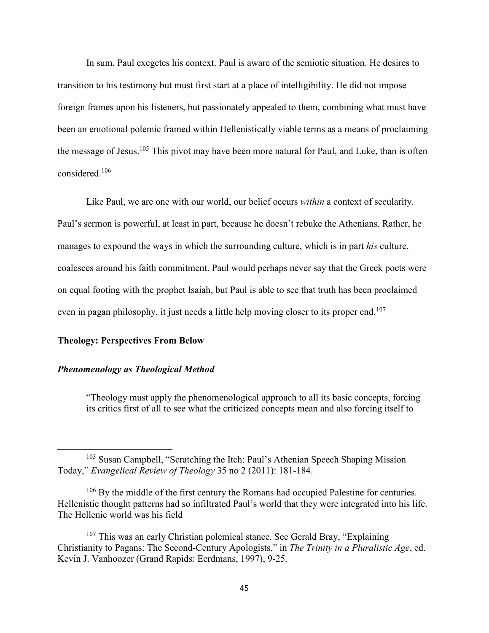In sum, Paul exegetes his context. Paul is aware of the semiotic situation. He desires to transition to his testimony but must first start at a place of intelligibility. He did not impose foreign frames upon his listeners, but passionately appealed to them, combining what must have been an emotional polemic framed within Hellenistically viable terms as a means of proclaiming the message of Jesus.<sup>105</sup> This pivot may have been more natural for Paul, and Luke, than is often considered.<sup>106</sup>

Like Paul, we are one with our world, our belief occurs *within* a context of secularity. Paul's sermon is powerful, at least in part, because he doesn't rebuke the Athenians. Rather, he manages to expound the ways in which the surrounding culture, which is in part *his* culture, coalesces around his faith commitment. Paul would perhaps never say that the Greek poets were on equal footing with the prophet Isaiah, but Paul is able to see that truth has been proclaimed even in pagan philosophy, it just needs a little help moving closer to its proper end.<sup>107</sup>

### **Theology: Perspectives From Below**

## *Phenomenology as Theological Method*

 $\overline{a}$ 

"Theology must apply the phenomenological approach to all its basic concepts, forcing its critics first of all to see what the criticized concepts mean and also forcing itself to

<sup>105</sup> Susan Campbell, "Scratching the Itch: Paul's Athenian Speech Shaping Mission Today," *Evangelical Review of Theology* 35 no 2 (2011): 181-184.

<sup>&</sup>lt;sup>106</sup> By the middle of the first century the Romans had occupied Palestine for centuries. Hellenistic thought patterns had so infiltrated Paul's world that they were integrated into his life. The Hellenic world was his field

 $107$  This was an early Christian polemical stance. See Gerald Bray, "Explaining Christianity to Pagans: The Second-Century Apologists," in *The Trinity in a Pluralistic Age*, ed. Kevin J. Vanhoozer (Grand Rapids: Eerdmans, 1997), 9-25.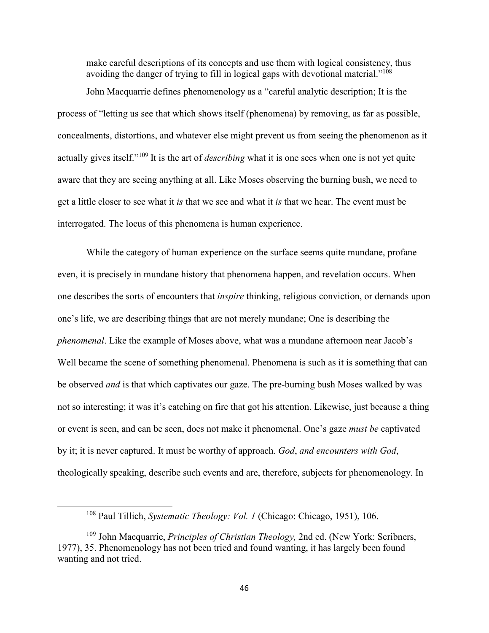make careful descriptions of its concepts and use them with logical consistency, thus avoiding the danger of trying to fill in logical gaps with devotional material."<sup>108</sup> John Macquarrie defines phenomenology as a "careful analytic description; It is the process of "letting us see that which shows itself (phenomena) by removing, as far as possible, concealments, distortions, and whatever else might prevent us from seeing the phenomenon as it actually gives itself."<sup>109</sup> It is the art of *describing* what it is one sees when one is not yet quite aware that they are seeing anything at all. Like Moses observing the burning bush, we need to get a little closer to see what it *is* that we see and what it *is* that we hear. The event must be interrogated. The locus of this phenomena is human experience.

While the category of human experience on the surface seems quite mundane, profane even, it is precisely in mundane history that phenomena happen, and revelation occurs. When one describes the sorts of encounters that *inspire* thinking, religious conviction, or demands upon one's life, we are describing things that are not merely mundane; One is describing the *phenomenal*. Like the example of Moses above, what was a mundane afternoon near Jacob's Well became the scene of something phenomenal. Phenomena is such as it is something that can be observed *and* is that which captivates our gaze. The pre-burning bush Moses walked by was not so interesting; it was it's catching on fire that got his attention. Likewise, just because a thing or event is seen, and can be seen, does not make it phenomenal. One's gaze *must be* captivated by it; it is never captured. It must be worthy of approach. *God*, *and encounters with God*, theologically speaking, describe such events and are, therefore, subjects for phenomenology. In

<sup>108</sup> Paul Tillich, *Systematic Theology: Vol. 1* (Chicago: Chicago, 1951), 106.

<sup>109</sup> John Macquarrie, *Principles of Christian Theology,* 2nd ed. (New York: Scribners, 1977), 35. Phenomenology has not been tried and found wanting, it has largely been found wanting and not tried.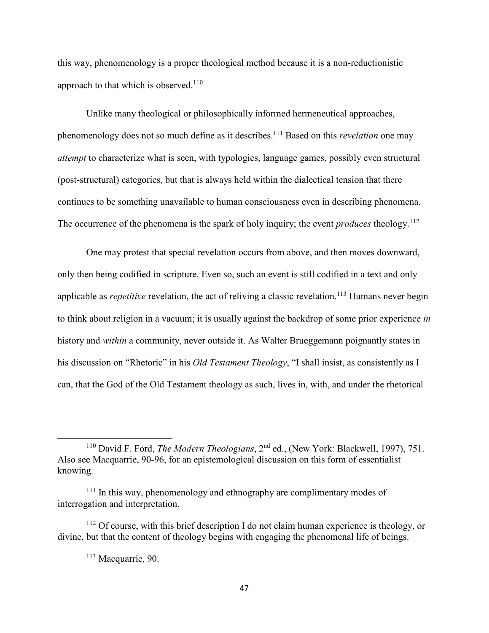this way, phenomenology is a proper theological method because it is a non-reductionistic approach to that which is observed. $110$ 

Unlike many theological or philosophically informed hermeneutical approaches, phenomenology does not so much define as it describes.<sup>111</sup> Based on this *revelation* one may *attempt* to characterize what is seen, with typologies, language games, possibly even structural (post-structural) categories, but that is always held within the dialectical tension that there continues to be something unavailable to human consciousness even in describing phenomena. The occurrence of the phenomena is the spark of holy inquiry; the event *produces* theology.<sup>112</sup>

One may protest that special revelation occurs from above, and then moves downward, only then being codified in scripture. Even so, such an event is still codified in a text and only applicable as *repetitive* revelation, the act of reliving a classic revelation.<sup>113</sup> Humans never begin to think about religion in a vacuum; it is usually against the backdrop of some prior experience *in* history and *within* a community, never outside it. As Walter Brueggemann poignantly states in his discussion on "Rhetoric" in his *Old Testament Theology*, "I shall insist, as consistently as I can, that the God of the Old Testament theology as such, lives in, with, and under the rhetorical

<sup>110</sup> David F. Ford, *The Modern Theologians*, 2nd ed., (New York: Blackwell, 1997), 751. Also see Macquarrie, 90-96, for an epistemological discussion on this form of essentialist knowing.

 $111$  In this way, phenomenology and ethnography are complimentary modes of interrogation and interpretation.

 $112$  Of course, with this brief description I do not claim human experience is theology, or divine, but that the content of theology begins with engaging the phenomenal life of beings.

<sup>113</sup> Macquarrie, 90.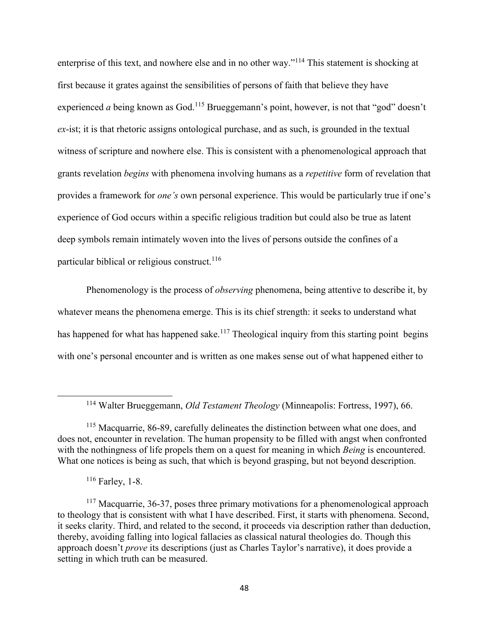enterprise of this text, and nowhere else and in no other way."<sup>114</sup> This statement is shocking at first because it grates against the sensibilities of persons of faith that believe they have experienced *a* being known as God.<sup>115</sup> Brueggemann's point, however, is not that "god" doesn't *ex*-ist; it is that rhetoric assigns ontological purchase, and as such, is grounded in the textual witness of scripture and nowhere else. This is consistent with a phenomenological approach that grants revelation *begins* with phenomena involving humans as a *repetitive* form of revelation that provides a framework for *one's* own personal experience. This would be particularly true if one's experience of God occurs within a specific religious tradition but could also be true as latent deep symbols remain intimately woven into the lives of persons outside the confines of a particular biblical or religious construct.<sup>116</sup>

Phenomenology is the process of *observing* phenomena, being attentive to describe it, by whatever means the phenomena emerge. This is its chief strength: it seeks to understand what has happened for what has happened sake.<sup>117</sup> Theological inquiry from this starting point begins with one's personal encounter and is written as one makes sense out of what happened either to

<sup>114</sup> Walter Brueggemann, *Old Testament Theology* (Minneapolis: Fortress, 1997), 66.

<sup>&</sup>lt;sup>115</sup> Macquarrie, 86-89, carefully delineates the distinction between what one does, and does not, encounter in revelation. The human propensity to be filled with angst when confronted with the nothingness of life propels them on a quest for meaning in which *Being* is encountered. What one notices is being as such, that which is beyond grasping, but not beyond description.

 $116$  Farley, 1-8.

<sup>&</sup>lt;sup>117</sup> Macquarrie, 36-37, poses three primary motivations for a phenomenological approach to theology that is consistent with what I have described. First, it starts with phenomena. Second, it seeks clarity. Third, and related to the second, it proceeds via description rather than deduction, thereby, avoiding falling into logical fallacies as classical natural theologies do. Though this approach doesn't *prove* its descriptions (just as Charles Taylor's narrative), it does provide a setting in which truth can be measured.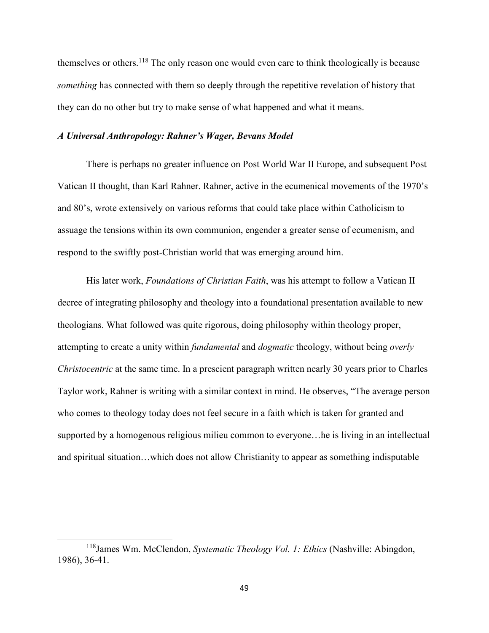themselves or others.<sup>118</sup> The only reason one would even care to think theologically is because *something* has connected with them so deeply through the repetitive revelation of history that they can do no other but try to make sense of what happened and what it means.

## *A Universal Anthropology: Rahner's Wager, Bevans Model*

There is perhaps no greater influence on Post World War II Europe, and subsequent Post Vatican II thought, than Karl Rahner. Rahner, active in the ecumenical movements of the 1970's and 80's, wrote extensively on various reforms that could take place within Catholicism to assuage the tensions within its own communion, engender a greater sense of ecumenism, and respond to the swiftly post-Christian world that was emerging around him.

His later work, *Foundations of Christian Faith*, was his attempt to follow a Vatican II decree of integrating philosophy and theology into a foundational presentation available to new theologians. What followed was quite rigorous, doing philosophy within theology proper, attempting to create a unity within *fundamental* and *dogmatic* theology, without being *overly Christocentric* at the same time. In a prescient paragraph written nearly 30 years prior to Charles Taylor work, Rahner is writing with a similar context in mind. He observes, "The average person who comes to theology today does not feel secure in a faith which is taken for granted and supported by a homogenous religious milieu common to everyone…he is living in an intellectual and spiritual situation…which does not allow Christianity to appear as something indisputable

<sup>118</sup>James Wm. McClendon, *Systematic Theology Vol. 1: Ethics* (Nashville: Abingdon, 1986), 36-41.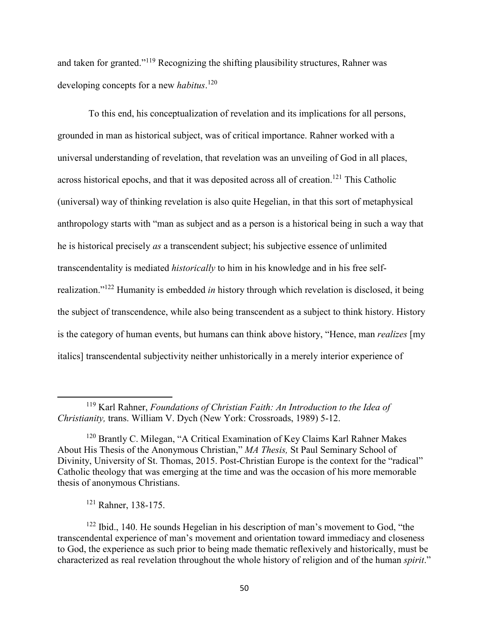and taken for granted."<sup>119</sup> Recognizing the shifting plausibility structures, Rahner was developing concepts for a new *habitus*. 120

 To this end, his conceptualization of revelation and its implications for all persons, grounded in man as historical subject, was of critical importance. Rahner worked with a universal understanding of revelation, that revelation was an unveiling of God in all places, across historical epochs, and that it was deposited across all of creation.<sup>121</sup> This Catholic (universal) way of thinking revelation is also quite Hegelian, in that this sort of metaphysical anthropology starts with "man as subject and as a person is a historical being in such a way that he is historical precisely *as* a transcendent subject; his subjective essence of unlimited transcendentality is mediated *historically* to him in his knowledge and in his free selfrealization."<sup>122</sup> Humanity is embedded *in* history through which revelation is disclosed, it being the subject of transcendence, while also being transcendent as a subject to think history. History is the category of human events, but humans can think above history, "Hence, man *realizes* [my italics] transcendental subjectivity neither unhistorically in a merely interior experience of

<sup>119</sup> Karl Rahner, *Foundations of Christian Faith: An Introduction to the Idea of Christianity,* trans. William V. Dych (New York: Crossroads, 1989) 5-12.

<sup>&</sup>lt;sup>120</sup> Brantly C. Milegan, "A Critical Examination of Key Claims Karl Rahner Makes About His Thesis of the Anonymous Christian," *MA Thesis,* St Paul Seminary School of Divinity, University of St. Thomas, 2015. Post-Christian Europe is the context for the "radical" Catholic theology that was emerging at the time and was the occasion of his more memorable thesis of anonymous Christians.

<sup>121</sup> Rahner, 138-175.

<sup>122</sup> Ibid., 140. He sounds Hegelian in his description of man's movement to God, "the transcendental experience of man's movement and orientation toward immediacy and closeness to God, the experience as such prior to being made thematic reflexively and historically, must be characterized as real revelation throughout the whole history of religion and of the human *spirit*."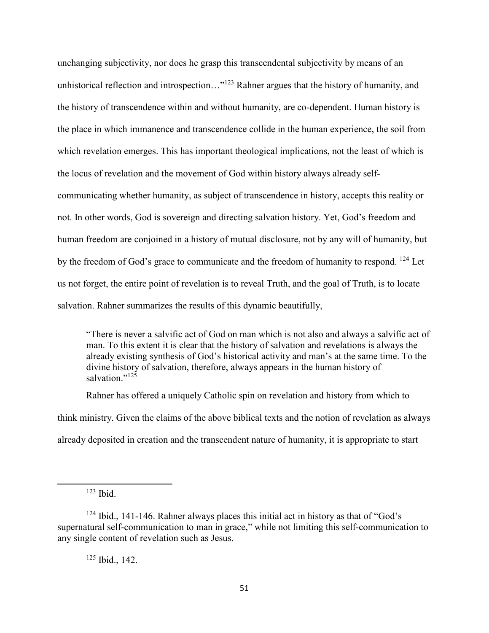unchanging subjectivity, nor does he grasp this transcendental subjectivity by means of an unhistorical reflection and introspection…"<sup>123</sup> Rahner argues that the history of humanity, and the history of transcendence within and without humanity, are co-dependent. Human history is the place in which immanence and transcendence collide in the human experience, the soil from which revelation emerges. This has important theological implications, not the least of which is the locus of revelation and the movement of God within history always already selfcommunicating whether humanity, as subject of transcendence in history, accepts this reality or not. In other words, God is sovereign and directing salvation history. Yet, God's freedom and human freedom are conjoined in a history of mutual disclosure, not by any will of humanity, but by the freedom of God's grace to communicate and the freedom of humanity to respond. <sup>124</sup> Let us not forget, the entire point of revelation is to reveal Truth, and the goal of Truth, is to locate salvation. Rahner summarizes the results of this dynamic beautifully,

"There is never a salvific act of God on man which is not also and always a salvific act of man. To this extent it is clear that the history of salvation and revelations is always the already existing synthesis of God's historical activity and man's at the same time. To the divine history of salvation, therefore, always appears in the human history of salvation."<sup>125</sup>

Rahner has offered a uniquely Catholic spin on revelation and history from which to think ministry. Given the claims of the above biblical texts and the notion of revelation as always already deposited in creation and the transcendent nature of humanity, it is appropriate to start

l

 $125$  Ibid., 142.

 $123$  Ibid.

 $124$  Ibid., 141-146. Rahner always places this initial act in history as that of "God's" supernatural self-communication to man in grace," while not limiting this self-communication to any single content of revelation such as Jesus.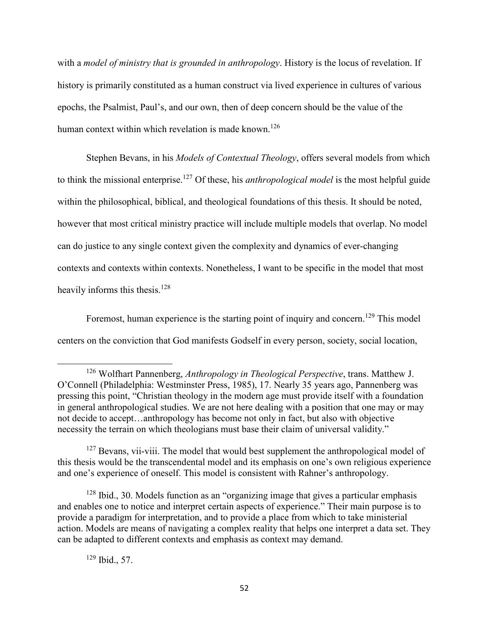with a *model of ministry that is grounded in anthropology*. History is the locus of revelation. If history is primarily constituted as a human construct via lived experience in cultures of various epochs, the Psalmist, Paul's, and our own, then of deep concern should be the value of the human context within which revelation is made known.<sup>126</sup>

Stephen Bevans, in his *Models of Contextual Theology*, offers several models from which to think the missional enterprise.<sup>127</sup> Of these, his *anthropological model* is the most helpful guide within the philosophical, biblical, and theological foundations of this thesis. It should be noted, however that most critical ministry practice will include multiple models that overlap. No model can do justice to any single context given the complexity and dynamics of ever-changing contexts and contexts within contexts. Nonetheless, I want to be specific in the model that most heavily informs this thesis.<sup>128</sup>

Foremost, human experience is the starting point of inquiry and concern.<sup>129</sup> This model centers on the conviction that God manifests Godself in every person, society, social location,

<sup>128</sup> Ibid., 30. Models function as an "organizing image that gives a particular emphasis and enables one to notice and interpret certain aspects of experience." Their main purpose is to provide a paradigm for interpretation, and to provide a place from which to take ministerial action. Models are means of navigating a complex reality that helps one interpret a data set. They can be adapted to different contexts and emphasis as context may demand.

<sup>126</sup> Wolfhart Pannenberg, *Anthropology in Theological Perspective*, trans. Matthew J. O'Connell (Philadelphia: Westminster Press, 1985), 17. Nearly 35 years ago, Pannenberg was pressing this point, "Christian theology in the modern age must provide itself with a foundation in general anthropological studies. We are not here dealing with a position that one may or may not decide to accept…anthropology has become not only in fact, but also with objective necessity the terrain on which theologians must base their claim of universal validity."

<sup>&</sup>lt;sup>127</sup> Bevans, vii-viii. The model that would best supplement the anthropological model of this thesis would be the transcendental model and its emphasis on one's own religious experience and one's experience of oneself. This model is consistent with Rahner's anthropology.

<sup>129</sup> Ibid., 57.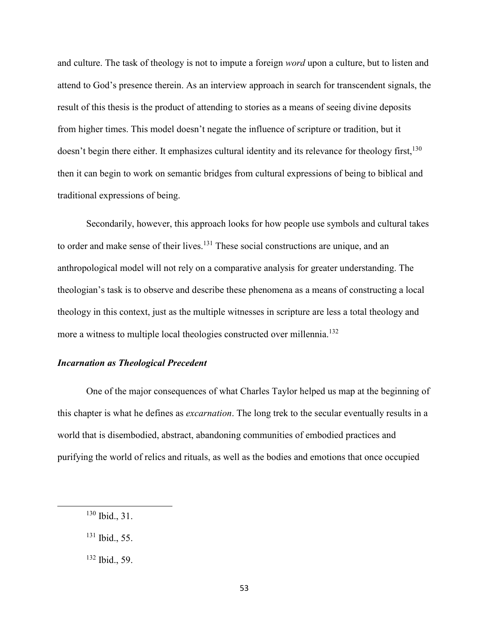and culture. The task of theology is not to impute a foreign *word* upon a culture, but to listen and attend to God's presence therein. As an interview approach in search for transcendent signals, the result of this thesis is the product of attending to stories as a means of seeing divine deposits from higher times. This model doesn't negate the influence of scripture or tradition, but it doesn't begin there either. It emphasizes cultural identity and its relevance for theology first,<sup>130</sup> then it can begin to work on semantic bridges from cultural expressions of being to biblical and traditional expressions of being.

Secondarily, however, this approach looks for how people use symbols and cultural takes to order and make sense of their lives.<sup>131</sup> These social constructions are unique, and an anthropological model will not rely on a comparative analysis for greater understanding. The theologian's task is to observe and describe these phenomena as a means of constructing a local theology in this context, just as the multiple witnesses in scripture are less a total theology and more a witness to multiple local theologies constructed over millennia.<sup>132</sup>

# *Incarnation as Theological Precedent*

One of the major consequences of what Charles Taylor helped us map at the beginning of this chapter is what he defines as *excarnation*. The long trek to the secular eventually results in a world that is disembodied, abstract, abandoning communities of embodied practices and purifying the world of relics and rituals, as well as the bodies and emotions that once occupied

<sup>130</sup> Ibid., 31.

<sup>131</sup> Ibid., 55.

<sup>132</sup> Ibid., 59.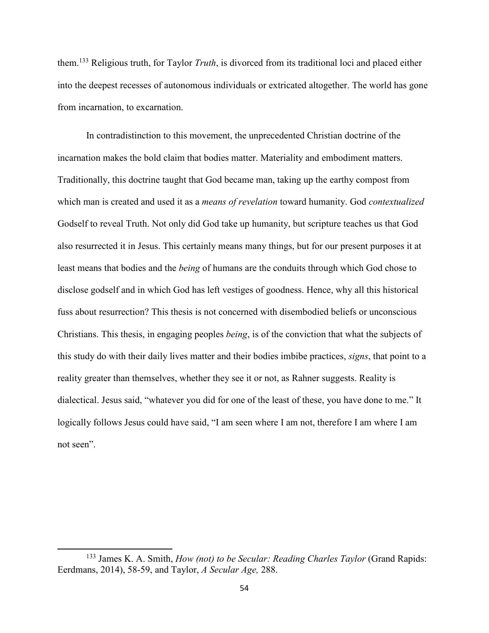them.<sup>133</sup> Religious truth, for Taylor *Truth*, is divorced from its traditional loci and placed either into the deepest recesses of autonomous individuals or extricated altogether. The world has gone from incarnation, to excarnation.

 In contradistinction to this movement, the unprecedented Christian doctrine of the incarnation makes the bold claim that bodies matter. Materiality and embodiment matters. Traditionally, this doctrine taught that God became man, taking up the earthy compost from which man is created and used it as a *means of revelation* toward humanity. God *contextualized* Godself to reveal Truth. Not only did God take up humanity, but scripture teaches us that God also resurrected it in Jesus. This certainly means many things, but for our present purposes it at least means that bodies and the *being* of humans are the conduits through which God chose to disclose godself and in which God has left vestiges of goodness. Hence, why all this historical fuss about resurrection? This thesis is not concerned with disembodied beliefs or unconscious Christians. This thesis, in engaging peoples *being*, is of the conviction that what the subjects of this study do with their daily lives matter and their bodies imbibe practices, *signs*, that point to a reality greater than themselves, whether they see it or not, as Rahner suggests. Reality is dialectical. Jesus said, "whatever you did for one of the least of these, you have done to me." It logically follows Jesus could have said, "I am seen where I am not, therefore I am where I am not seen".

<sup>&</sup>lt;sup>133</sup> James K. A. Smith, *How (not) to be Secular: Reading Charles Taylor* (Grand Rapids: Eerdmans, 2014), 58-59, and Taylor, *A Secular Age,* 288.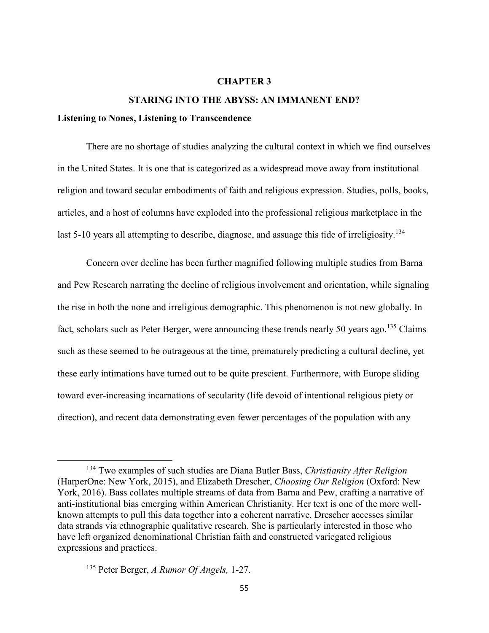#### **CHAPTER 3**

### **STARING INTO THE ABYSS: AN IMMANENT END?**

## **Listening to Nones, Listening to Transcendence**

There are no shortage of studies analyzing the cultural context in which we find ourselves in the United States. It is one that is categorized as a widespread move away from institutional religion and toward secular embodiments of faith and religious expression. Studies, polls, books, articles, and a host of columns have exploded into the professional religious marketplace in the last 5-10 years all attempting to describe, diagnose, and assuage this tide of irreligiosity.<sup>134</sup>

Concern over decline has been further magnified following multiple studies from Barna and Pew Research narrating the decline of religious involvement and orientation, while signaling the rise in both the none and irreligious demographic. This phenomenon is not new globally. In fact, scholars such as Peter Berger, were announcing these trends nearly 50 years ago.<sup>135</sup> Claims such as these seemed to be outrageous at the time, prematurely predicting a cultural decline, yet these early intimations have turned out to be quite prescient. Furthermore, with Europe sliding toward ever-increasing incarnations of secularity (life devoid of intentional religious piety or direction), and recent data demonstrating even fewer percentages of the population with any

<sup>134</sup> Two examples of such studies are Diana Butler Bass, *Christianity After Religion* (HarperOne: New York, 2015), and Elizabeth Drescher, *Choosing Our Religion* (Oxford: New York, 2016). Bass collates multiple streams of data from Barna and Pew, crafting a narrative of anti-institutional bias emerging within American Christianity. Her text is one of the more wellknown attempts to pull this data together into a coherent narrative. Drescher accesses similar data strands via ethnographic qualitative research. She is particularly interested in those who have left organized denominational Christian faith and constructed variegated religious expressions and practices.

<sup>135</sup> Peter Berger, *A Rumor Of Angels,* 1-27.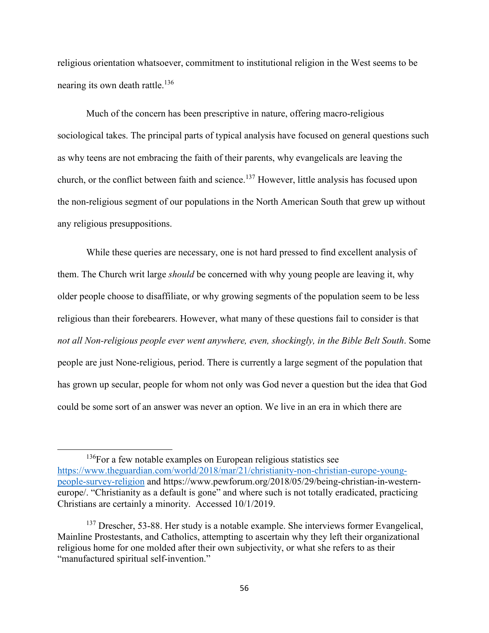religious orientation whatsoever, commitment to institutional religion in the West seems to be nearing its own death rattle.<sup>136</sup>

Much of the concern has been prescriptive in nature, offering macro-religious sociological takes. The principal parts of typical analysis have focused on general questions such as why teens are not embracing the faith of their parents, why evangelicals are leaving the church, or the conflict between faith and science.<sup>137</sup> However, little analysis has focused upon the non-religious segment of our populations in the North American South that grew up without any religious presuppositions.

While these queries are necessary, one is not hard pressed to find excellent analysis of them. The Church writ large *should* be concerned with why young people are leaving it, why older people choose to disaffiliate, or why growing segments of the population seem to be less religious than their forebearers. However, what many of these questions fail to consider is that *not all Non-religious people ever went anywhere, even, shockingly, in the Bible Belt South*. Some people are just None-religious, period. There is currently a large segment of the population that has grown up secular, people for whom not only was God never a question but the idea that God could be some sort of an answer was never an option. We live in an era in which there are

<sup>&</sup>lt;sup>136</sup>For a few notable examples on European religious statistics see https://www.theguardian.com/world/2018/mar/21/christianity-non-christian-europe-youngpeople-survey-religion and https://www.pewforum.org/2018/05/29/being-christian-in-westerneurope/. "Christianity as a default is gone" and where such is not totally eradicated, practicing Christians are certainly a minority. Accessed 10/1/2019.

<sup>&</sup>lt;sup>137</sup> Drescher, 53-88. Her study is a notable example. She interviews former Evangelical, Mainline Prostestants, and Catholics, attempting to ascertain why they left their organizational religious home for one molded after their own subjectivity, or what she refers to as their "manufactured spiritual self-invention."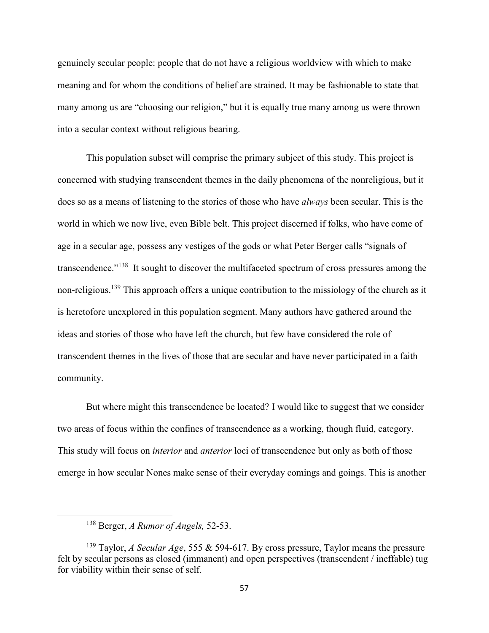genuinely secular people: people that do not have a religious worldview with which to make meaning and for whom the conditions of belief are strained. It may be fashionable to state that many among us are "choosing our religion," but it is equally true many among us were thrown into a secular context without religious bearing.

This population subset will comprise the primary subject of this study. This project is concerned with studying transcendent themes in the daily phenomena of the nonreligious, but it does so as a means of listening to the stories of those who have *always* been secular. This is the world in which we now live, even Bible belt. This project discerned if folks, who have come of age in a secular age, possess any vestiges of the gods or what Peter Berger calls "signals of transcendence."<sup>138</sup> It sought to discover the multifaceted spectrum of cross pressures among the non-religious.<sup>139</sup> This approach offers a unique contribution to the missiology of the church as it is heretofore unexplored in this population segment. Many authors have gathered around the ideas and stories of those who have left the church, but few have considered the role of transcendent themes in the lives of those that are secular and have never participated in a faith community.

But where might this transcendence be located? I would like to suggest that we consider two areas of focus within the confines of transcendence as a working, though fluid, category. This study will focus on *interior* and *anterior* loci of transcendence but only as both of those emerge in how secular Nones make sense of their everyday comings and goings. This is another

<sup>138</sup> Berger, *A Rumor of Angels,* 52-53.

<sup>139</sup> Taylor, *A Secular Age*, 555 & 594-617. By cross pressure, Taylor means the pressure felt by secular persons as closed (immanent) and open perspectives (transcendent / ineffable) tug for viability within their sense of self.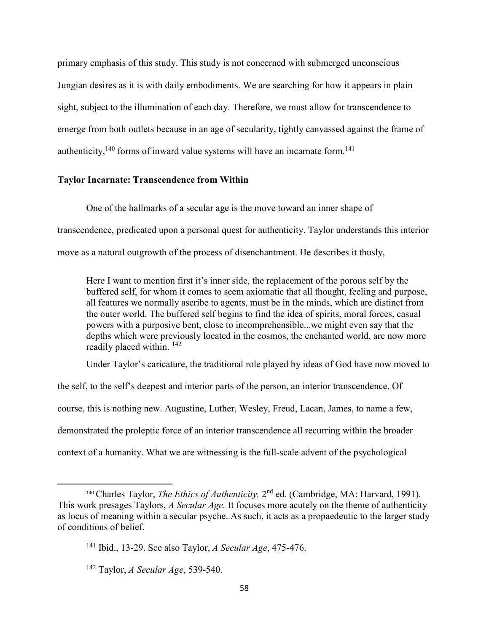primary emphasis of this study. This study is not concerned with submerged unconscious Jungian desires as it is with daily embodiments. We are searching for how it appears in plain sight, subject to the illumination of each day. Therefore, we must allow for transcendence to emerge from both outlets because in an age of secularity, tightly canvassed against the frame of authenticity,<sup>140</sup> forms of inward value systems will have an incarnate form.<sup>141</sup>

# **Taylor Incarnate: Transcendence from Within**

One of the hallmarks of a secular age is the move toward an inner shape of

transcendence, predicated upon a personal quest for authenticity. Taylor understands this interior

move as a natural outgrowth of the process of disenchantment. He describes it thusly,

Here I want to mention first it's inner side, the replacement of the porous self by the buffered self, for whom it comes to seem axiomatic that all thought, feeling and purpose, all features we normally ascribe to agents, must be in the minds, which are distinct from the outer world. The buffered self begins to find the idea of spirits, moral forces, casual powers with a purposive bent, close to incomprehensible...we might even say that the depths which were previously located in the cosmos, the enchanted world, are now more readily placed within. <sup>142</sup>

Under Taylor's caricature, the traditional role played by ideas of God have now moved to

the self, to the self's deepest and interior parts of the person, an interior transcendence. Of course, this is nothing new. Augustine, Luther, Wesley, Freud, Lacan, James, to name a few, demonstrated the proleptic force of an interior transcendence all recurring within the broader context of a humanity. What we are witnessing is the full-scale advent of the psychological

<sup>&</sup>lt;sup>140</sup> Charles Taylor, *The Ethics of Authenticity*, 2<sup>nd</sup> ed. (Cambridge, MA: Harvard, 1991). This work presages Taylors, *A Secular Age.* It focuses more acutely on the theme of authenticity as locus of meaning within a secular psyche. As such, it acts as a propaedeutic to the larger study of conditions of belief.

<sup>141</sup> Ibid., 13-29. See also Taylor, *A Secular Age*, 475-476.

<sup>142</sup> Taylor, *A Secular Age*, 539-540.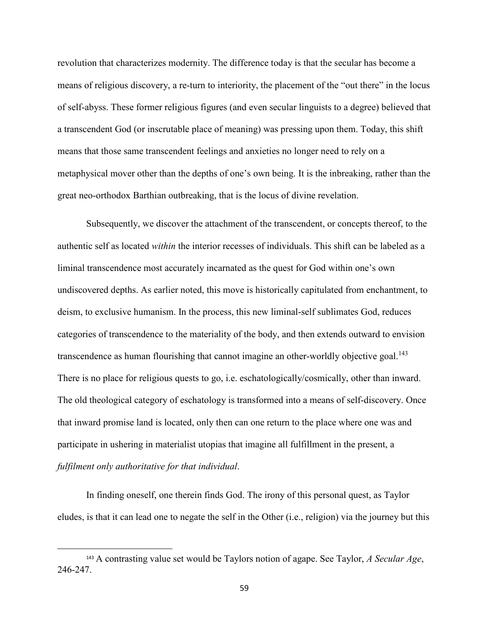revolution that characterizes modernity. The difference today is that the secular has become a means of religious discovery, a re-turn to interiority, the placement of the "out there" in the locus of self-abyss. These former religious figures (and even secular linguists to a degree) believed that a transcendent God (or inscrutable place of meaning) was pressing upon them. Today, this shift means that those same transcendent feelings and anxieties no longer need to rely on a metaphysical mover other than the depths of one's own being. It is the inbreaking, rather than the great neo-orthodox Barthian outbreaking, that is the locus of divine revelation.

Subsequently, we discover the attachment of the transcendent, or concepts thereof, to the authentic self as located *within* the interior recesses of individuals. This shift can be labeled as a liminal transcendence most accurately incarnated as the quest for God within one's own undiscovered depths. As earlier noted, this move is historically capitulated from enchantment, to deism, to exclusive humanism. In the process, this new liminal-self sublimates God, reduces categories of transcendence to the materiality of the body, and then extends outward to envision transcendence as human flourishing that cannot imagine an other-worldly objective goal.<sup>143</sup> There is no place for religious quests to go, i.e. eschatologically/cosmically, other than inward. The old theological category of eschatology is transformed into a means of self-discovery. Once that inward promise land is located, only then can one return to the place where one was and participate in ushering in materialist utopias that imagine all fulfillment in the present, a *fulfilment only authoritative for that individual*.

In finding oneself, one therein finds God. The irony of this personal quest, as Taylor eludes, is that it can lead one to negate the self in the Other (i.e., religion) via the journey but this

<sup>143</sup> A contrasting value set would be Taylors notion of agape. See Taylor, *A Secular Age*, 246-247.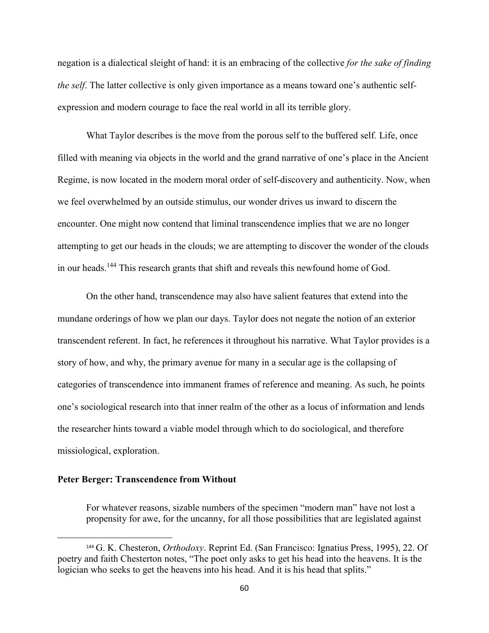negation is a dialectical sleight of hand: it is an embracing of the collective *for the sake of finding the self*. The latter collective is only given importance as a means toward one's authentic selfexpression and modern courage to face the real world in all its terrible glory.

What Taylor describes is the move from the porous self to the buffered self. Life, once filled with meaning via objects in the world and the grand narrative of one's place in the Ancient Regime, is now located in the modern moral order of self-discovery and authenticity. Now, when we feel overwhelmed by an outside stimulus, our wonder drives us inward to discern the encounter. One might now contend that liminal transcendence implies that we are no longer attempting to get our heads in the clouds; we are attempting to discover the wonder of the clouds in our heads.<sup>144</sup> This research grants that shift and reveals this newfound home of God.

On the other hand, transcendence may also have salient features that extend into the mundane orderings of how we plan our days. Taylor does not negate the notion of an exterior transcendent referent. In fact, he references it throughout his narrative. What Taylor provides is a story of how, and why, the primary avenue for many in a secular age is the collapsing of categories of transcendence into immanent frames of reference and meaning. As such, he points one's sociological research into that inner realm of the other as a locus of information and lends the researcher hints toward a viable model through which to do sociological, and therefore missiological, exploration.

### **Peter Berger: Transcendence from Without**

 $\overline{\phantom{0}}$ 

For whatever reasons, sizable numbers of the specimen "modern man" have not lost a propensity for awe, for the uncanny, for all those possibilities that are legislated against

<sup>144</sup> G. K. Chesteron, *Orthodoxy*. Reprint Ed. (San Francisco: Ignatius Press, 1995), 22. Of poetry and faith Chesterton notes, "The poet only asks to get his head into the heavens. It is the logician who seeks to get the heavens into his head. And it is his head that splits."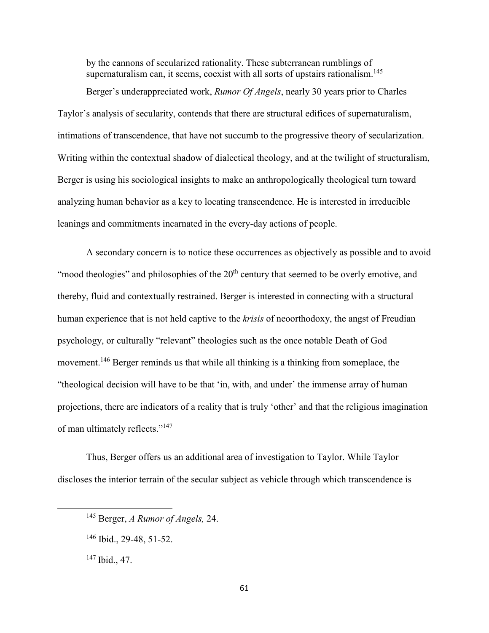by the cannons of secularized rationality. These subterranean rumblings of supernaturalism can, it seems, coexist with all sorts of upstairs rationalism.<sup>145</sup>

 Berger's underappreciated work, *Rumor Of Angels*, nearly 30 years prior to Charles Taylor's analysis of secularity, contends that there are structural edifices of supernaturalism, intimations of transcendence, that have not succumb to the progressive theory of secularization. Writing within the contextual shadow of dialectical theology, and at the twilight of structuralism, Berger is using his sociological insights to make an anthropologically theological turn toward analyzing human behavior as a key to locating transcendence. He is interested in irreducible leanings and commitments incarnated in the every-day actions of people.

A secondary concern is to notice these occurrences as objectively as possible and to avoid "mood theologies" and philosophies of the  $20<sup>th</sup>$  century that seemed to be overly emotive, and thereby, fluid and contextually restrained. Berger is interested in connecting with a structural human experience that is not held captive to the *krisis* of neoorthodoxy, the angst of Freudian psychology, or culturally "relevant" theologies such as the once notable Death of God movement.<sup>146</sup> Berger reminds us that while all thinking is a thinking from someplace, the "theological decision will have to be that 'in, with, and under' the immense array of human projections, there are indicators of a reality that is truly 'other' and that the religious imagination of man ultimately reflects."<sup>147</sup>

Thus, Berger offers us an additional area of investigation to Taylor. While Taylor discloses the interior terrain of the secular subject as vehicle through which transcendence is

<sup>145</sup> Berger, *A Rumor of Angels,* 24.

<sup>146</sup> Ibid., 29-48, 51-52.

<sup>147</sup> Ibid., 47.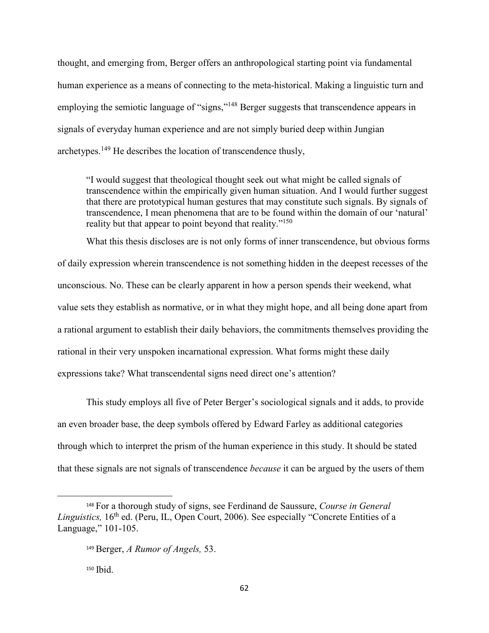thought, and emerging from, Berger offers an anthropological starting point via fundamental human experience as a means of connecting to the meta-historical. Making a linguistic turn and employing the semiotic language of "signs,"<sup>148</sup> Berger suggests that transcendence appears in signals of everyday human experience and are not simply buried deep within Jungian archetypes.<sup>149</sup> He describes the location of transcendence thusly,

"I would suggest that theological thought seek out what might be called signals of transcendence within the empirically given human situation. And I would further suggest that there are prototypical human gestures that may constitute such signals. By signals of transcendence, I mean phenomena that are to be found within the domain of our 'natural' reality but that appear to point beyond that reality."<sup>150</sup>

 What this thesis discloses are is not only forms of inner transcendence, but obvious forms of daily expression wherein transcendence is not something hidden in the deepest recesses of the unconscious. No. These can be clearly apparent in how a person spends their weekend, what value sets they establish as normative, or in what they might hope, and all being done apart from a rational argument to establish their daily behaviors, the commitments themselves providing the rational in their very unspoken incarnational expression. What forms might these daily expressions take? What transcendental signs need direct one's attention?

 This study employs all five of Peter Berger's sociological signals and it adds, to provide an even broader base, the deep symbols offered by Edward Farley as additional categories through which to interpret the prism of the human experience in this study. It should be stated that these signals are not signals of transcendence *because* it can be argued by the users of them

<sup>148</sup> For a thorough study of signs, see Ferdinand de Saussure, *Course in General*  Linguistics, 16<sup>th</sup> ed. (Peru, IL, Open Court, 2006). See especially "Concrete Entities of a Language," 101-105.

<sup>149</sup> Berger, *A Rumor of Angels,* 53.

<sup>&</sup>lt;sup>150</sup> Ibid.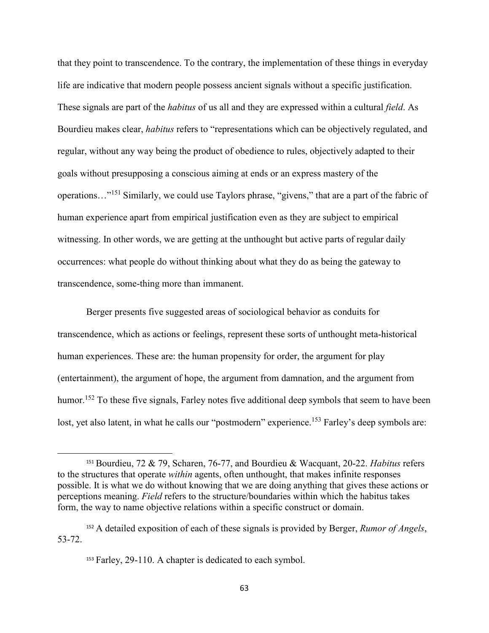that they point to transcendence. To the contrary, the implementation of these things in everyday life are indicative that modern people possess ancient signals without a specific justification. These signals are part of the *habitus* of us all and they are expressed within a cultural *field*. As Bourdieu makes clear, *habitus* refers to "representations which can be objectively regulated, and regular, without any way being the product of obedience to rules, objectively adapted to their goals without presupposing a conscious aiming at ends or an express mastery of the operations…"<sup>151</sup> Similarly, we could use Taylors phrase, "givens," that are a part of the fabric of human experience apart from empirical justification even as they are subject to empirical witnessing. In other words, we are getting at the unthought but active parts of regular daily occurrences: what people do without thinking about what they do as being the gateway to transcendence, some-thing more than immanent.

 Berger presents five suggested areas of sociological behavior as conduits for transcendence, which as actions or feelings, represent these sorts of unthought meta-historical human experiences. These are: the human propensity for order, the argument for play (entertainment), the argument of hope, the argument from damnation, and the argument from humor.<sup>152</sup> To these five signals, Farley notes five additional deep symbols that seem to have been lost, yet also latent, in what he calls our "postmodern" experience.<sup>153</sup> Farley's deep symbols are:

<sup>151</sup> Bourdieu, 72 & 79, Scharen, 76-77, and Bourdieu & Wacquant, 20-22. *Habitus* refers to the structures that operate *within* agents, often unthought, that makes infinite responses possible. It is what we do without knowing that we are doing anything that gives these actions or perceptions meaning. *Field* refers to the structure/boundaries within which the habitus takes form, the way to name objective relations within a specific construct or domain.

<sup>152</sup> A detailed exposition of each of these signals is provided by Berger, *Rumor of Angels*, 53-72.

<sup>153</sup> Farley, 29-110. A chapter is dedicated to each symbol.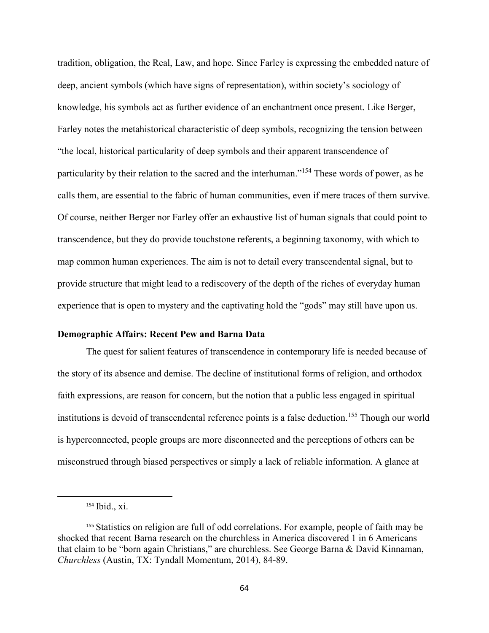tradition, obligation, the Real, Law, and hope. Since Farley is expressing the embedded nature of deep, ancient symbols (which have signs of representation), within society's sociology of knowledge, his symbols act as further evidence of an enchantment once present. Like Berger, Farley notes the metahistorical characteristic of deep symbols, recognizing the tension between "the local, historical particularity of deep symbols and their apparent transcendence of particularity by their relation to the sacred and the interhuman."<sup>154</sup> These words of power, as he calls them, are essential to the fabric of human communities, even if mere traces of them survive. Of course, neither Berger nor Farley offer an exhaustive list of human signals that could point to transcendence, but they do provide touchstone referents, a beginning taxonomy, with which to map common human experiences. The aim is not to detail every transcendental signal, but to provide structure that might lead to a rediscovery of the depth of the riches of everyday human experience that is open to mystery and the captivating hold the "gods" may still have upon us.

## **Demographic Affairs: Recent Pew and Barna Data**

 The quest for salient features of transcendence in contemporary life is needed because of the story of its absence and demise. The decline of institutional forms of religion, and orthodox faith expressions, are reason for concern, but the notion that a public less engaged in spiritual institutions is devoid of transcendental reference points is a false deduction.<sup>155</sup> Though our world is hyperconnected, people groups are more disconnected and the perceptions of others can be misconstrued through biased perspectives or simply a lack of reliable information. A glance at

<sup>154</sup> Ibid., xi.

<sup>155</sup> Statistics on religion are full of odd correlations. For example, people of faith may be shocked that recent Barna research on the churchless in America discovered 1 in 6 Americans that claim to be "born again Christians," are churchless. See George Barna & David Kinnaman, *Churchless* (Austin, TX: Tyndall Momentum, 2014), 84-89.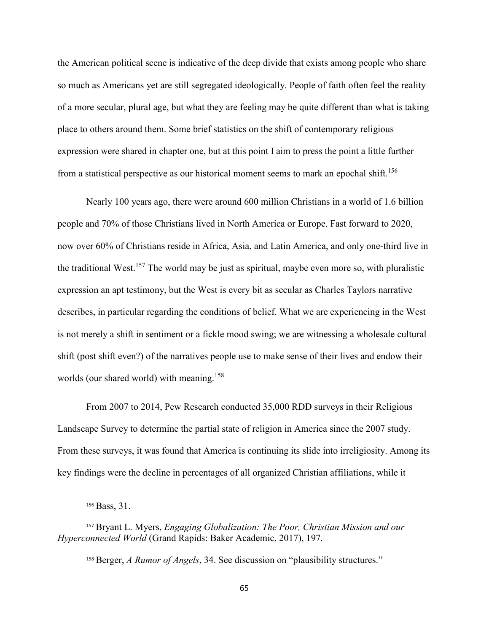the American political scene is indicative of the deep divide that exists among people who share so much as Americans yet are still segregated ideologically. People of faith often feel the reality of a more secular, plural age, but what they are feeling may be quite different than what is taking place to others around them. Some brief statistics on the shift of contemporary religious expression were shared in chapter one, but at this point I aim to press the point a little further from a statistical perspective as our historical moment seems to mark an epochal shift.<sup>156</sup>

Nearly 100 years ago, there were around 600 million Christians in a world of 1.6 billion people and 70% of those Christians lived in North America or Europe. Fast forward to 2020, now over 60% of Christians reside in Africa, Asia, and Latin America, and only one-third live in the traditional West.<sup>157</sup> The world may be just as spiritual, maybe even more so, with pluralistic expression an apt testimony, but the West is every bit as secular as Charles Taylors narrative describes, in particular regarding the conditions of belief. What we are experiencing in the West is not merely a shift in sentiment or a fickle mood swing; we are witnessing a wholesale cultural shift (post shift even?) of the narratives people use to make sense of their lives and endow their worlds (our shared world) with meaning.<sup>158</sup>

 From 2007 to 2014, Pew Research conducted 35,000 RDD surveys in their Religious Landscape Survey to determine the partial state of religion in America since the 2007 study. From these surveys, it was found that America is continuing its slide into irreligiosity. Among its key findings were the decline in percentages of all organized Christian affiliations, while it

<sup>156</sup> Bass, 31.

<sup>157</sup> Bryant L. Myers, *Engaging Globalization: The Poor, Christian Mission and our Hyperconnected World* (Grand Rapids: Baker Academic, 2017), 197.

<sup>158</sup> Berger, *A Rumor of Angels*, 34. See discussion on "plausibility structures."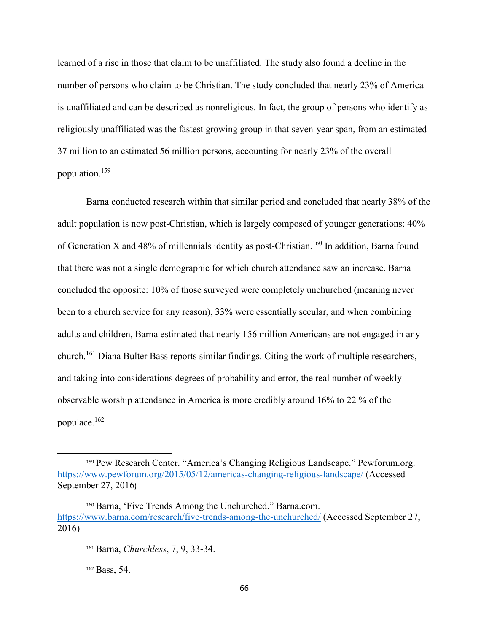learned of a rise in those that claim to be unaffiliated. The study also found a decline in the number of persons who claim to be Christian. The study concluded that nearly 23% of America is unaffiliated and can be described as nonreligious. In fact, the group of persons who identify as religiously unaffiliated was the fastest growing group in that seven-year span, from an estimated 37 million to an estimated 56 million persons, accounting for nearly 23% of the overall population.<sup>159</sup>

Barna conducted research within that similar period and concluded that nearly 38% of the adult population is now post-Christian, which is largely composed of younger generations: 40% of Generation X and 48% of millennials identity as post-Christian.<sup>160</sup> In addition, Barna found that there was not a single demographic for which church attendance saw an increase. Barna concluded the opposite: 10% of those surveyed were completely unchurched (meaning never been to a church service for any reason), 33% were essentially secular, and when combining adults and children, Barna estimated that nearly 156 million Americans are not engaged in any church.<sup>161</sup> Diana Bulter Bass reports similar findings. Citing the work of multiple researchers, and taking into considerations degrees of probability and error, the real number of weekly observable worship attendance in America is more credibly around 16% to 22 % of the populace.<sup>162</sup>

<sup>162</sup> Bass, 54.

<sup>159</sup> Pew Research Center. "America's Changing Religious Landscape." Pewforum.org. https://www.pewforum.org/2015/05/12/americas-changing-religious-landscape/ (Accessed September 27, 2016)

<sup>160</sup> Barna, 'Five Trends Among the Unchurched." Barna.com. https://www.barna.com/research/five-trends-among-the-unchurched/ (Accessed September 27, 2016)

<sup>161</sup> Barna, *Churchless*, 7, 9, 33-34.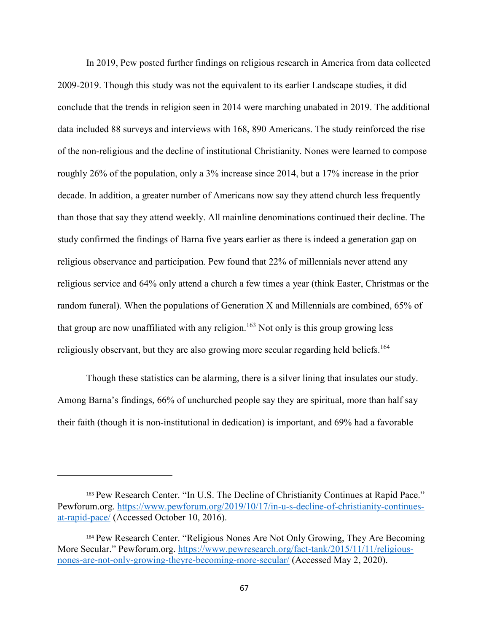In 2019, Pew posted further findings on religious research in America from data collected 2009-2019. Though this study was not the equivalent to its earlier Landscape studies, it did conclude that the trends in religion seen in 2014 were marching unabated in 2019. The additional data included 88 surveys and interviews with 168, 890 Americans. The study reinforced the rise of the non-religious and the decline of institutional Christianity. Nones were learned to compose roughly 26% of the population, only a 3% increase since 2014, but a 17% increase in the prior decade. In addition, a greater number of Americans now say they attend church less frequently than those that say they attend weekly. All mainline denominations continued their decline. The study confirmed the findings of Barna five years earlier as there is indeed a generation gap on religious observance and participation. Pew found that 22% of millennials never attend any religious service and 64% only attend a church a few times a year (think Easter, Christmas or the random funeral). When the populations of Generation X and Millennials are combined, 65% of that group are now unaffiliated with any religion.<sup>163</sup> Not only is this group growing less religiously observant, but they are also growing more secular regarding held beliefs.<sup>164</sup>

Though these statistics can be alarming, there is a silver lining that insulates our study. Among Barna's findings, 66% of unchurched people say they are spiritual, more than half say their faith (though it is non-institutional in dedication) is important, and 69% had a favorable

<sup>163</sup> Pew Research Center. "In U.S. The Decline of Christianity Continues at Rapid Pace." Pewforum.org. https://www.pewforum.org/2019/10/17/in-u-s-decline-of-christianity-continuesat-rapid-pace/ (Accessed October 10, 2016).

<sup>164</sup> Pew Research Center. "Religious Nones Are Not Only Growing, They Are Becoming More Secular." Pewforum.org. https://www.pewresearch.org/fact-tank/2015/11/11/religiousnones-are-not-only-growing-theyre-becoming-more-secular/ (Accessed May 2, 2020).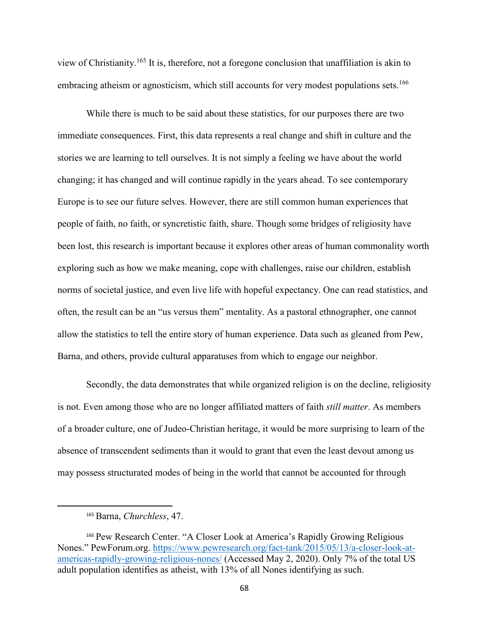view of Christianity.<sup>165</sup> It is, therefore, not a foregone conclusion that unaffiliation is akin to embracing atheism or agnosticism, which still accounts for very modest populations sets.<sup>166</sup>

 While there is much to be said about these statistics, for our purposes there are two immediate consequences. First, this data represents a real change and shift in culture and the stories we are learning to tell ourselves. It is not simply a feeling we have about the world changing; it has changed and will continue rapidly in the years ahead. To see contemporary Europe is to see our future selves. However, there are still common human experiences that people of faith, no faith, or syncretistic faith, share. Though some bridges of religiosity have been lost, this research is important because it explores other areas of human commonality worth exploring such as how we make meaning, cope with challenges, raise our children, establish norms of societal justice, and even live life with hopeful expectancy. One can read statistics, and often, the result can be an "us versus them" mentality. As a pastoral ethnographer, one cannot allow the statistics to tell the entire story of human experience. Data such as gleaned from Pew, Barna, and others, provide cultural apparatuses from which to engage our neighbor.

 Secondly, the data demonstrates that while organized religion is on the decline, religiosity is not. Even among those who are no longer affiliated matters of faith *still matter*. As members of a broader culture, one of Judeo-Christian heritage, it would be more surprising to learn of the absence of transcendent sediments than it would to grant that even the least devout among us may possess structurated modes of being in the world that cannot be accounted for through

<sup>165</sup> Barna, *Churchless*, 47.

<sup>166</sup> Pew Research Center. "A Closer Look at America's Rapidly Growing Religious Nones." PewForum.org. https://www.pewresearch.org/fact-tank/2015/05/13/a-closer-look-atamericas-rapidly-growing-religious-nones/ (Accessed May 2, 2020). Only 7% of the total US adult population identifies as atheist, with 13% of all Nones identifying as such.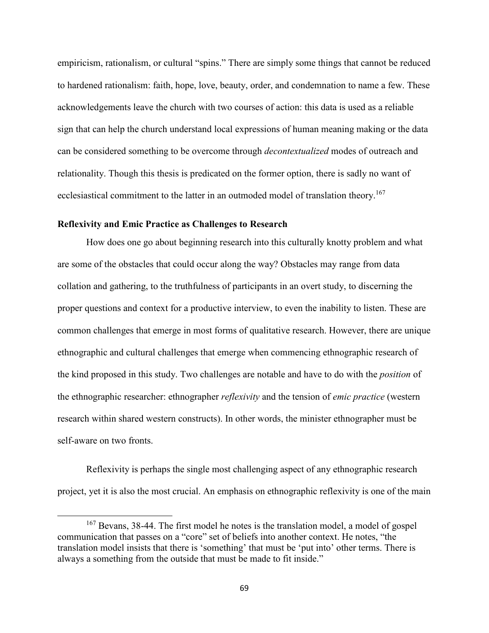empiricism, rationalism, or cultural "spins." There are simply some things that cannot be reduced to hardened rationalism: faith, hope, love, beauty, order, and condemnation to name a few. These acknowledgements leave the church with two courses of action: this data is used as a reliable sign that can help the church understand local expressions of human meaning making or the data can be considered something to be overcome through *decontextualized* modes of outreach and relationality. Though this thesis is predicated on the former option, there is sadly no want of ecclesiastical commitment to the latter in an outmoded model of translation theory.<sup>167</sup>

## **Reflexivity and Emic Practice as Challenges to Research**

 $\overline{a}$ 

How does one go about beginning research into this culturally knotty problem and what are some of the obstacles that could occur along the way? Obstacles may range from data collation and gathering, to the truthfulness of participants in an overt study, to discerning the proper questions and context for a productive interview, to even the inability to listen. These are common challenges that emerge in most forms of qualitative research. However, there are unique ethnographic and cultural challenges that emerge when commencing ethnographic research of the kind proposed in this study. Two challenges are notable and have to do with the *position* of the ethnographic researcher: ethnographer *reflexivity* and the tension of *emic practice* (western research within shared western constructs). In other words, the minister ethnographer must be self-aware on two fronts.

Reflexivity is perhaps the single most challenging aspect of any ethnographic research project, yet it is also the most crucial. An emphasis on ethnographic reflexivity is one of the main

<sup>&</sup>lt;sup>167</sup> Bevans, 38-44. The first model he notes is the translation model, a model of gospel communication that passes on a "core" set of beliefs into another context. He notes, "the translation model insists that there is 'something' that must be 'put into' other terms. There is always a something from the outside that must be made to fit inside."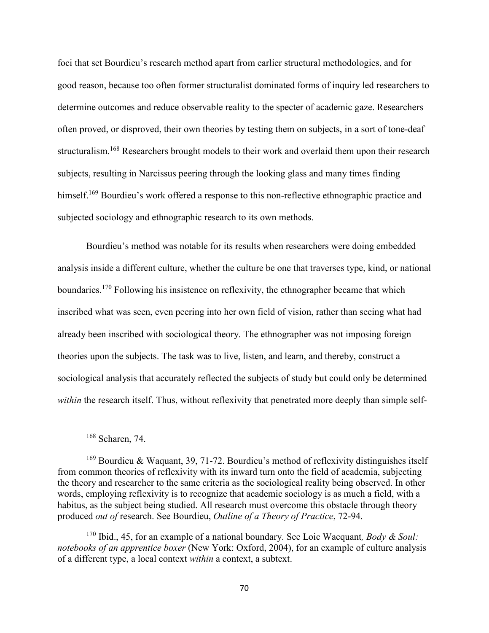foci that set Bourdieu's research method apart from earlier structural methodologies, and for good reason, because too often former structuralist dominated forms of inquiry led researchers to determine outcomes and reduce observable reality to the specter of academic gaze. Researchers often proved, or disproved, their own theories by testing them on subjects, in a sort of tone-deaf structuralism.<sup>168</sup> Researchers brought models to their work and overlaid them upon their research subjects, resulting in Narcissus peering through the looking glass and many times finding himself.<sup>169</sup> Bourdieu's work offered a response to this non-reflective ethnographic practice and subjected sociology and ethnographic research to its own methods.

Bourdieu's method was notable for its results when researchers were doing embedded analysis inside a different culture, whether the culture be one that traverses type, kind, or national boundaries.<sup>170</sup> Following his insistence on reflexivity, the ethnographer became that which inscribed what was seen, even peering into her own field of vision, rather than seeing what had already been inscribed with sociological theory. The ethnographer was not imposing foreign theories upon the subjects. The task was to live, listen, and learn, and thereby, construct a sociological analysis that accurately reflected the subjects of study but could only be determined *within* the research itself. Thus, without reflexivity that penetrated more deeply than simple self-

<sup>168</sup> Scharen, 74.

 $169$  Bourdieu & Waquant, 39, 71-72. Bourdieu's method of reflexivity distinguishes itself from common theories of reflexivity with its inward turn onto the field of academia, subjecting the theory and researcher to the same criteria as the sociological reality being observed. In other words, employing reflexivity is to recognize that academic sociology is as much a field, with a habitus, as the subject being studied. All research must overcome this obstacle through theory produced *out of* research. See Bourdieu, *Outline of a Theory of Practice*, 72-94.

<sup>170</sup> Ibid., 45, for an example of a national boundary. See Loic Wacquant*, Body & Soul: notebooks of an apprentice boxer* (New York: Oxford, 2004), for an example of culture analysis of a different type, a local context *within* a context, a subtext.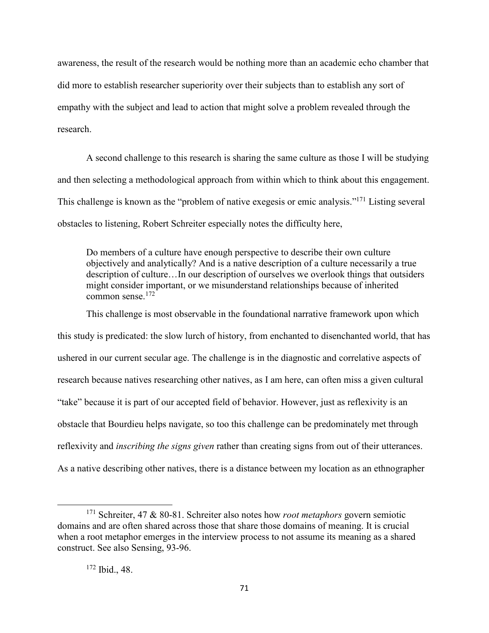awareness, the result of the research would be nothing more than an academic echo chamber that did more to establish researcher superiority over their subjects than to establish any sort of empathy with the subject and lead to action that might solve a problem revealed through the research.

 A second challenge to this research is sharing the same culture as those I will be studying and then selecting a methodological approach from within which to think about this engagement. This challenge is known as the "problem of native exegesis or emic analysis."<sup>171</sup> Listing several obstacles to listening, Robert Schreiter especially notes the difficulty here,

Do members of a culture have enough perspective to describe their own culture objectively and analytically? And is a native description of a culture necessarily a true description of culture…In our description of ourselves we overlook things that outsiders might consider important, or we misunderstand relationships because of inherited common sense.<sup>172</sup>

This challenge is most observable in the foundational narrative framework upon which this study is predicated: the slow lurch of history, from enchanted to disenchanted world, that has ushered in our current secular age. The challenge is in the diagnostic and correlative aspects of research because natives researching other natives, as I am here, can often miss a given cultural "take" because it is part of our accepted field of behavior. However, just as reflexivity is an obstacle that Bourdieu helps navigate, so too this challenge can be predominately met through reflexivity and *inscribing the signs given* rather than creating signs from out of their utterances. As a native describing other natives, there is a distance between my location as an ethnographer

<sup>171</sup> Schreiter, 47 & 80-81. Schreiter also notes how *root metaphors* govern semiotic domains and are often shared across those that share those domains of meaning. It is crucial when a root metaphor emerges in the interview process to not assume its meaning as a shared construct. See also Sensing, 93-96.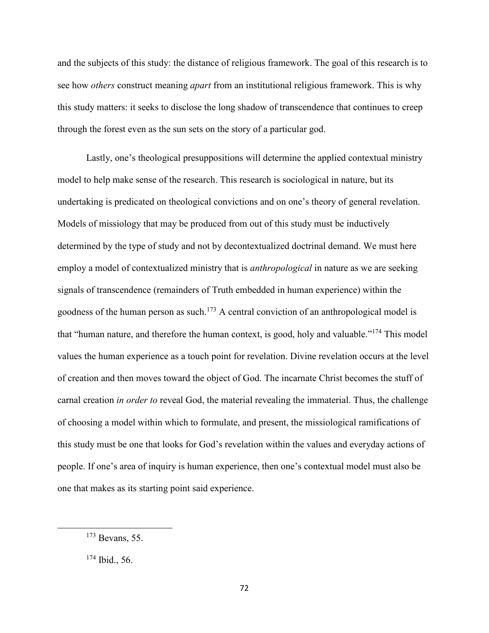and the subjects of this study: the distance of religious framework. The goal of this research is to see how *others* construct meaning *apart* from an institutional religious framework. This is why this study matters: it seeks to disclose the long shadow of transcendence that continues to creep through the forest even as the sun sets on the story of a particular god.

Lastly, one's theological presuppositions will determine the applied contextual ministry model to help make sense of the research. This research is sociological in nature, but its undertaking is predicated on theological convictions and on one's theory of general revelation. Models of missiology that may be produced from out of this study must be inductively determined by the type of study and not by decontextualized doctrinal demand. We must here employ a model of contextualized ministry that is *anthropological* in nature as we are seeking signals of transcendence (remainders of Truth embedded in human experience) within the goodness of the human person as such.<sup>173</sup> A central conviction of an anthropological model is that "human nature, and therefore the human context, is good, holy and valuable."<sup>174</sup> This model values the human experience as a touch point for revelation. Divine revelation occurs at the level of creation and then moves toward the object of God. The incarnate Christ becomes the stuff of carnal creation *in order to* reveal God, the material revealing the immaterial. Thus, the challenge of choosing a model within which to formulate, and present, the missiological ramifications of this study must be one that looks for God's revelation within the values and everyday actions of people. If one's area of inquiry is human experience, then one's contextual model must also be one that makes as its starting point said experience.

<sup>173</sup> Bevans, 55.

<sup>174</sup> Ibid., 56.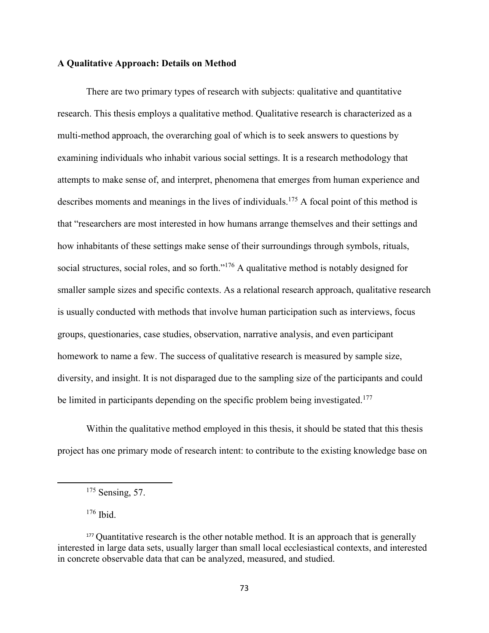### **A Qualitative Approach: Details on Method**

There are two primary types of research with subjects: qualitative and quantitative research. This thesis employs a qualitative method. Qualitative research is characterized as a multi-method approach, the overarching goal of which is to seek answers to questions by examining individuals who inhabit various social settings. It is a research methodology that attempts to make sense of, and interpret, phenomena that emerges from human experience and describes moments and meanings in the lives of individuals.<sup>175</sup> A focal point of this method is that "researchers are most interested in how humans arrange themselves and their settings and how inhabitants of these settings make sense of their surroundings through symbols, rituals, social structures, social roles, and so forth."<sup>176</sup> A qualitative method is notably designed for smaller sample sizes and specific contexts. As a relational research approach, qualitative research is usually conducted with methods that involve human participation such as interviews, focus groups, questionaries, case studies, observation, narrative analysis, and even participant homework to name a few. The success of qualitative research is measured by sample size, diversity, and insight. It is not disparaged due to the sampling size of the participants and could be limited in participants depending on the specific problem being investigated.<sup>177</sup>

Within the qualitative method employed in this thesis, it should be stated that this thesis project has one primary mode of research intent: to contribute to the existing knowledge base on

 $176$  Ibid.

<sup>&</sup>lt;sup>175</sup> Sensing, 57.

<sup>&</sup>lt;sup>177</sup> Quantitative research is the other notable method. It is an approach that is generally interested in large data sets, usually larger than small local ecclesiastical contexts, and interested in concrete observable data that can be analyzed, measured, and studied.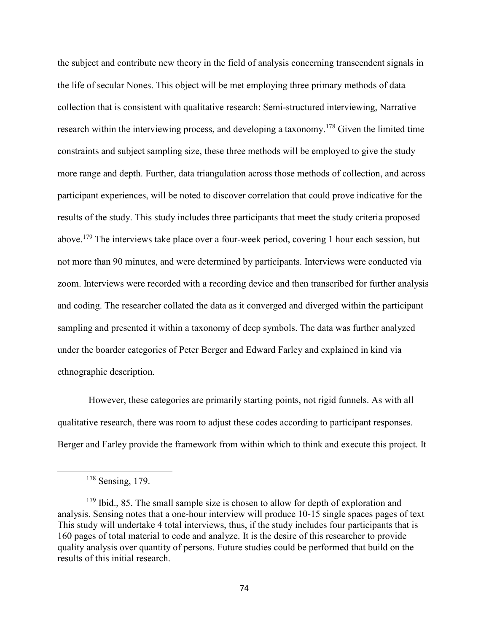the subject and contribute new theory in the field of analysis concerning transcendent signals in the life of secular Nones. This object will be met employing three primary methods of data collection that is consistent with qualitative research: Semi-structured interviewing, Narrative research within the interviewing process, and developing a taxonomy.<sup>178</sup> Given the limited time constraints and subject sampling size, these three methods will be employed to give the study more range and depth. Further, data triangulation across those methods of collection, and across participant experiences, will be noted to discover correlation that could prove indicative for the results of the study. This study includes three participants that meet the study criteria proposed above.<sup>179</sup> The interviews take place over a four-week period, covering 1 hour each session, but not more than 90 minutes, and were determined by participants. Interviews were conducted via zoom. Interviews were recorded with a recording device and then transcribed for further analysis and coding. The researcher collated the data as it converged and diverged within the participant sampling and presented it within a taxonomy of deep symbols. The data was further analyzed under the boarder categories of Peter Berger and Edward Farley and explained in kind via ethnographic description.

 However, these categories are primarily starting points, not rigid funnels. As with all qualitative research, there was room to adjust these codes according to participant responses. Berger and Farley provide the framework from within which to think and execute this project. It

<sup>178</sup> Sensing, 179.

<sup>&</sup>lt;sup>179</sup> Ibid., 85. The small sample size is chosen to allow for depth of exploration and analysis. Sensing notes that a one-hour interview will produce 10-15 single spaces pages of text This study will undertake 4 total interviews, thus, if the study includes four participants that is 160 pages of total material to code and analyze. It is the desire of this researcher to provide quality analysis over quantity of persons. Future studies could be performed that build on the results of this initial research.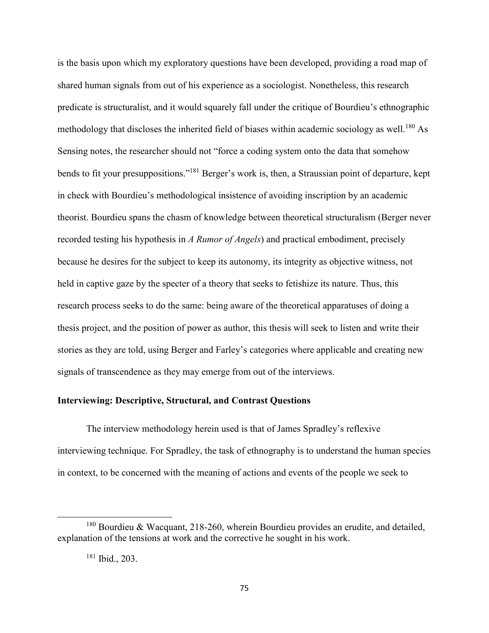is the basis upon which my exploratory questions have been developed, providing a road map of shared human signals from out of his experience as a sociologist. Nonetheless, this research predicate is structuralist, and it would squarely fall under the critique of Bourdieu's ethnographic methodology that discloses the inherited field of biases within academic sociology as well.<sup>180</sup> As Sensing notes, the researcher should not "force a coding system onto the data that somehow bends to fit your presuppositions."<sup>181</sup> Berger's work is, then, a Straussian point of departure, kept in check with Bourdieu's methodological insistence of avoiding inscription by an academic theorist. Bourdieu spans the chasm of knowledge between theoretical structuralism (Berger never recorded testing his hypothesis in *A Rumor of Angels*) and practical embodiment, precisely because he desires for the subject to keep its autonomy, its integrity as objective witness, not held in captive gaze by the specter of a theory that seeks to fetishize its nature. Thus, this research process seeks to do the same: being aware of the theoretical apparatuses of doing a thesis project, and the position of power as author, this thesis will seek to listen and write their stories as they are told, using Berger and Farley's categories where applicable and creating new signals of transcendence as they may emerge from out of the interviews.

# **Interviewing: Descriptive, Structural, and Contrast Questions**

 The interview methodology herein used is that of James Spradley's reflexive interviewing technique. For Spradley, the task of ethnography is to understand the human species in context, to be concerned with the meaning of actions and events of the people we seek to

 $180$  Bourdieu & Wacquant, 218-260, wherein Bourdieu provides an erudite, and detailed, explanation of the tensions at work and the corrective he sought in his work.

<sup>181</sup> Ibid., 203.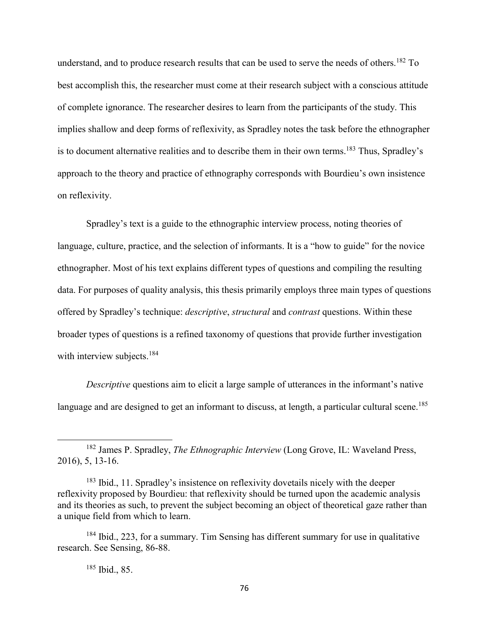understand, and to produce research results that can be used to serve the needs of others.<sup>182</sup> To best accomplish this, the researcher must come at their research subject with a conscious attitude of complete ignorance. The researcher desires to learn from the participants of the study. This implies shallow and deep forms of reflexivity, as Spradley notes the task before the ethnographer is to document alternative realities and to describe them in their own terms.<sup>183</sup> Thus, Spradley's approach to the theory and practice of ethnography corresponds with Bourdieu's own insistence on reflexivity.

 Spradley's text is a guide to the ethnographic interview process, noting theories of language, culture, practice, and the selection of informants. It is a "how to guide" for the novice ethnographer. Most of his text explains different types of questions and compiling the resulting data. For purposes of quality analysis, this thesis primarily employs three main types of questions offered by Spradley's technique: *descriptive*, *structural* and *contrast* questions. Within these broader types of questions is a refined taxonomy of questions that provide further investigation with interview subjects.<sup>184</sup>

*Descriptive* questions aim to elicit a large sample of utterances in the informant's native language and are designed to get an informant to discuss, at length, a particular cultural scene.<sup>185</sup>

<sup>182</sup> James P. Spradley, *The Ethnographic Interview* (Long Grove, IL: Waveland Press, 2016), 5, 13-16.

<sup>183</sup> Ibid., 11. Spradley's insistence on reflexivity dovetails nicely with the deeper reflexivity proposed by Bourdieu: that reflexivity should be turned upon the academic analysis and its theories as such, to prevent the subject becoming an object of theoretical gaze rather than a unique field from which to learn.

<sup>&</sup>lt;sup>184</sup> Ibid., 223, for a summary. Tim Sensing has different summary for use in qualitative research. See Sensing, 86-88.

<sup>185</sup> Ibid., 85.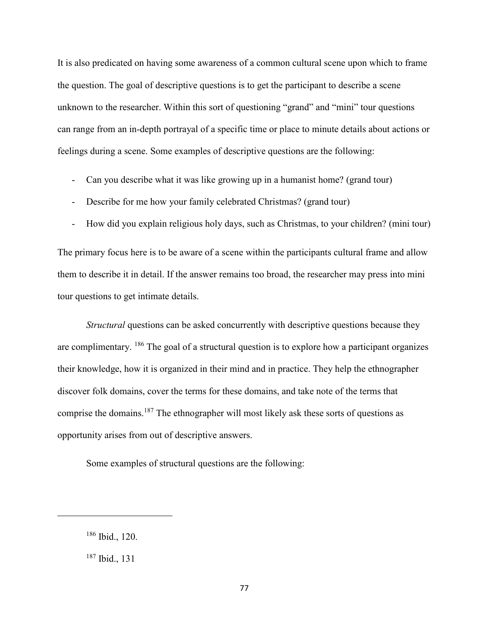It is also predicated on having some awareness of a common cultural scene upon which to frame the question. The goal of descriptive questions is to get the participant to describe a scene unknown to the researcher. Within this sort of questioning "grand" and "mini" tour questions can range from an in-depth portrayal of a specific time or place to minute details about actions or feelings during a scene. Some examples of descriptive questions are the following:

- Can you describe what it was like growing up in a humanist home? (grand tour)
- Describe for me how your family celebrated Christmas? (grand tour)
- How did you explain religious holy days, such as Christmas, to your children? (mini tour)

The primary focus here is to be aware of a scene within the participants cultural frame and allow them to describe it in detail. If the answer remains too broad, the researcher may press into mini tour questions to get intimate details.

*Structural* questions can be asked concurrently with descriptive questions because they are complimentary. <sup>186</sup> The goal of a structural question is to explore how a participant organizes their knowledge, how it is organized in their mind and in practice. They help the ethnographer discover folk domains, cover the terms for these domains, and take note of the terms that comprise the domains.<sup>187</sup> The ethnographer will most likely ask these sorts of questions as opportunity arises from out of descriptive answers.

Some examples of structural questions are the following:

<sup>186</sup> Ibid., 120.

<sup>187</sup> Ibid., 131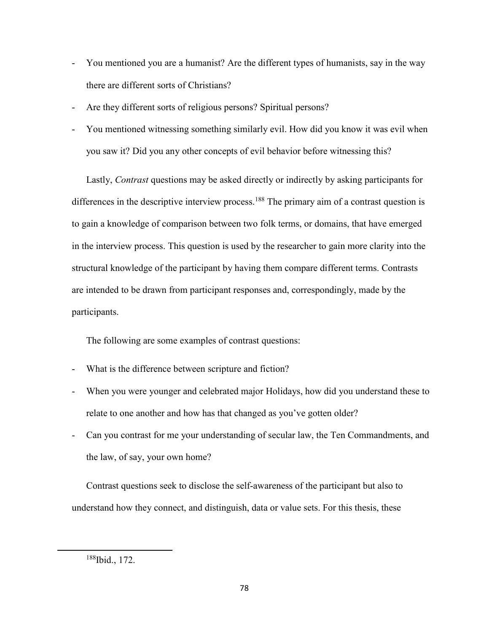- You mentioned you are a humanist? Are the different types of humanists, say in the way there are different sorts of Christians?
- Are they different sorts of religious persons? Spiritual persons?
- You mentioned witnessing something similarly evil. How did you know it was evil when you saw it? Did you any other concepts of evil behavior before witnessing this?

Lastly, *Contrast* questions may be asked directly or indirectly by asking participants for differences in the descriptive interview process.<sup>188</sup> The primary aim of a contrast question is to gain a knowledge of comparison between two folk terms, or domains, that have emerged in the interview process. This question is used by the researcher to gain more clarity into the structural knowledge of the participant by having them compare different terms. Contrasts are intended to be drawn from participant responses and, correspondingly, made by the participants.

The following are some examples of contrast questions:

- What is the difference between scripture and fiction?
- When you were younger and celebrated major Holidays, how did you understand these to relate to one another and how has that changed as you've gotten older?
- Can you contrast for me your understanding of secular law, the Ten Commandments, and the law, of say, your own home?

Contrast questions seek to disclose the self-awareness of the participant but also to understand how they connect, and distinguish, data or value sets. For this thesis, these

<sup>188</sup>Ibid., 172.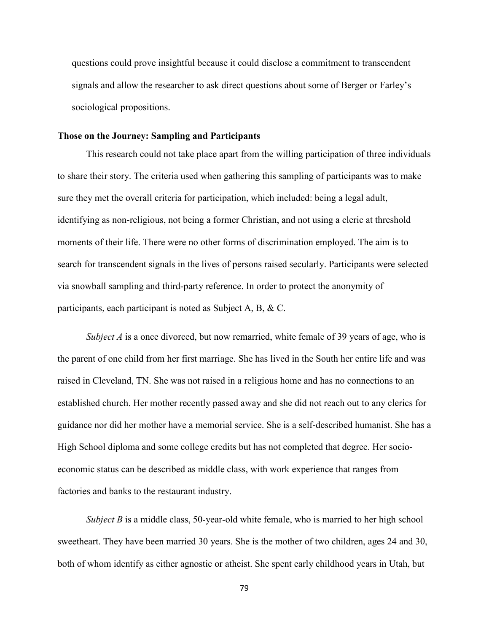questions could prove insightful because it could disclose a commitment to transcendent signals and allow the researcher to ask direct questions about some of Berger or Farley's sociological propositions.

### **Those on the Journey: Sampling and Participants**

 This research could not take place apart from the willing participation of three individuals to share their story. The criteria used when gathering this sampling of participants was to make sure they met the overall criteria for participation, which included: being a legal adult, identifying as non-religious, not being a former Christian, and not using a cleric at threshold moments of their life. There were no other forms of discrimination employed. The aim is to search for transcendent signals in the lives of persons raised secularly. Participants were selected via snowball sampling and third-party reference. In order to protect the anonymity of participants, each participant is noted as Subject A, B, & C.

*Subject A* is a once divorced, but now remarried, white female of 39 years of age, who is the parent of one child from her first marriage. She has lived in the South her entire life and was raised in Cleveland, TN. She was not raised in a religious home and has no connections to an established church. Her mother recently passed away and she did not reach out to any clerics for guidance nor did her mother have a memorial service. She is a self-described humanist. She has a High School diploma and some college credits but has not completed that degree. Her socioeconomic status can be described as middle class, with work experience that ranges from factories and banks to the restaurant industry.

*Subject B* is a middle class, 50-year-old white female, who is married to her high school sweetheart. They have been married 30 years. She is the mother of two children, ages 24 and 30, both of whom identify as either agnostic or atheist. She spent early childhood years in Utah, but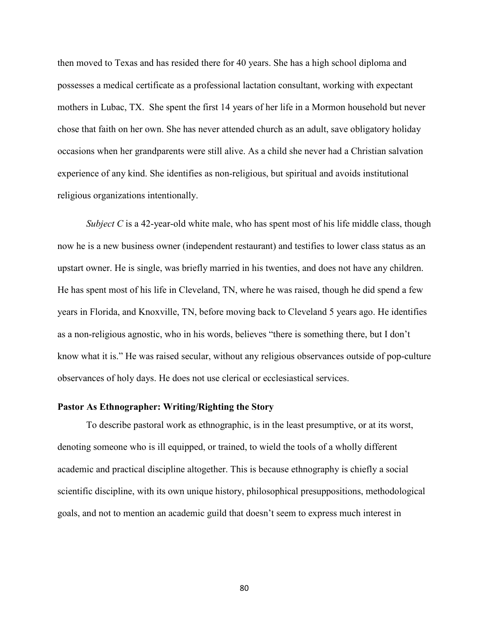then moved to Texas and has resided there for 40 years. She has a high school diploma and possesses a medical certificate as a professional lactation consultant, working with expectant mothers in Lubac, TX. She spent the first 14 years of her life in a Mormon household but never chose that faith on her own. She has never attended church as an adult, save obligatory holiday occasions when her grandparents were still alive. As a child she never had a Christian salvation experience of any kind. She identifies as non-religious, but spiritual and avoids institutional religious organizations intentionally.

*Subject C* is a 42-year-old white male, who has spent most of his life middle class, though now he is a new business owner (independent restaurant) and testifies to lower class status as an upstart owner. He is single, was briefly married in his twenties, and does not have any children. He has spent most of his life in Cleveland, TN, where he was raised, though he did spend a few years in Florida, and Knoxville, TN, before moving back to Cleveland 5 years ago. He identifies as a non-religious agnostic, who in his words, believes "there is something there, but I don't know what it is." He was raised secular, without any religious observances outside of pop-culture observances of holy days. He does not use clerical or ecclesiastical services.

### **Pastor As Ethnographer: Writing/Righting the Story**

To describe pastoral work as ethnographic, is in the least presumptive, or at its worst, denoting someone who is ill equipped, or trained, to wield the tools of a wholly different academic and practical discipline altogether. This is because ethnography is chiefly a social scientific discipline, with its own unique history, philosophical presuppositions, methodological goals, and not to mention an academic guild that doesn't seem to express much interest in

80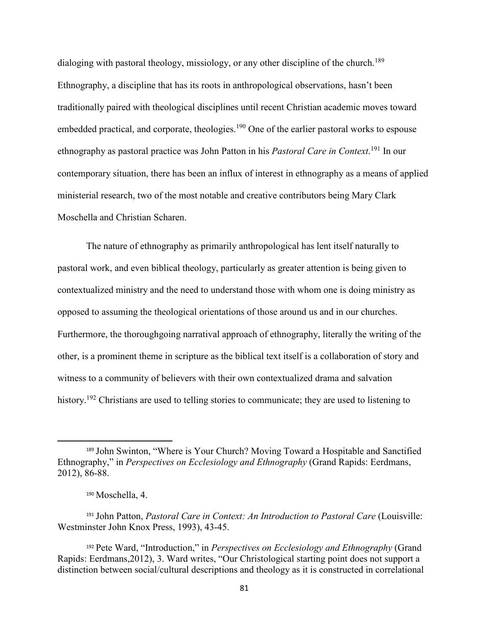dialoging with pastoral theology, missiology, or any other discipline of the church.<sup>189</sup> Ethnography, a discipline that has its roots in anthropological observations, hasn't been traditionally paired with theological disciplines until recent Christian academic moves toward embedded practical, and corporate, theologies.<sup>190</sup> One of the earlier pastoral works to espouse ethnography as pastoral practice was John Patton in his *Pastoral Care in Context*. <sup>191</sup> In our contemporary situation, there has been an influx of interest in ethnography as a means of applied ministerial research, two of the most notable and creative contributors being Mary Clark Moschella and Christian Scharen.

The nature of ethnography as primarily anthropological has lent itself naturally to pastoral work, and even biblical theology, particularly as greater attention is being given to contextualized ministry and the need to understand those with whom one is doing ministry as opposed to assuming the theological orientations of those around us and in our churches. Furthermore, the thoroughgoing narratival approach of ethnography, literally the writing of the other, is a prominent theme in scripture as the biblical text itself is a collaboration of story and witness to a community of believers with their own contextualized drama and salvation history.<sup>192</sup> Christians are used to telling stories to communicate; they are used to listening to

<sup>189</sup> John Swinton, "Where is Your Church? Moving Toward a Hospitable and Sanctified Ethnography," in *Perspectives on Ecclesiology and Ethnography* (Grand Rapids: Eerdmans, 2012), 86-88.

<sup>190</sup> Moschella, 4.

<sup>191</sup> John Patton, *Pastoral Care in Context: An Introduction to Pastoral Care* (Louisville: Westminster John Knox Press, 1993), 43-45.

<sup>192</sup> Pete Ward, "Introduction," in *Perspectives on Ecclesiology and Ethnography* (Grand Rapids: Eerdmans,2012), 3. Ward writes, "Our Christological starting point does not support a distinction between social/cultural descriptions and theology as it is constructed in correlational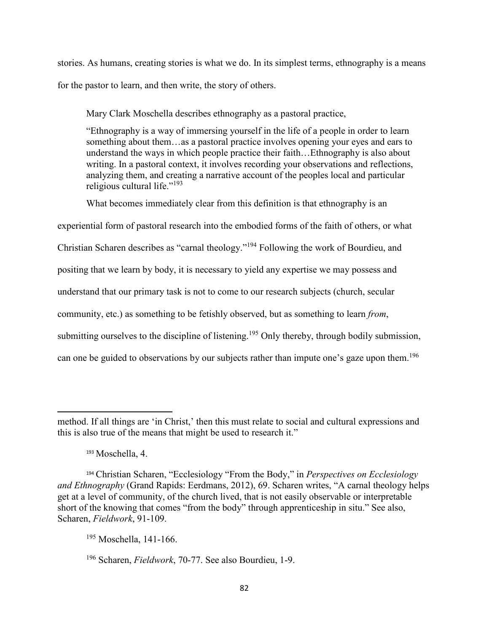stories. As humans, creating stories is what we do. In its simplest terms, ethnography is a means for the pastor to learn, and then write, the story of others.

Mary Clark Moschella describes ethnography as a pastoral practice,

"Ethnography is a way of immersing yourself in the life of a people in order to learn something about them…as a pastoral practice involves opening your eyes and ears to understand the ways in which people practice their faith…Ethnography is also about writing. In a pastoral context, it involves recording your observations and reflections, analyzing them, and creating a narrative account of the peoples local and particular religious cultural life." $193$ 

What becomes immediately clear from this definition is that ethnography is an

experiential form of pastoral research into the embodied forms of the faith of others, or what Christian Scharen describes as "carnal theology."<sup>194</sup> Following the work of Bourdieu, and positing that we learn by body, it is necessary to yield any expertise we may possess and understand that our primary task is not to come to our research subjects (church, secular community, etc.) as something to be fetishly observed, but as something to learn *from*, submitting ourselves to the discipline of listening.<sup>195</sup> Only thereby, through bodily submission, can one be guided to observations by our subjects rather than impute one's gaze upon them.<sup>196</sup>

method. If all things are 'in Christ,' then this must relate to social and cultural expressions and this is also true of the means that might be used to research it."

<sup>193</sup> Moschella, 4.

<sup>194</sup> Christian Scharen, "Ecclesiology "From the Body," in *Perspectives on Ecclesiology and Ethnography* (Grand Rapids: Eerdmans, 2012), 69. Scharen writes, "A carnal theology helps get at a level of community, of the church lived, that is not easily observable or interpretable short of the knowing that comes "from the body" through apprenticeship in situ." See also, Scharen, *Fieldwork*, 91-109.

<sup>195</sup> Moschella, 141-166.

<sup>196</sup> Scharen, *Fieldwork*, 70-77. See also Bourdieu, 1-9.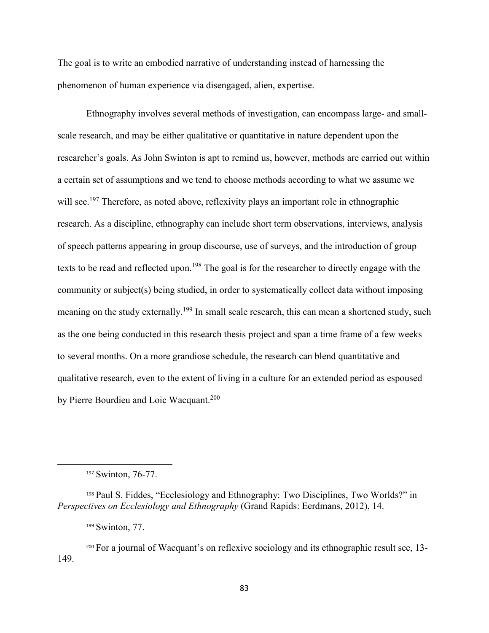The goal is to write an embodied narrative of understanding instead of harnessing the phenomenon of human experience via disengaged, alien, expertise.

 Ethnography involves several methods of investigation, can encompass large- and smallscale research, and may be either qualitative or quantitative in nature dependent upon the researcher's goals. As John Swinton is apt to remind us, however, methods are carried out within a certain set of assumptions and we tend to choose methods according to what we assume we will see.<sup>197</sup> Therefore, as noted above, reflexivity plays an important role in ethnographic research. As a discipline, ethnography can include short term observations, interviews, analysis of speech patterns appearing in group discourse, use of surveys, and the introduction of group texts to be read and reflected upon.<sup>198</sup> The goal is for the researcher to directly engage with the community or subject(s) being studied, in order to systematically collect data without imposing meaning on the study externally.<sup>199</sup> In small scale research, this can mean a shortened study, such as the one being conducted in this research thesis project and span a time frame of a few weeks to several months. On a more grandiose schedule, the research can blend quantitative and qualitative research, even to the extent of living in a culture for an extended period as espoused by Pierre Bourdieu and Loic Wacquant.<sup>200</sup>

<sup>197</sup> Swinton, 76-77.

<sup>198</sup> Paul S. Fiddes, "Ecclesiology and Ethnography: Two Disciplines, Two Worlds?" in *Perspectives on Ecclesiology and Ethnography* (Grand Rapids: Eerdmans, 2012), 14.

<sup>199</sup> Swinton, 77.

<sup>200</sup> For a journal of Wacquant's on reflexive sociology and its ethnographic result see, 13- 149.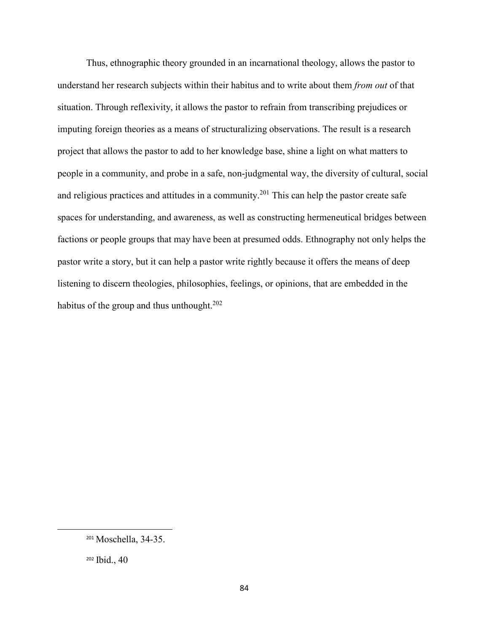Thus, ethnographic theory grounded in an incarnational theology, allows the pastor to understand her research subjects within their habitus and to write about them *from out* of that situation. Through reflexivity, it allows the pastor to refrain from transcribing prejudices or imputing foreign theories as a means of structuralizing observations. The result is a research project that allows the pastor to add to her knowledge base, shine a light on what matters to people in a community, and probe in a safe, non-judgmental way, the diversity of cultural, social and religious practices and attitudes in a community.<sup>201</sup> This can help the pastor create safe spaces for understanding, and awareness, as well as constructing hermeneutical bridges between factions or people groups that may have been at presumed odds. Ethnography not only helps the pastor write a story, but it can help a pastor write rightly because it offers the means of deep listening to discern theologies, philosophies, feelings, or opinions, that are embedded in the habitus of the group and thus unthought. $202$ 

<sup>201</sup> Moschella, 34-35.

<sup>202</sup> Ibid., 40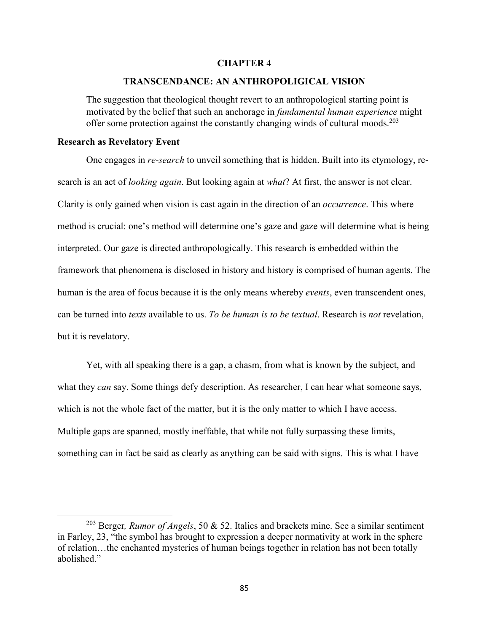### **CHAPTER 4**

#### **TRANSCENDANCE: AN ANTHROPOLIGICAL VISION**

The suggestion that theological thought revert to an anthropological starting point is motivated by the belief that such an anchorage in *fundamental human experience* might offer some protection against the constantly changing winds of cultural moods.<sup>203</sup>

### **Research as Revelatory Event**

 $\overline{a}$ 

One engages in *re-search* to unveil something that is hidden. Built into its etymology, research is an act of *looking again*. But looking again at *what*? At first, the answer is not clear. Clarity is only gained when vision is cast again in the direction of an *occurrence*. This where method is crucial: one's method will determine one's gaze and gaze will determine what is being interpreted. Our gaze is directed anthropologically. This research is embedded within the framework that phenomena is disclosed in history and history is comprised of human agents. The human is the area of focus because it is the only means whereby *events*, even transcendent ones, can be turned into *texts* available to us. *To be human is to be textual*. Research is *not* revelation, but it is revelatory.

Yet, with all speaking there is a gap, a chasm, from what is known by the subject, and what they *can* say. Some things defy description. As researcher, I can hear what someone says, which is not the whole fact of the matter, but it is the only matter to which I have access. Multiple gaps are spanned, mostly ineffable, that while not fully surpassing these limits, something can in fact be said as clearly as anything can be said with signs. This is what I have

<sup>203</sup> Berger*, Rumor of Angels*, 50 & 52. Italics and brackets mine. See a similar sentiment in Farley, 23, "the symbol has brought to expression a deeper normativity at work in the sphere of relation…the enchanted mysteries of human beings together in relation has not been totally abolished."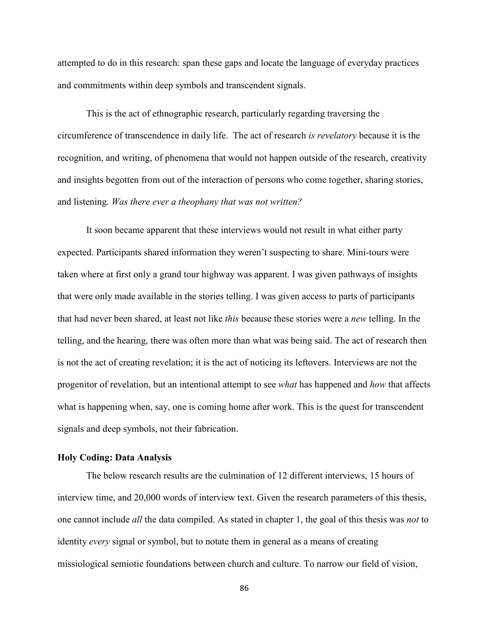attempted to do in this research: span these gaps and locate the language of everyday practices and commitments within deep symbols and transcendent signals.

This is the act of ethnographic research, particularly regarding traversing the circumference of transcendence in daily life. The act of research *is revelatory* because it is the recognition, and writing, of phenomena that would not happen outside of the research, creativity and insights begotten from out of the interaction of persons who come together, sharing stories, and listening. *Was there ever a theophany that was not written?*

It soon became apparent that these interviews would not result in what either party expected. Participants shared information they weren't suspecting to share. Mini-tours were taken where at first only a grand tour highway was apparent. I was given pathways of insights that were only made available in the stories telling. I was given access to parts of participants that had never been shared, at least not like *this* because these stories were a *new* telling. In the telling, and the hearing, there was often more than what was being said. The act of research then is not the act of creating revelation; it is the act of noticing its leftovers. Interviews are not the progenitor of revelation, but an intentional attempt to see *what* has happened and *how* that affects what is happening when, say, one is coming home after work. This is the quest for transcendent signals and deep symbols, not their fabrication.

## **Holy Coding: Data Analysis**

The below research results are the culmination of 12 different interviews, 15 hours of interview time, and 20,000 words of interview text. Given the research parameters of this thesis, one cannot include *all* the data compiled. As stated in chapter 1, the goal of this thesis was *not* to identity *every* signal or symbol, but to notate them in general as a means of creating missiological semiotic foundations between church and culture. To narrow our field of vision,

86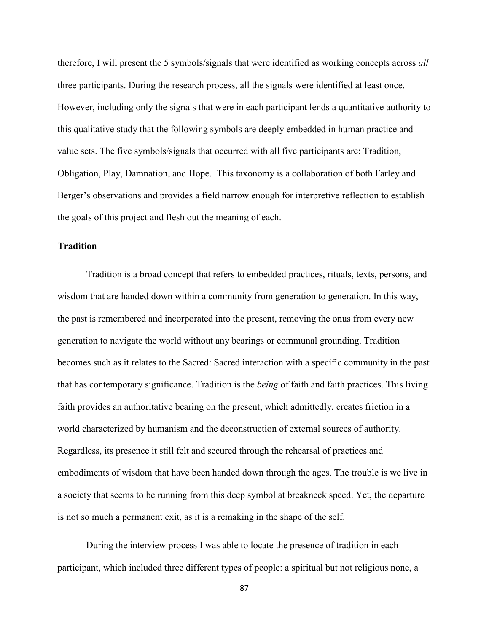therefore, I will present the 5 symbols/signals that were identified as working concepts across *all* three participants. During the research process, all the signals were identified at least once. However, including only the signals that were in each participant lends a quantitative authority to this qualitative study that the following symbols are deeply embedded in human practice and value sets. The five symbols/signals that occurred with all five participants are: Tradition, Obligation, Play, Damnation, and Hope. This taxonomy is a collaboration of both Farley and Berger's observations and provides a field narrow enough for interpretive reflection to establish the goals of this project and flesh out the meaning of each.

## **Tradition**

 Tradition is a broad concept that refers to embedded practices, rituals, texts, persons, and wisdom that are handed down within a community from generation to generation. In this way, the past is remembered and incorporated into the present, removing the onus from every new generation to navigate the world without any bearings or communal grounding. Tradition becomes such as it relates to the Sacred: Sacred interaction with a specific community in the past that has contemporary significance. Tradition is the *being* of faith and faith practices. This living faith provides an authoritative bearing on the present, which admittedly, creates friction in a world characterized by humanism and the deconstruction of external sources of authority. Regardless, its presence it still felt and secured through the rehearsal of practices and embodiments of wisdom that have been handed down through the ages. The trouble is we live in a society that seems to be running from this deep symbol at breakneck speed. Yet, the departure is not so much a permanent exit, as it is a remaking in the shape of the self.

 During the interview process I was able to locate the presence of tradition in each participant, which included three different types of people: a spiritual but not religious none, a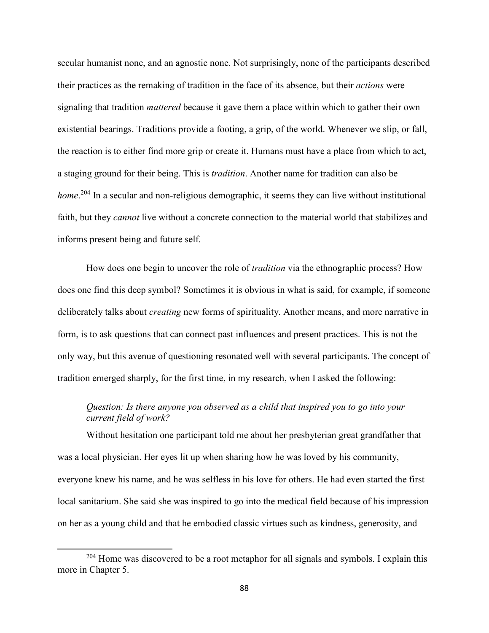secular humanist none, and an agnostic none. Not surprisingly, none of the participants described their practices as the remaking of tradition in the face of its absence, but their *actions* were signaling that tradition *mattered* because it gave them a place within which to gather their own existential bearings. Traditions provide a footing, a grip, of the world. Whenever we slip, or fall, the reaction is to either find more grip or create it. Humans must have a place from which to act, a staging ground for their being. This is *tradition*. Another name for tradition can also be home.<sup>204</sup> In a secular and non-religious demographic, it seems they can live without institutional faith, but they *cannot* live without a concrete connection to the material world that stabilizes and informs present being and future self.

 How does one begin to uncover the role of *tradition* via the ethnographic process? How does one find this deep symbol? Sometimes it is obvious in what is said, for example, if someone deliberately talks about *creating* new forms of spirituality. Another means, and more narrative in form, is to ask questions that can connect past influences and present practices. This is not the only way, but this avenue of questioning resonated well with several participants. The concept of tradition emerged sharply, for the first time, in my research, when I asked the following:

## *Question: Is there anyone you observed as a child that inspired you to go into your current field of work?*

Without hesitation one participant told me about her presbyterian great grandfather that was a local physician. Her eyes lit up when sharing how he was loved by his community, everyone knew his name, and he was selfless in his love for others. He had even started the first local sanitarium. She said she was inspired to go into the medical field because of his impression on her as a young child and that he embodied classic virtues such as kindness, generosity, and

<sup>&</sup>lt;sup>204</sup> Home was discovered to be a root metaphor for all signals and symbols. I explain this more in Chapter 5.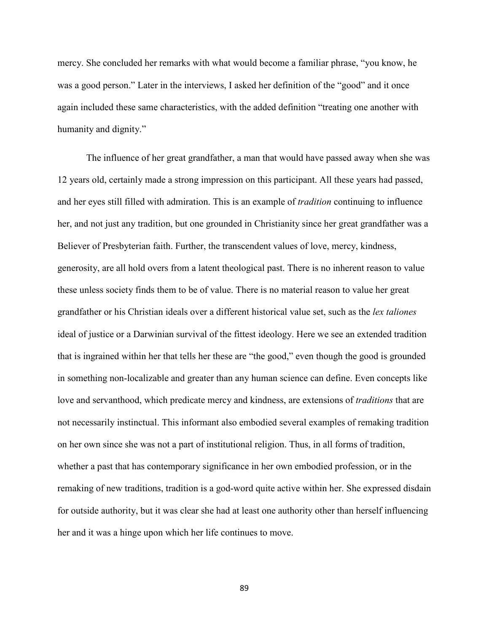mercy. She concluded her remarks with what would become a familiar phrase, "you know, he was a good person." Later in the interviews, I asked her definition of the "good" and it once again included these same characteristics, with the added definition "treating one another with humanity and dignity."

 The influence of her great grandfather, a man that would have passed away when she was 12 years old, certainly made a strong impression on this participant. All these years had passed, and her eyes still filled with admiration. This is an example of *tradition* continuing to influence her, and not just any tradition, but one grounded in Christianity since her great grandfather was a Believer of Presbyterian faith. Further, the transcendent values of love, mercy, kindness, generosity, are all hold overs from a latent theological past. There is no inherent reason to value these unless society finds them to be of value. There is no material reason to value her great grandfather or his Christian ideals over a different historical value set, such as the *lex taliones* ideal of justice or a Darwinian survival of the fittest ideology. Here we see an extended tradition that is ingrained within her that tells her these are "the good," even though the good is grounded in something non-localizable and greater than any human science can define. Even concepts like love and servanthood, which predicate mercy and kindness, are extensions of *traditions* that are not necessarily instinctual. This informant also embodied several examples of remaking tradition on her own since she was not a part of institutional religion. Thus, in all forms of tradition, whether a past that has contemporary significance in her own embodied profession, or in the remaking of new traditions, tradition is a god-word quite active within her. She expressed disdain for outside authority, but it was clear she had at least one authority other than herself influencing her and it was a hinge upon which her life continues to move.

89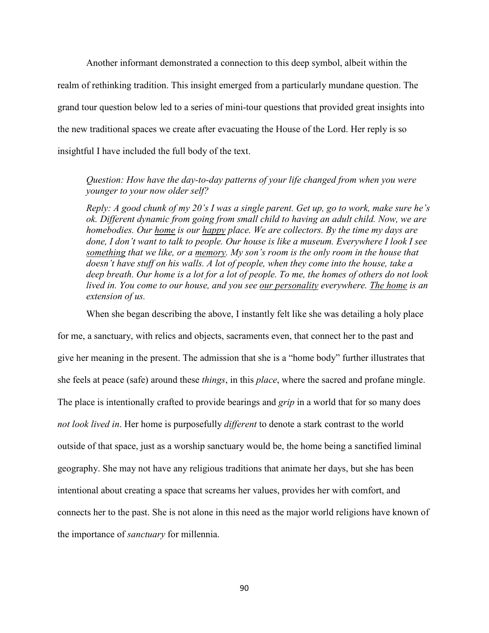Another informant demonstrated a connection to this deep symbol, albeit within the realm of rethinking tradition. This insight emerged from a particularly mundane question. The grand tour question below led to a series of mini-tour questions that provided great insights into the new traditional spaces we create after evacuating the House of the Lord. Her reply is so insightful I have included the full body of the text.

*Question: How have the day-to-day patterns of your life changed from when you were younger to your now older self?* 

*Reply: A good chunk of my 20's I was a single parent. Get up, go to work, make sure he's ok. Different dynamic from going from small child to having an adult child. Now, we are homebodies. Our home is our happy place. We are collectors. By the time my days are done, I don't want to talk to people. Our house is like a museum. Everywhere I look I see something that we like, or a memory. My son's room is the only room in the house that doesn't have stuff on his walls. A lot of people, when they come into the house, take a deep breath. Our home is a lot for a lot of people. To me, the homes of others do not look lived in. You come to our house, and you see our personality everywhere. The home is an extension of us.* 

When she began describing the above, I instantly felt like she was detailing a holy place

for me, a sanctuary, with relics and objects, sacraments even, that connect her to the past and give her meaning in the present. The admission that she is a "home body" further illustrates that she feels at peace (safe) around these *things*, in this *place*, where the sacred and profane mingle. The place is intentionally crafted to provide bearings and *grip* in a world that for so many does *not look lived in*. Her home is purposefully *different* to denote a stark contrast to the world outside of that space, just as a worship sanctuary would be, the home being a sanctified liminal geography. She may not have any religious traditions that animate her days, but she has been intentional about creating a space that screams her values, provides her with comfort, and connects her to the past. She is not alone in this need as the major world religions have known of the importance of *sanctuary* for millennia.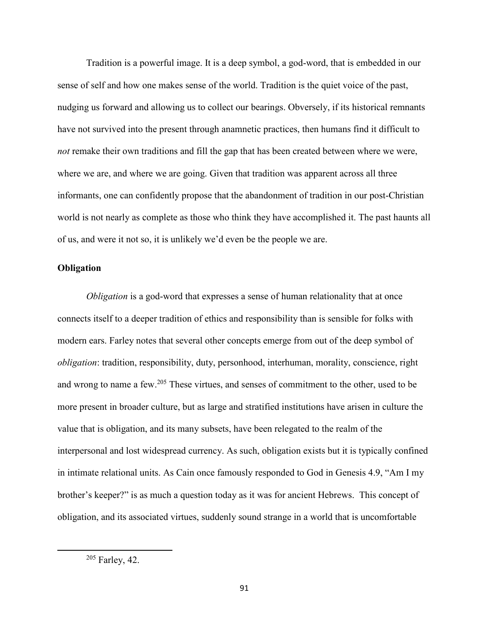Tradition is a powerful image. It is a deep symbol, a god-word, that is embedded in our sense of self and how one makes sense of the world. Tradition is the quiet voice of the past, nudging us forward and allowing us to collect our bearings. Obversely, if its historical remnants have not survived into the present through anamnetic practices, then humans find it difficult to *not* remake their own traditions and fill the gap that has been created between where we were, where we are, and where we are going. Given that tradition was apparent across all three informants, one can confidently propose that the abandonment of tradition in our post-Christian world is not nearly as complete as those who think they have accomplished it. The past haunts all of us, and were it not so, it is unlikely we'd even be the people we are.

### **Obligation**

*Obligation* is a god-word that expresses a sense of human relationality that at once connects itself to a deeper tradition of ethics and responsibility than is sensible for folks with modern ears. Farley notes that several other concepts emerge from out of the deep symbol of *obligation*: tradition, responsibility, duty, personhood, interhuman, morality, conscience, right and wrong to name a few.<sup>205</sup> These virtues, and senses of commitment to the other, used to be more present in broader culture, but as large and stratified institutions have arisen in culture the value that is obligation, and its many subsets, have been relegated to the realm of the interpersonal and lost widespread currency. As such, obligation exists but it is typically confined in intimate relational units. As Cain once famously responded to God in Genesis 4.9, "Am I my brother's keeper?" is as much a question today as it was for ancient Hebrews. This concept of obligation, and its associated virtues, suddenly sound strange in a world that is uncomfortable

<sup>205</sup> Farley, 42.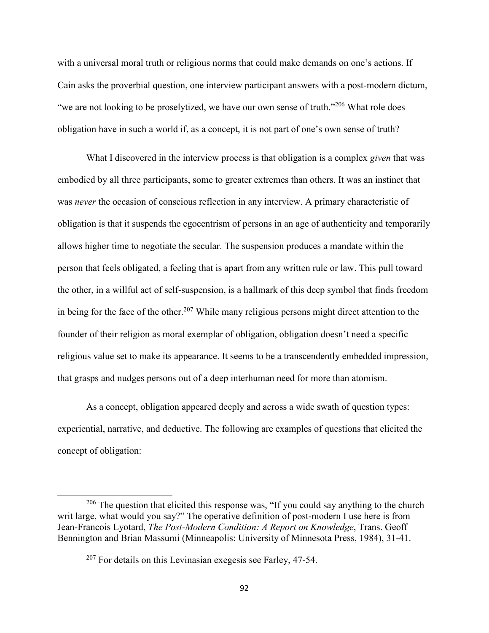with a universal moral truth or religious norms that could make demands on one's actions. If Cain asks the proverbial question, one interview participant answers with a post-modern dictum, "we are not looking to be proselytized, we have our own sense of truth."<sup>206</sup> What role does obligation have in such a world if, as a concept, it is not part of one's own sense of truth?

 What I discovered in the interview process is that obligation is a complex *given* that was embodied by all three participants, some to greater extremes than others. It was an instinct that was *never* the occasion of conscious reflection in any interview. A primary characteristic of obligation is that it suspends the egocentrism of persons in an age of authenticity and temporarily allows higher time to negotiate the secular. The suspension produces a mandate within the person that feels obligated, a feeling that is apart from any written rule or law. This pull toward the other, in a willful act of self-suspension, is a hallmark of this deep symbol that finds freedom in being for the face of the other.<sup>207</sup> While many religious persons might direct attention to the founder of their religion as moral exemplar of obligation, obligation doesn't need a specific religious value set to make its appearance. It seems to be a transcendently embedded impression, that grasps and nudges persons out of a deep interhuman need for more than atomism.

 As a concept, obligation appeared deeply and across a wide swath of question types: experiential, narrative, and deductive. The following are examples of questions that elicited the concept of obligation:

<sup>&</sup>lt;sup>206</sup> The question that elicited this response was, "If you could say anything to the church writ large, what would you say?" The operative definition of post-modern I use here is from Jean-Francois Lyotard, *The Post-Modern Condition: A Report on Knowledge*, Trans. Geoff Bennington and Brian Massumi (Minneapolis: University of Minnesota Press, 1984), 31-41.

 $207$  For details on this Levinasian exegesis see Farley, 47-54.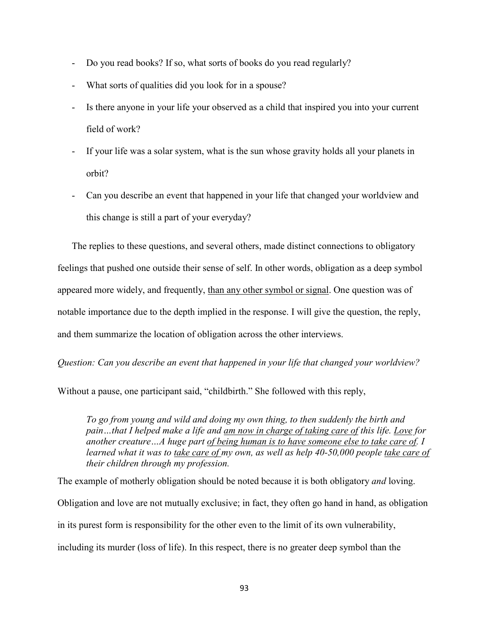- Do you read books? If so, what sorts of books do you read regularly?
- What sorts of qualities did you look for in a spouse?
- Is there anyone in your life your observed as a child that inspired you into your current field of work?
- If your life was a solar system, what is the sun whose gravity holds all your planets in orbit?
- Can you describe an event that happened in your life that changed your worldview and this change is still a part of your everyday?

The replies to these questions, and several others, made distinct connections to obligatory feelings that pushed one outside their sense of self. In other words, obligation as a deep symbol appeared more widely, and frequently, than any other symbol or signal. One question was of notable importance due to the depth implied in the response. I will give the question, the reply, and them summarize the location of obligation across the other interviews.

*Question: Can you describe an event that happened in your life that changed your worldview?* 

Without a pause, one participant said, "childbirth." She followed with this reply,

*To go from young and wild and doing my own thing, to then suddenly the birth and pain…that I helped make a life and am now in charge of taking care of this life. Love for another creature…A huge part of being human is to have someone else to take care of. I learned what it was to take care of my own, as well as help 40-50,000 people take care of their children through my profession.* 

The example of motherly obligation should be noted because it is both obligatory *and* loving. Obligation and love are not mutually exclusive; in fact, they often go hand in hand, as obligation in its purest form is responsibility for the other even to the limit of its own vulnerability, including its murder (loss of life). In this respect, there is no greater deep symbol than the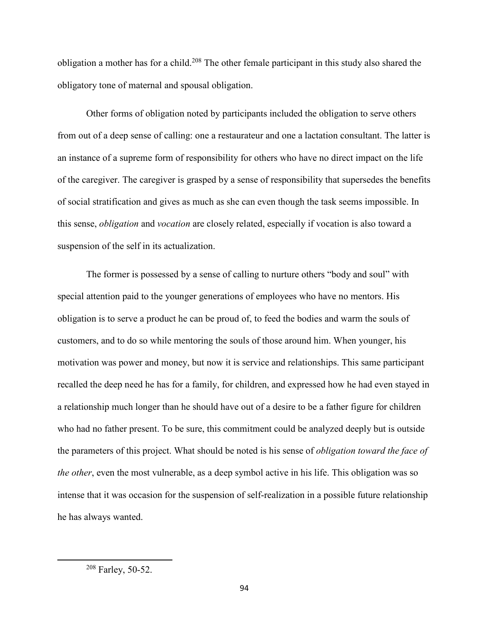obligation a mother has for a child.<sup>208</sup> The other female participant in this study also shared the obligatory tone of maternal and spousal obligation.

 Other forms of obligation noted by participants included the obligation to serve others from out of a deep sense of calling: one a restaurateur and one a lactation consultant. The latter is an instance of a supreme form of responsibility for others who have no direct impact on the life of the caregiver. The caregiver is grasped by a sense of responsibility that supersedes the benefits of social stratification and gives as much as she can even though the task seems impossible. In this sense, *obligation* and *vocation* are closely related, especially if vocation is also toward a suspension of the self in its actualization.

The former is possessed by a sense of calling to nurture others "body and soul" with special attention paid to the younger generations of employees who have no mentors. His obligation is to serve a product he can be proud of, to feed the bodies and warm the souls of customers, and to do so while mentoring the souls of those around him. When younger, his motivation was power and money, but now it is service and relationships. This same participant recalled the deep need he has for a family, for children, and expressed how he had even stayed in a relationship much longer than he should have out of a desire to be a father figure for children who had no father present. To be sure, this commitment could be analyzed deeply but is outside the parameters of this project. What should be noted is his sense of *obligation toward the face of the other*, even the most vulnerable, as a deep symbol active in his life. This obligation was so intense that it was occasion for the suspension of self-realization in a possible future relationship he has always wanted.

<sup>208</sup> Farley, 50-52.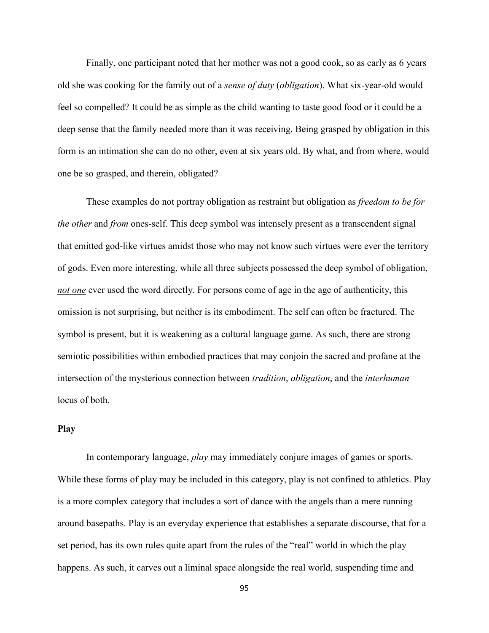Finally, one participant noted that her mother was not a good cook, so as early as 6 years old she was cooking for the family out of a *sense of duty* (*obligation*). What six-year-old would feel so compelled? It could be as simple as the child wanting to taste good food or it could be a deep sense that the family needed more than it was receiving. Being grasped by obligation in this form is an intimation she can do no other, even at six years old. By what, and from where, would one be so grasped, and therein, obligated?

These examples do not portray obligation as restraint but obligation as *freedom to be for the other* and *from* ones-self. This deep symbol was intensely present as a transcendent signal that emitted god-like virtues amidst those who may not know such virtues were ever the territory of gods. Even more interesting, while all three subjects possessed the deep symbol of obligation, *not one* ever used the word directly. For persons come of age in the age of authenticity, this omission is not surprising, but neither is its embodiment. The self can often be fractured. The symbol is present, but it is weakening as a cultural language game. As such, there are strong semiotic possibilities within embodied practices that may conjoin the sacred and profane at the intersection of the mysterious connection between *tradition*, *obligation*, and the *interhuman* locus of both.

### **Play**

In contemporary language, *play* may immediately conjure images of games or sports. While these forms of play may be included in this category, play is not confined to athletics. Play is a more complex category that includes a sort of dance with the angels than a mere running around basepaths. Play is an everyday experience that establishes a separate discourse, that for a set period, has its own rules quite apart from the rules of the "real" world in which the play happens. As such, it carves out a liminal space alongside the real world, suspending time and

95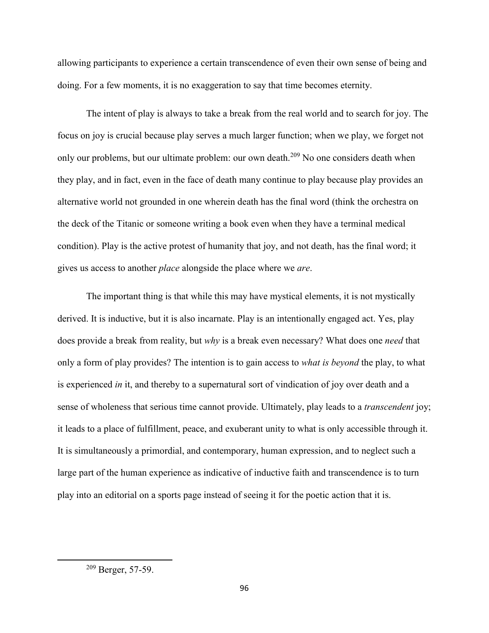allowing participants to experience a certain transcendence of even their own sense of being and doing. For a few moments, it is no exaggeration to say that time becomes eternity.

The intent of play is always to take a break from the real world and to search for joy. The focus on joy is crucial because play serves a much larger function; when we play, we forget not only our problems, but our ultimate problem: our own death.<sup>209</sup> No one considers death when they play, and in fact, even in the face of death many continue to play because play provides an alternative world not grounded in one wherein death has the final word (think the orchestra on the deck of the Titanic or someone writing a book even when they have a terminal medical condition). Play is the active protest of humanity that joy, and not death, has the final word; it gives us access to another *place* alongside the place where we *are*.

The important thing is that while this may have mystical elements, it is not mystically derived. It is inductive, but it is also incarnate. Play is an intentionally engaged act. Yes, play does provide a break from reality, but *why* is a break even necessary? What does one *need* that only a form of play provides? The intention is to gain access to *what is beyond* the play, to what is experienced *in* it, and thereby to a supernatural sort of vindication of joy over death and a sense of wholeness that serious time cannot provide. Ultimately, play leads to a *transcendent* joy; it leads to a place of fulfillment, peace, and exuberant unity to what is only accessible through it. It is simultaneously a primordial, and contemporary, human expression, and to neglect such a large part of the human experience as indicative of inductive faith and transcendence is to turn play into an editorial on a sports page instead of seeing it for the poetic action that it is.

<sup>209</sup> Berger, 57-59.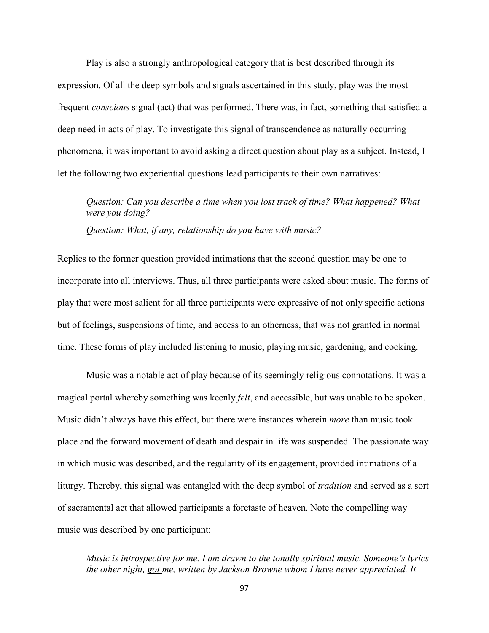Play is also a strongly anthropological category that is best described through its expression. Of all the deep symbols and signals ascertained in this study, play was the most frequent *conscious* signal (act) that was performed. There was, in fact, something that satisfied a deep need in acts of play. To investigate this signal of transcendence as naturally occurring phenomena, it was important to avoid asking a direct question about play as a subject. Instead, I let the following two experiential questions lead participants to their own narratives:

*Question: Can you describe a time when you lost track of time? What happened? What were you doing?* 

*Question: What, if any, relationship do you have with music?* 

Replies to the former question provided intimations that the second question may be one to incorporate into all interviews. Thus, all three participants were asked about music. The forms of play that were most salient for all three participants were expressive of not only specific actions but of feelings, suspensions of time, and access to an otherness, that was not granted in normal time. These forms of play included listening to music, playing music, gardening, and cooking.

 Music was a notable act of play because of its seemingly religious connotations. It was a magical portal whereby something was keenly *felt*, and accessible, but was unable to be spoken. Music didn't always have this effect, but there were instances wherein *more* than music took place and the forward movement of death and despair in life was suspended. The passionate way in which music was described, and the regularity of its engagement, provided intimations of a liturgy. Thereby, this signal was entangled with the deep symbol of *tradition* and served as a sort of sacramental act that allowed participants a foretaste of heaven. Note the compelling way music was described by one participant:

*Music is introspective for me. I am drawn to the tonally spiritual music. Someone's lyrics the other night, got me, written by Jackson Browne whom I have never appreciated. It*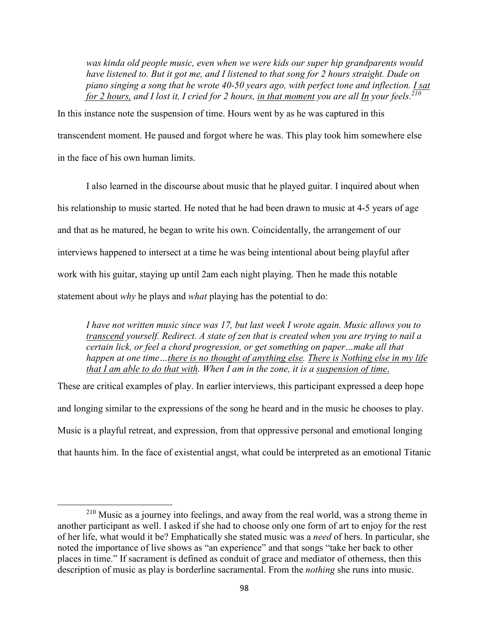*was kinda old people music, even when we were kids our super hip grandparents would have listened to. But it got me, and I listened to that song for 2 hours straight. Dude on piano singing a song that he wrote 40-50 years ago, with perfect tone and inflection. I sat for 2 hours, and I lost it, I cried for 2 hours, in that moment you are all In your feels.<sup>210</sup>*

In this instance note the suspension of time. Hours went by as he was captured in this transcendent moment. He paused and forgot where he was. This play took him somewhere else in the face of his own human limits.

 I also learned in the discourse about music that he played guitar. I inquired about when his relationship to music started. He noted that he had been drawn to music at 4-5 years of age and that as he matured, he began to write his own. Coincidentally, the arrangement of our interviews happened to intersect at a time he was being intentional about being playful after work with his guitar, staying up until 2am each night playing. Then he made this notable statement about *why* he plays and *what* playing has the potential to do:

*I have not written music since was 17, but last week I wrote again. Music allows you to transcend yourself. Redirect. A state of zen that is created when you are trying to nail a certain lick, or feel a chord progression, or get something on paper…make all that happen at one time…there is no thought of anything else. There is Nothing else in my life that I am able to do that with. When I am in the zone, it is a suspension of time*.

These are critical examples of play. In earlier interviews, this participant expressed a deep hope and longing similar to the expressions of the song he heard and in the music he chooses to play. Music is a playful retreat, and expression, from that oppressive personal and emotional longing that haunts him. In the face of existential angst, what could be interpreted as an emotional Titanic

 $\overline{a}$ 

<sup>210</sup> Music as a journey into feelings, and away from the real world, was a strong theme in another participant as well. I asked if she had to choose only one form of art to enjoy for the rest of her life, what would it be? Emphatically she stated music was a *need* of hers. In particular, she noted the importance of live shows as "an experience" and that songs "take her back to other places in time." If sacrament is defined as conduit of grace and mediator of otherness, then this description of music as play is borderline sacramental. From the *nothing* she runs into music.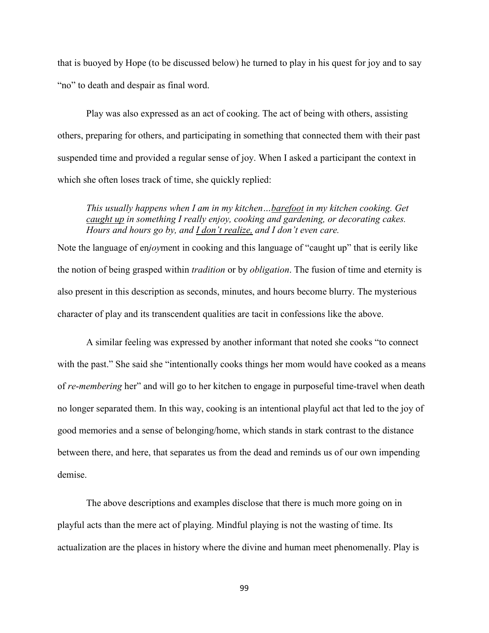that is buoyed by Hope (to be discussed below) he turned to play in his quest for joy and to say "no" to death and despair as final word.

 Play was also expressed as an act of cooking. The act of being with others, assisting others, preparing for others, and participating in something that connected them with their past suspended time and provided a regular sense of joy. When I asked a participant the context in which she often loses track of time, she quickly replied:

*This usually happens when I am in my kitchen…barefoot in my kitchen cooking. Get caught up in something I really enjoy, cooking and gardening, or decorating cakes. Hours and hours go by, and I don't realize, and I don't even care.* 

Note the language of en*joy*ment in cooking and this language of "caught up" that is eerily like the notion of being grasped within *tradition* or by *obligation*. The fusion of time and eternity is also present in this description as seconds, minutes, and hours become blurry. The mysterious character of play and its transcendent qualities are tacit in confessions like the above.

A similar feeling was expressed by another informant that noted she cooks "to connect with the past." She said she "intentionally cooks things her mom would have cooked as a means of *re*-*membering* her" and will go to her kitchen to engage in purposeful time-travel when death no longer separated them. In this way, cooking is an intentional playful act that led to the joy of good memories and a sense of belonging/home, which stands in stark contrast to the distance between there, and here, that separates us from the dead and reminds us of our own impending demise.

The above descriptions and examples disclose that there is much more going on in playful acts than the mere act of playing. Mindful playing is not the wasting of time. Its actualization are the places in history where the divine and human meet phenomenally. Play is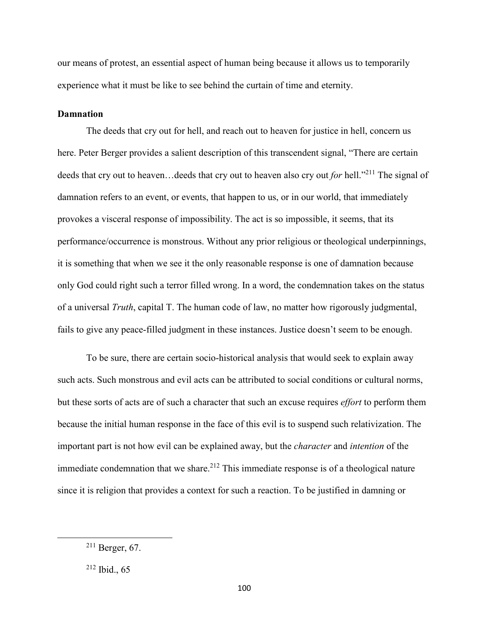our means of protest, an essential aspect of human being because it allows us to temporarily experience what it must be like to see behind the curtain of time and eternity.

# **Damnation**

The deeds that cry out for hell, and reach out to heaven for justice in hell, concern us here. Peter Berger provides a salient description of this transcendent signal, "There are certain deeds that cry out to heaven…deeds that cry out to heaven also cry out *for* hell."<sup>211</sup> The signal of damnation refers to an event, or events, that happen to us, or in our world, that immediately provokes a visceral response of impossibility. The act is so impossible, it seems, that its performance/occurrence is monstrous. Without any prior religious or theological underpinnings, it is something that when we see it the only reasonable response is one of damnation because only God could right such a terror filled wrong. In a word, the condemnation takes on the status of a universal *Truth*, capital T. The human code of law, no matter how rigorously judgmental, fails to give any peace-filled judgment in these instances. Justice doesn't seem to be enough.

To be sure, there are certain socio-historical analysis that would seek to explain away such acts. Such monstrous and evil acts can be attributed to social conditions or cultural norms, but these sorts of acts are of such a character that such an excuse requires *effort* to perform them because the initial human response in the face of this evil is to suspend such relativization. The important part is not how evil can be explained away, but the *character* and *intention* of the immediate condemnation that we share.<sup>212</sup> This immediate response is of a theological nature since it is religion that provides a context for such a reaction. To be justified in damning or

<sup>211</sup> Berger, 67.

 $212$  Ibid., 65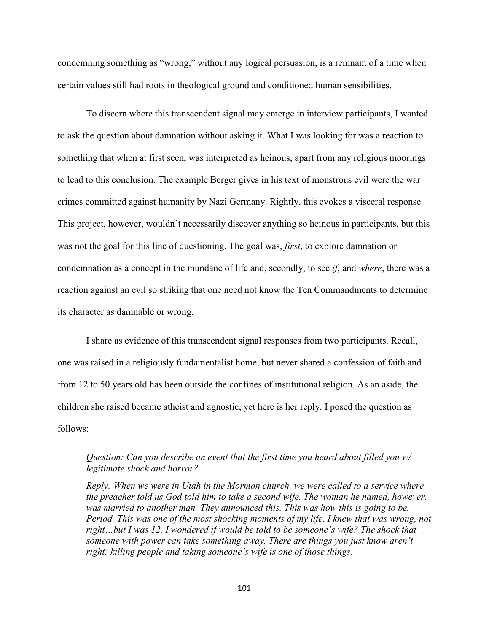condemning something as "wrong," without any logical persuasion, is a remnant of a time when certain values still had roots in theological ground and conditioned human sensibilities.

To discern where this transcendent signal may emerge in interview participants, I wanted to ask the question about damnation without asking it. What I was looking for was a reaction to something that when at first seen, was interpreted as heinous, apart from any religious moorings to lead to this conclusion. The example Berger gives in his text of monstrous evil were the war crimes committed against humanity by Nazi Germany. Rightly, this evokes a visceral response. This project, however, wouldn't necessarily discover anything so heinous in participants, but this was not the goal for this line of questioning. The goal was, *first*, to explore damnation or condemnation as a concept in the mundane of life and, secondly, to see *if*, and *where*, there was a reaction against an evil so striking that one need not know the Ten Commandments to determine its character as damnable or wrong.

I share as evidence of this transcendent signal responses from two participants. Recall, one was raised in a religiously fundamentalist home, but never shared a confession of faith and from 12 to 50 years old has been outside the confines of institutional religion. As an aside, the children she raised became atheist and agnostic, yet here is her reply. I posed the question as follows:

# *Question: Can you describe an event that the first time you heard about filled you w/ legitimate shock and horror?*

*Reply: When we were in Utah in the Mormon church, we were called to a service where the preacher told us God told him to take a second wife. The woman he named, however, was married to another man. They announced this. This was how this is going to be. Period. This was one of the most shocking moments of my life. I knew that was wrong, not right…but I was 12. I wondered if would be told to be someone's wife? The shock that someone with power can take something away. There are things you just know aren't right: killing people and taking someone's wife is one of those things.*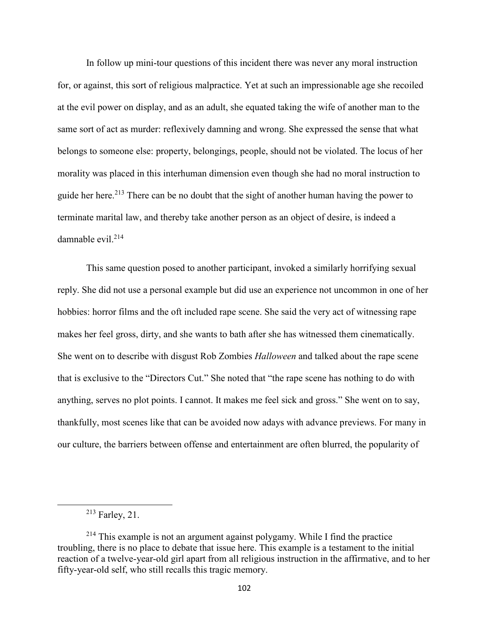In follow up mini-tour questions of this incident there was never any moral instruction for, or against, this sort of religious malpractice. Yet at such an impressionable age she recoiled at the evil power on display, and as an adult, she equated taking the wife of another man to the same sort of act as murder: reflexively damning and wrong. She expressed the sense that what belongs to someone else: property, belongings, people, should not be violated. The locus of her morality was placed in this interhuman dimension even though she had no moral instruction to guide her here.<sup>213</sup> There can be no doubt that the sight of another human having the power to terminate marital law, and thereby take another person as an object of desire, is indeed a damnable evil.<sup>214</sup>

This same question posed to another participant, invoked a similarly horrifying sexual reply. She did not use a personal example but did use an experience not uncommon in one of her hobbies: horror films and the oft included rape scene. She said the very act of witnessing rape makes her feel gross, dirty, and she wants to bath after she has witnessed them cinematically. She went on to describe with disgust Rob Zombies *Halloween* and talked about the rape scene that is exclusive to the "Directors Cut." She noted that "the rape scene has nothing to do with anything, serves no plot points. I cannot. It makes me feel sick and gross." She went on to say, thankfully, most scenes like that can be avoided now adays with advance previews. For many in our culture, the barriers between offense and entertainment are often blurred, the popularity of

 $\overline{a}$ 

<sup>213</sup> Farley, 21.

 $214$  This example is not an argument against polygamy. While I find the practice troubling, there is no place to debate that issue here. This example is a testament to the initial reaction of a twelve-year-old girl apart from all religious instruction in the affirmative, and to her fifty-year-old self, who still recalls this tragic memory.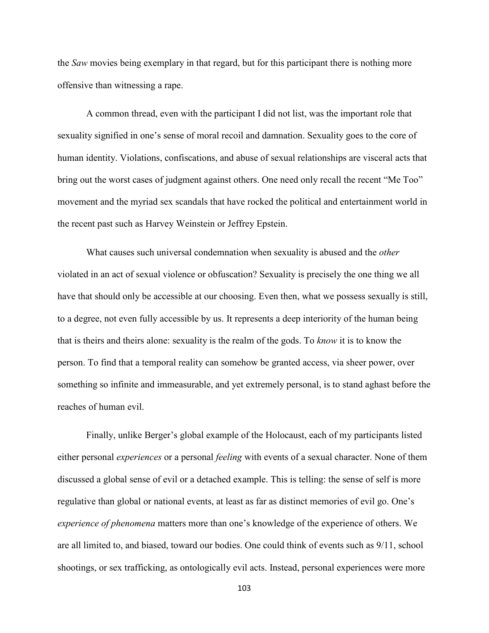the *Saw* movies being exemplary in that regard, but for this participant there is nothing more offensive than witnessing a rape.

A common thread, even with the participant I did not list, was the important role that sexuality signified in one's sense of moral recoil and damnation. Sexuality goes to the core of human identity. Violations, confiscations, and abuse of sexual relationships are visceral acts that bring out the worst cases of judgment against others. One need only recall the recent "Me Too" movement and the myriad sex scandals that have rocked the political and entertainment world in the recent past such as Harvey Weinstein or Jeffrey Epstein.

What causes such universal condemnation when sexuality is abused and the *other* violated in an act of sexual violence or obfuscation? Sexuality is precisely the one thing we all have that should only be accessible at our choosing. Even then, what we possess sexually is still, to a degree, not even fully accessible by us. It represents a deep interiority of the human being that is theirs and theirs alone: sexuality is the realm of the gods. To *know* it is to know the person. To find that a temporal reality can somehow be granted access, via sheer power, over something so infinite and immeasurable, and yet extremely personal, is to stand aghast before the reaches of human evil.

Finally, unlike Berger's global example of the Holocaust, each of my participants listed either personal *experiences* or a personal *feeling* with events of a sexual character. None of them discussed a global sense of evil or a detached example. This is telling: the sense of self is more regulative than global or national events, at least as far as distinct memories of evil go. One's *experience of phenomena* matters more than one's knowledge of the experience of others. We are all limited to, and biased, toward our bodies. One could think of events such as 9/11, school shootings, or sex trafficking, as ontologically evil acts. Instead, personal experiences were more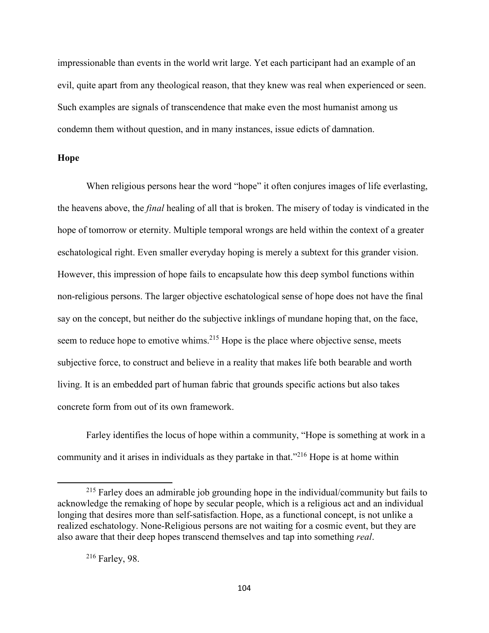impressionable than events in the world writ large. Yet each participant had an example of an evil, quite apart from any theological reason, that they knew was real when experienced or seen. Such examples are signals of transcendence that make even the most humanist among us condemn them without question, and in many instances, issue edicts of damnation.

## **Hope**

When religious persons hear the word "hope" it often conjures images of life everlasting, the heavens above, the *final* healing of all that is broken. The misery of today is vindicated in the hope of tomorrow or eternity. Multiple temporal wrongs are held within the context of a greater eschatological right. Even smaller everyday hoping is merely a subtext for this grander vision. However, this impression of hope fails to encapsulate how this deep symbol functions within non-religious persons. The larger objective eschatological sense of hope does not have the final say on the concept, but neither do the subjective inklings of mundane hoping that, on the face, seem to reduce hope to emotive whims.<sup>215</sup> Hope is the place where objective sense, meets subjective force, to construct and believe in a reality that makes life both bearable and worth living. It is an embedded part of human fabric that grounds specific actions but also takes concrete form from out of its own framework.

Farley identifies the locus of hope within a community, "Hope is something at work in a community and it arises in individuals as they partake in that."<sup>216</sup> Hope is at home within

 $\overline{\phantom{0}}$ 

<sup>&</sup>lt;sup>215</sup> Farley does an admirable job grounding hope in the individual/community but fails to acknowledge the remaking of hope by secular people, which is a religious act and an individual longing that desires more than self-satisfaction. Hope, as a functional concept, is not unlike a realized eschatology. None-Religious persons are not waiting for a cosmic event, but they are also aware that their deep hopes transcend themselves and tap into something *real*.

<sup>216</sup> Farley, 98.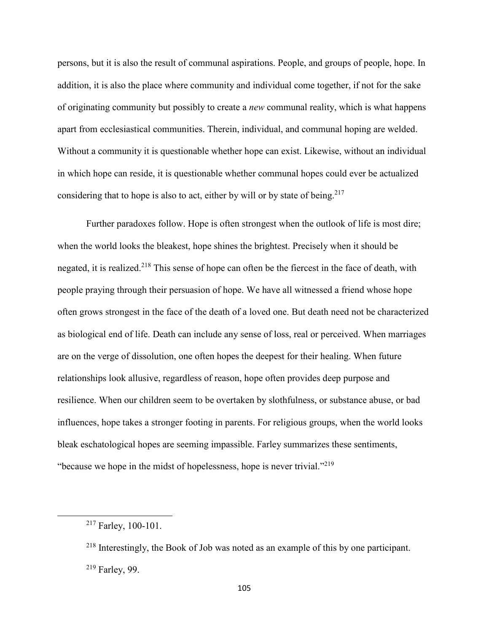persons, but it is also the result of communal aspirations. People, and groups of people, hope. In addition, it is also the place where community and individual come together, if not for the sake of originating community but possibly to create a *new* communal reality, which is what happens apart from ecclesiastical communities. Therein, individual, and communal hoping are welded. Without a community it is questionable whether hope can exist. Likewise, without an individual in which hope can reside, it is questionable whether communal hopes could ever be actualized considering that to hope is also to act, either by will or by state of being.<sup>217</sup>

 Further paradoxes follow. Hope is often strongest when the outlook of life is most dire; when the world looks the bleakest, hope shines the brightest. Precisely when it should be negated, it is realized.<sup>218</sup> This sense of hope can often be the fiercest in the face of death, with people praying through their persuasion of hope. We have all witnessed a friend whose hope often grows strongest in the face of the death of a loved one. But death need not be characterized as biological end of life. Death can include any sense of loss, real or perceived. When marriages are on the verge of dissolution, one often hopes the deepest for their healing. When future relationships look allusive, regardless of reason, hope often provides deep purpose and resilience. When our children seem to be overtaken by slothfulness, or substance abuse, or bad influences, hope takes a stronger footing in parents. For religious groups, when the world looks bleak eschatological hopes are seeming impassible. Farley summarizes these sentiments, "because we hope in the midst of hopelessness, hope is never trivial."<sup>219</sup>

 $\overline{a}$ 

<sup>217</sup> Farley, 100-101.

<sup>218</sup> Interestingly, the Book of Job was noted as an example of this by one participant. <sup>219</sup> Farley, 99.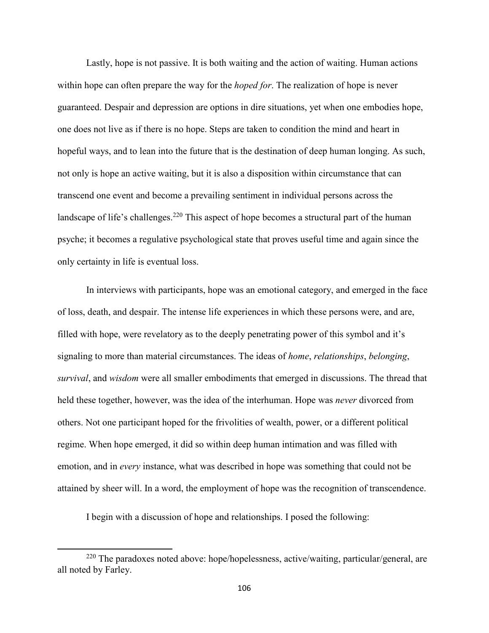Lastly, hope is not passive. It is both waiting and the action of waiting. Human actions within hope can often prepare the way for the *hoped for*. The realization of hope is never guaranteed. Despair and depression are options in dire situations, yet when one embodies hope, one does not live as if there is no hope. Steps are taken to condition the mind and heart in hopeful ways, and to lean into the future that is the destination of deep human longing. As such, not only is hope an active waiting, but it is also a disposition within circumstance that can transcend one event and become a prevailing sentiment in individual persons across the landscape of life's challenges.<sup>220</sup> This aspect of hope becomes a structural part of the human psyche; it becomes a regulative psychological state that proves useful time and again since the only certainty in life is eventual loss.

 In interviews with participants, hope was an emotional category, and emerged in the face of loss, death, and despair. The intense life experiences in which these persons were, and are, filled with hope, were revelatory as to the deeply penetrating power of this symbol and it's signaling to more than material circumstances. The ideas of *home*, *relationships*, *belonging*, *survival*, and *wisdom* were all smaller embodiments that emerged in discussions. The thread that held these together, however, was the idea of the interhuman. Hope was *never* divorced from others. Not one participant hoped for the frivolities of wealth, power, or a different political regime. When hope emerged, it did so within deep human intimation and was filled with emotion, and in *every* instance, what was described in hope was something that could not be attained by sheer will. In a word, the employment of hope was the recognition of transcendence.

I begin with a discussion of hope and relationships. I posed the following:

 $\overline{\phantom{0}}$ 

<sup>220</sup> The paradoxes noted above: hope/hopelessness, active/waiting, particular/general, are all noted by Farley.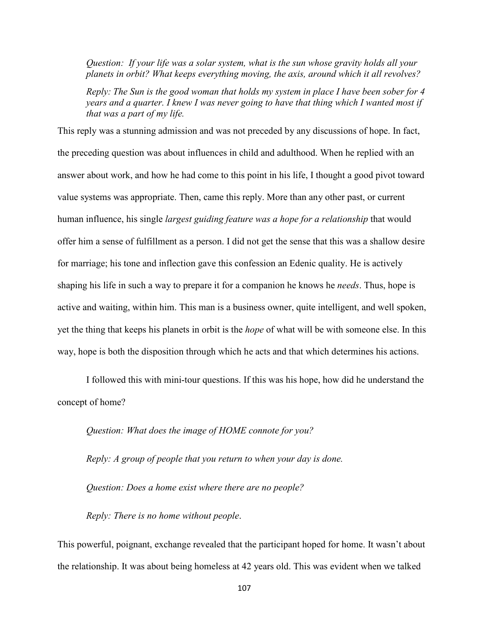*Question: If your life was a solar system, what is the sun whose gravity holds all your planets in orbit? What keeps everything moving, the axis, around which it all revolves?* 

*Reply: The Sun is the good woman that holds my system in place I have been sober for 4 years and a quarter. I knew I was never going to have that thing which I wanted most if that was a part of my life.* 

This reply was a stunning admission and was not preceded by any discussions of hope. In fact, the preceding question was about influences in child and adulthood. When he replied with an answer about work, and how he had come to this point in his life, I thought a good pivot toward value systems was appropriate. Then, came this reply. More than any other past, or current human influence, his single *largest guiding feature was a hope for a relationship* that would offer him a sense of fulfillment as a person. I did not get the sense that this was a shallow desire for marriage; his tone and inflection gave this confession an Edenic quality. He is actively shaping his life in such a way to prepare it for a companion he knows he *needs*. Thus, hope is active and waiting, within him. This man is a business owner, quite intelligent, and well spoken, yet the thing that keeps his planets in orbit is the *hope* of what will be with someone else. In this way, hope is both the disposition through which he acts and that which determines his actions.

 I followed this with mini-tour questions. If this was his hope, how did he understand the concept of home?

*Question: What does the image of HOME connote for you?* 

*Reply: A group of people that you return to when your day is done.* 

*Question: Does a home exist where there are no people?* 

*Reply: There is no home without people*.

This powerful, poignant, exchange revealed that the participant hoped for home. It wasn't about the relationship. It was about being homeless at 42 years old. This was evident when we talked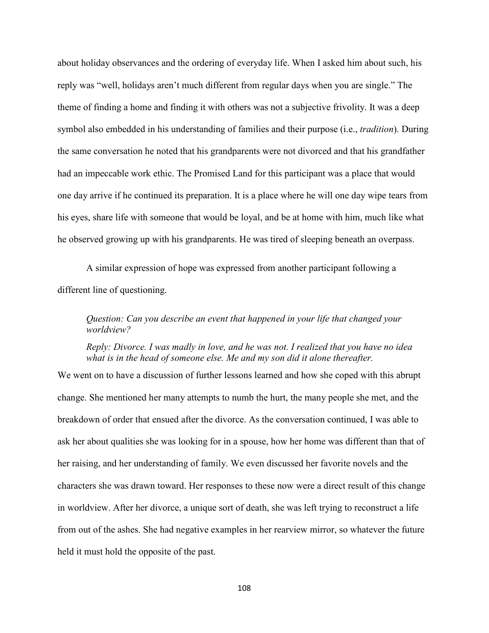about holiday observances and the ordering of everyday life. When I asked him about such, his reply was "well, holidays aren't much different from regular days when you are single." The theme of finding a home and finding it with others was not a subjective frivolity. It was a deep symbol also embedded in his understanding of families and their purpose (i.e., *tradition*). During the same conversation he noted that his grandparents were not divorced and that his grandfather had an impeccable work ethic. The Promised Land for this participant was a place that would one day arrive if he continued its preparation. It is a place where he will one day wipe tears from his eyes, share life with someone that would be loyal, and be at home with him, much like what he observed growing up with his grandparents. He was tired of sleeping beneath an overpass.

 A similar expression of hope was expressed from another participant following a different line of questioning.

*Question: Can you describe an event that happened in your life that changed your worldview?* 

*Reply: Divorce. I was madly in love, and he was not. I realized that you have no idea what is in the head of someone else. Me and my son did it alone thereafter.* 

We went on to have a discussion of further lessons learned and how she coped with this abrupt change. She mentioned her many attempts to numb the hurt, the many people she met, and the breakdown of order that ensued after the divorce. As the conversation continued, I was able to ask her about qualities she was looking for in a spouse, how her home was different than that of her raising, and her understanding of family. We even discussed her favorite novels and the characters she was drawn toward. Her responses to these now were a direct result of this change in worldview. After her divorce, a unique sort of death, she was left trying to reconstruct a life from out of the ashes. She had negative examples in her rearview mirror, so whatever the future held it must hold the opposite of the past.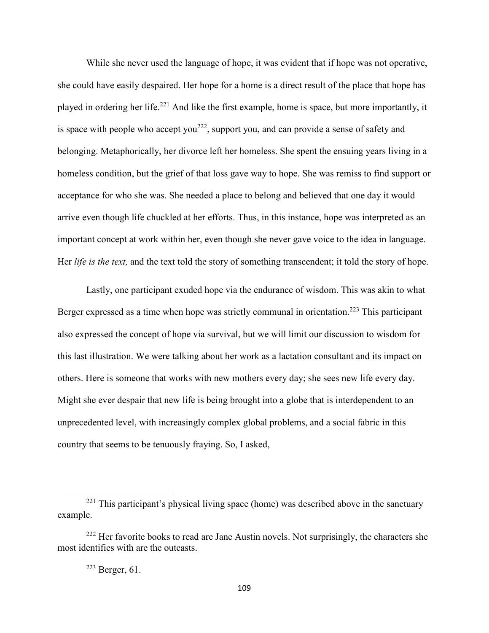While she never used the language of hope, it was evident that if hope was not operative, she could have easily despaired. Her hope for a home is a direct result of the place that hope has played in ordering her life.<sup>221</sup> And like the first example, home is space, but more importantly, it is space with people who accept you<sup>222</sup>, support you, and can provide a sense of safety and belonging. Metaphorically, her divorce left her homeless. She spent the ensuing years living in a homeless condition, but the grief of that loss gave way to hope. She was remiss to find support or acceptance for who she was. She needed a place to belong and believed that one day it would arrive even though life chuckled at her efforts. Thus, in this instance, hope was interpreted as an important concept at work within her, even though she never gave voice to the idea in language. Her *life is the text,* and the text told the story of something transcendent; it told the story of hope.

Lastly, one participant exuded hope via the endurance of wisdom. This was akin to what Berger expressed as a time when hope was strictly communal in orientation.<sup>223</sup> This participant also expressed the concept of hope via survival, but we will limit our discussion to wisdom for this last illustration. We were talking about her work as a lactation consultant and its impact on others. Here is someone that works with new mothers every day; she sees new life every day. Might she ever despair that new life is being brought into a globe that is interdependent to an unprecedented level, with increasingly complex global problems, and a social fabric in this country that seems to be tenuously fraying. So, I asked,

 $\overline{\phantom{0}}$ 

<sup>&</sup>lt;sup>221</sup> This participant's physical living space (home) was described above in the sanctuary example.

 $222$  Her favorite books to read are Jane Austin novels. Not surprisingly, the characters she most identifies with are the outcasts.

 $223$  Berger, 61.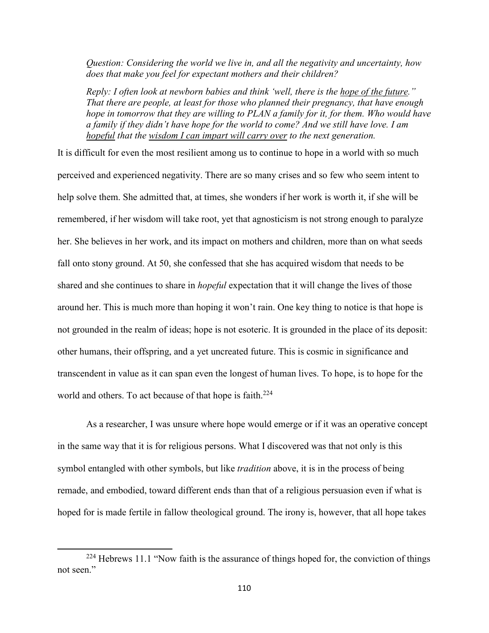*Question: Considering the world we live in, and all the negativity and uncertainty, how does that make you feel for expectant mothers and their children?* 

*Reply: I often look at newborn babies and think 'well, there is the hope of the future." That there are people, at least for those who planned their pregnancy, that have enough hope in tomorrow that they are willing to PLAN a family for it, for them. Who would have a family if they didn't have hope for the world to come? And we still have love. I am hopeful that the wisdom I can impart will carry over to the next generation.* 

It is difficult for even the most resilient among us to continue to hope in a world with so much perceived and experienced negativity. There are so many crises and so few who seem intent to help solve them. She admitted that, at times, she wonders if her work is worth it, if she will be remembered, if her wisdom will take root, yet that agnosticism is not strong enough to paralyze her. She believes in her work, and its impact on mothers and children, more than on what seeds fall onto stony ground. At 50, she confessed that she has acquired wisdom that needs to be shared and she continues to share in *hopeful* expectation that it will change the lives of those around her. This is much more than hoping it won't rain. One key thing to notice is that hope is not grounded in the realm of ideas; hope is not esoteric. It is grounded in the place of its deposit: other humans, their offspring, and a yet uncreated future. This is cosmic in significance and transcendent in value as it can span even the longest of human lives. To hope, is to hope for the world and others. To act because of that hope is faith.<sup>224</sup>

 As a researcher, I was unsure where hope would emerge or if it was an operative concept in the same way that it is for religious persons. What I discovered was that not only is this symbol entangled with other symbols, but like *tradition* above, it is in the process of being remade, and embodied, toward different ends than that of a religious persuasion even if what is hoped for is made fertile in fallow theological ground. The irony is, however, that all hope takes

 $\overline{\phantom{0}}$ 

 $224$  Hebrews 11.1 "Now faith is the assurance of things hoped for, the conviction of things not seen."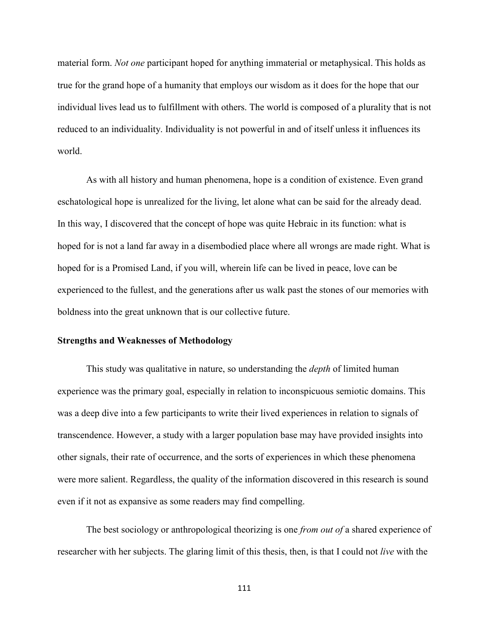material form. *Not one* participant hoped for anything immaterial or metaphysical. This holds as true for the grand hope of a humanity that employs our wisdom as it does for the hope that our individual lives lead us to fulfillment with others. The world is composed of a plurality that is not reduced to an individuality. Individuality is not powerful in and of itself unless it influences its world.

As with all history and human phenomena, hope is a condition of existence. Even grand eschatological hope is unrealized for the living, let alone what can be said for the already dead. In this way, I discovered that the concept of hope was quite Hebraic in its function: what is hoped for is not a land far away in a disembodied place where all wrongs are made right. What is hoped for is a Promised Land, if you will, wherein life can be lived in peace, love can be experienced to the fullest, and the generations after us walk past the stones of our memories with boldness into the great unknown that is our collective future.

#### **Strengths and Weaknesses of Methodology**

 This study was qualitative in nature, so understanding the *depth* of limited human experience was the primary goal, especially in relation to inconspicuous semiotic domains. This was a deep dive into a few participants to write their lived experiences in relation to signals of transcendence. However, a study with a larger population base may have provided insights into other signals, their rate of occurrence, and the sorts of experiences in which these phenomena were more salient. Regardless, the quality of the information discovered in this research is sound even if it not as expansive as some readers may find compelling.

 The best sociology or anthropological theorizing is one *from out of* a shared experience of researcher with her subjects. The glaring limit of this thesis, then, is that I could not *live* with the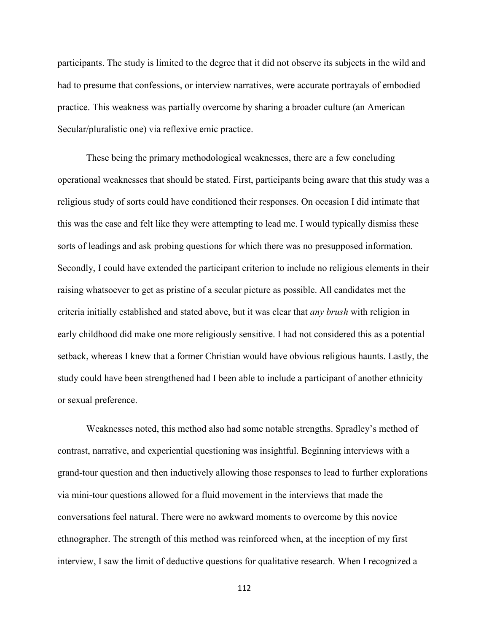participants. The study is limited to the degree that it did not observe its subjects in the wild and had to presume that confessions, or interview narratives, were accurate portrayals of embodied practice. This weakness was partially overcome by sharing a broader culture (an American Secular/pluralistic one) via reflexive emic practice.

 These being the primary methodological weaknesses, there are a few concluding operational weaknesses that should be stated. First, participants being aware that this study was a religious study of sorts could have conditioned their responses. On occasion I did intimate that this was the case and felt like they were attempting to lead me. I would typically dismiss these sorts of leadings and ask probing questions for which there was no presupposed information. Secondly, I could have extended the participant criterion to include no religious elements in their raising whatsoever to get as pristine of a secular picture as possible. All candidates met the criteria initially established and stated above, but it was clear that *any brush* with religion in early childhood did make one more religiously sensitive. I had not considered this as a potential setback, whereas I knew that a former Christian would have obvious religious haunts. Lastly, the study could have been strengthened had I been able to include a participant of another ethnicity or sexual preference.

Weaknesses noted, this method also had some notable strengths. Spradley's method of contrast, narrative, and experiential questioning was insightful. Beginning interviews with a grand-tour question and then inductively allowing those responses to lead to further explorations via mini-tour questions allowed for a fluid movement in the interviews that made the conversations feel natural. There were no awkward moments to overcome by this novice ethnographer. The strength of this method was reinforced when, at the inception of my first interview, I saw the limit of deductive questions for qualitative research. When I recognized a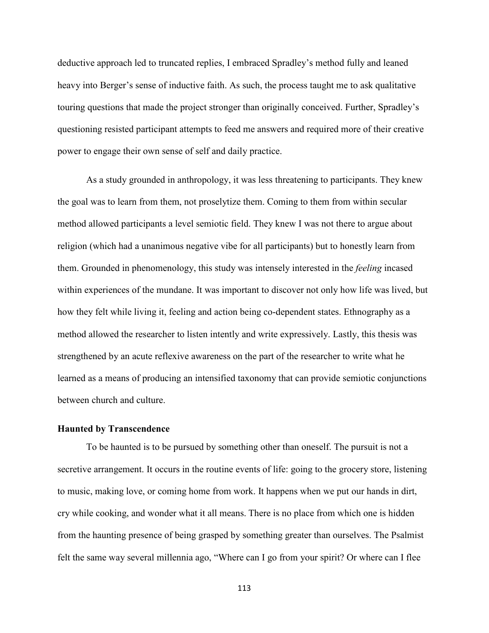deductive approach led to truncated replies, I embraced Spradley's method fully and leaned heavy into Berger's sense of inductive faith. As such, the process taught me to ask qualitative touring questions that made the project stronger than originally conceived. Further, Spradley's questioning resisted participant attempts to feed me answers and required more of their creative power to engage their own sense of self and daily practice.

As a study grounded in anthropology, it was less threatening to participants. They knew the goal was to learn from them, not proselytize them. Coming to them from within secular method allowed participants a level semiotic field. They knew I was not there to argue about religion (which had a unanimous negative vibe for all participants) but to honestly learn from them. Grounded in phenomenology, this study was intensely interested in the *feeling* incased within experiences of the mundane. It was important to discover not only how life was lived, but how they felt while living it, feeling and action being co-dependent states. Ethnography as a method allowed the researcher to listen intently and write expressively. Lastly, this thesis was strengthened by an acute reflexive awareness on the part of the researcher to write what he learned as a means of producing an intensified taxonomy that can provide semiotic conjunctions between church and culture.

#### **Haunted by Transcendence**

To be haunted is to be pursued by something other than oneself. The pursuit is not a secretive arrangement. It occurs in the routine events of life: going to the grocery store, listening to music, making love, or coming home from work. It happens when we put our hands in dirt, cry while cooking, and wonder what it all means. There is no place from which one is hidden from the haunting presence of being grasped by something greater than ourselves. The Psalmist felt the same way several millennia ago, "Where can I go from your spirit? Or where can I flee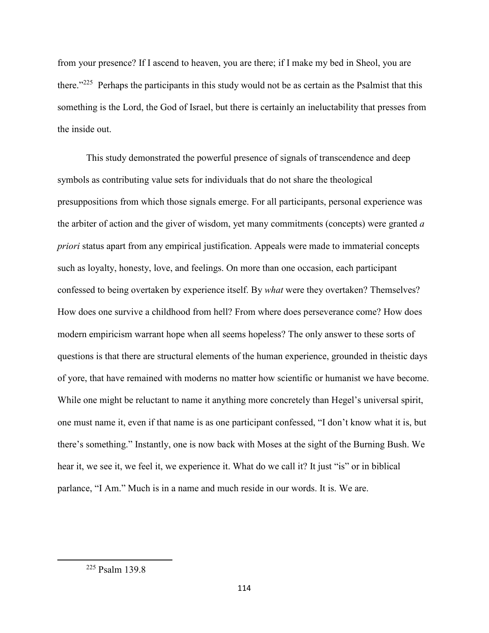from your presence? If I ascend to heaven, you are there; if I make my bed in Sheol, you are there."<sup>225</sup> Perhaps the participants in this study would not be as certain as the Psalmist that this something is the Lord, the God of Israel, but there is certainly an ineluctability that presses from the inside out.

This study demonstrated the powerful presence of signals of transcendence and deep symbols as contributing value sets for individuals that do not share the theological presuppositions from which those signals emerge. For all participants, personal experience was the arbiter of action and the giver of wisdom, yet many commitments (concepts) were granted *a priori* status apart from any empirical justification. Appeals were made to immaterial concepts such as loyalty, honesty, love, and feelings. On more than one occasion, each participant confessed to being overtaken by experience itself. By *what* were they overtaken? Themselves? How does one survive a childhood from hell? From where does perseverance come? How does modern empiricism warrant hope when all seems hopeless? The only answer to these sorts of questions is that there are structural elements of the human experience, grounded in theistic days of yore, that have remained with moderns no matter how scientific or humanist we have become. While one might be reluctant to name it anything more concretely than Hegel's universal spirit, one must name it, even if that name is as one participant confessed, "I don't know what it is, but there's something." Instantly, one is now back with Moses at the sight of the Burning Bush. We hear it, we see it, we feel it, we experience it. What do we call it? It just "is" or in biblical parlance, "I Am." Much is in a name and much reside in our words. It is. We are.

 $\overline{a}$ 

<sup>225</sup> Psalm 139.8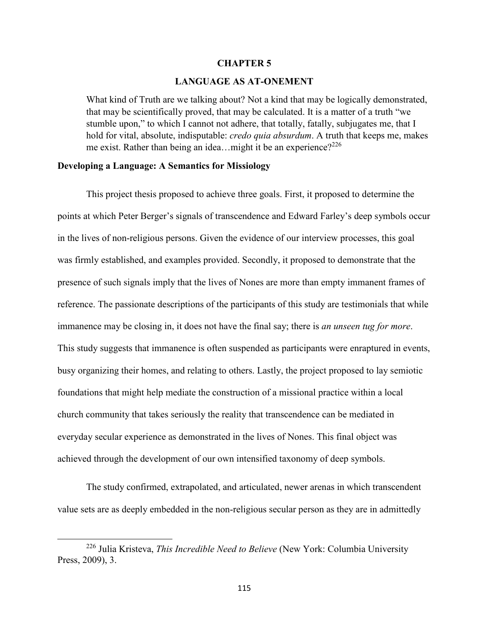#### **CHAPTER 5**

#### **LANGUAGE AS AT-ONEMENT**

What kind of Truth are we talking about? Not a kind that may be logically demonstrated, that may be scientifically proved, that may be calculated. It is a matter of a truth "we stumble upon," to which I cannot not adhere, that totally, fatally, subjugates me, that I hold for vital, absolute, indisputable: *credo quia absurdum*. A truth that keeps me, makes me exist. Rather than being an idea... might it be an experience?<sup>226</sup>

#### **Developing a Language: A Semantics for Missiology**

This project thesis proposed to achieve three goals. First, it proposed to determine the points at which Peter Berger's signals of transcendence and Edward Farley's deep symbols occur in the lives of non-religious persons. Given the evidence of our interview processes, this goal was firmly established, and examples provided. Secondly, it proposed to demonstrate that the presence of such signals imply that the lives of Nones are more than empty immanent frames of reference. The passionate descriptions of the participants of this study are testimonials that while immanence may be closing in, it does not have the final say; there is *an unseen tug for more*. This study suggests that immanence is often suspended as participants were enraptured in events, busy organizing their homes, and relating to others. Lastly, the project proposed to lay semiotic foundations that might help mediate the construction of a missional practice within a local church community that takes seriously the reality that transcendence can be mediated in everyday secular experience as demonstrated in the lives of Nones. This final object was achieved through the development of our own intensified taxonomy of deep symbols.

The study confirmed, extrapolated, and articulated, newer arenas in which transcendent value sets are as deeply embedded in the non-religious secular person as they are in admittedly

<sup>226</sup> Julia Kristeva, *This Incredible Need to Believe* (New York: Columbia University Press, 2009), 3.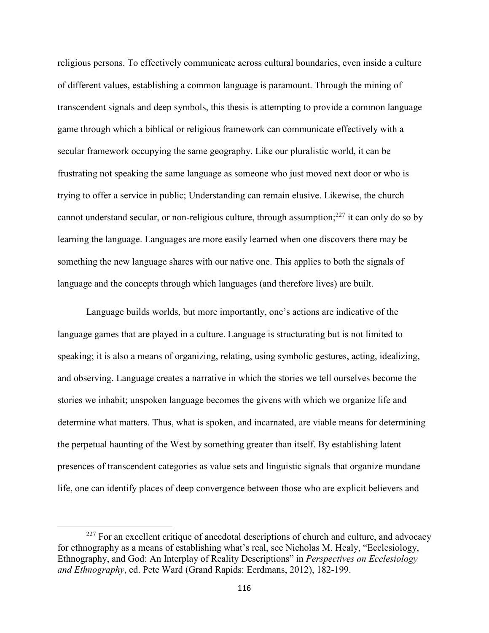religious persons. To effectively communicate across cultural boundaries, even inside a culture of different values, establishing a common language is paramount. Through the mining of transcendent signals and deep symbols, this thesis is attempting to provide a common language game through which a biblical or religious framework can communicate effectively with a secular framework occupying the same geography. Like our pluralistic world, it can be frustrating not speaking the same language as someone who just moved next door or who is trying to offer a service in public; Understanding can remain elusive. Likewise, the church cannot understand secular, or non-religious culture, through assumption; $^{227}$  it can only do so by learning the language. Languages are more easily learned when one discovers there may be something the new language shares with our native one. This applies to both the signals of language and the concepts through which languages (and therefore lives) are built.

Language builds worlds, but more importantly, one's actions are indicative of the language games that are played in a culture. Language is structurating but is not limited to speaking; it is also a means of organizing, relating, using symbolic gestures, acting, idealizing, and observing. Language creates a narrative in which the stories we tell ourselves become the stories we inhabit; unspoken language becomes the givens with which we organize life and determine what matters. Thus, what is spoken, and incarnated, are viable means for determining the perpetual haunting of the West by something greater than itself. By establishing latent presences of transcendent categories as value sets and linguistic signals that organize mundane life, one can identify places of deep convergence between those who are explicit believers and

 $227$  For an excellent critique of anecdotal descriptions of church and culture, and advocacy for ethnography as a means of establishing what's real, see Nicholas M. Healy, "Ecclesiology, Ethnography, and God: An Interplay of Reality Descriptions" in *Perspectives on Ecclesiology and Ethnography*, ed. Pete Ward (Grand Rapids: Eerdmans, 2012), 182-199.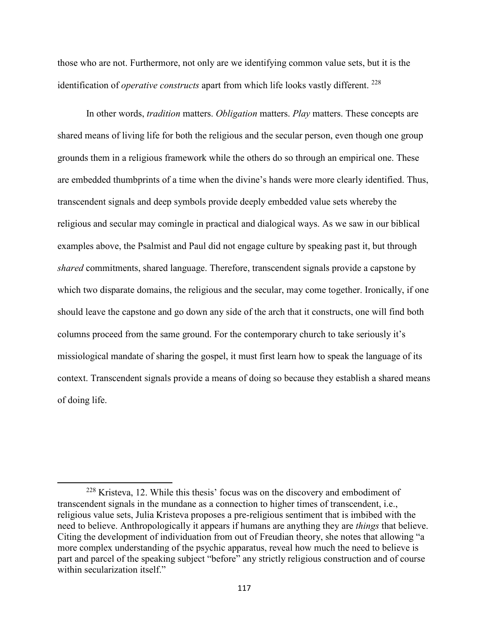those who are not. Furthermore, not only are we identifying common value sets, but it is the identification of *operative constructs* apart from which life looks vastly different.<sup>228</sup>

In other words, *tradition* matters. *Obligation* matters. *Play* matters. These concepts are shared means of living life for both the religious and the secular person, even though one group grounds them in a religious framework while the others do so through an empirical one. These are embedded thumbprints of a time when the divine's hands were more clearly identified. Thus, transcendent signals and deep symbols provide deeply embedded value sets whereby the religious and secular may comingle in practical and dialogical ways. As we saw in our biblical examples above, the Psalmist and Paul did not engage culture by speaking past it, but through *shared* commitments, shared language. Therefore, transcendent signals provide a capstone by which two disparate domains, the religious and the secular, may come together. Ironically, if one should leave the capstone and go down any side of the arch that it constructs, one will find both columns proceed from the same ground. For the contemporary church to take seriously it's missiological mandate of sharing the gospel, it must first learn how to speak the language of its context. Transcendent signals provide a means of doing so because they establish a shared means of doing life.

<sup>228</sup> Kristeva, 12. While this thesis' focus was on the discovery and embodiment of transcendent signals in the mundane as a connection to higher times of transcendent, i.e., religious value sets, Julia Kristeva proposes a pre-religious sentiment that is imbibed with the need to believe. Anthropologically it appears if humans are anything they are *things* that believe. Citing the development of individuation from out of Freudian theory, she notes that allowing "a more complex understanding of the psychic apparatus, reveal how much the need to believe is part and parcel of the speaking subject "before" any strictly religious construction and of course within secularization itself."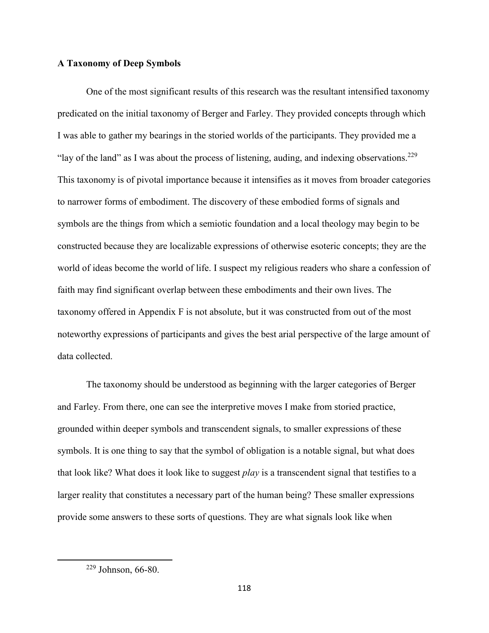## **A Taxonomy of Deep Symbols**

 One of the most significant results of this research was the resultant intensified taxonomy predicated on the initial taxonomy of Berger and Farley. They provided concepts through which I was able to gather my bearings in the storied worlds of the participants. They provided me a "lay of the land" as I was about the process of listening, auding, and indexing observations.<sup>229</sup> This taxonomy is of pivotal importance because it intensifies as it moves from broader categories to narrower forms of embodiment. The discovery of these embodied forms of signals and symbols are the things from which a semiotic foundation and a local theology may begin to be constructed because they are localizable expressions of otherwise esoteric concepts; they are the world of ideas become the world of life. I suspect my religious readers who share a confession of faith may find significant overlap between these embodiments and their own lives. The taxonomy offered in Appendix F is not absolute, but it was constructed from out of the most noteworthy expressions of participants and gives the best arial perspective of the large amount of data collected.

The taxonomy should be understood as beginning with the larger categories of Berger and Farley. From there, one can see the interpretive moves I make from storied practice, grounded within deeper symbols and transcendent signals, to smaller expressions of these symbols. It is one thing to say that the symbol of obligation is a notable signal, but what does that look like? What does it look like to suggest *play* is a transcendent signal that testifies to a larger reality that constitutes a necessary part of the human being? These smaller expressions provide some answers to these sorts of questions. They are what signals look like when

 $\overline{a}$ 

<sup>229</sup> Johnson, 66-80.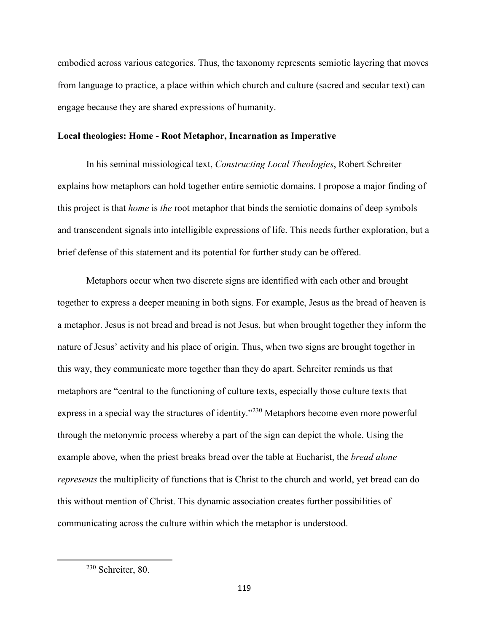embodied across various categories. Thus, the taxonomy represents semiotic layering that moves from language to practice, a place within which church and culture (sacred and secular text) can engage because they are shared expressions of humanity.

#### **Local theologies: Home - Root Metaphor, Incarnation as Imperative**

In his seminal missiological text, *Constructing Local Theologies*, Robert Schreiter explains how metaphors can hold together entire semiotic domains. I propose a major finding of this project is that *home* is *the* root metaphor that binds the semiotic domains of deep symbols and transcendent signals into intelligible expressions of life. This needs further exploration, but a brief defense of this statement and its potential for further study can be offered.

Metaphors occur when two discrete signs are identified with each other and brought together to express a deeper meaning in both signs. For example, Jesus as the bread of heaven is a metaphor. Jesus is not bread and bread is not Jesus, but when brought together they inform the nature of Jesus' activity and his place of origin. Thus, when two signs are brought together in this way, they communicate more together than they do apart. Schreiter reminds us that metaphors are "central to the functioning of culture texts, especially those culture texts that express in a special way the structures of identity."<sup>230</sup> Metaphors become even more powerful through the metonymic process whereby a part of the sign can depict the whole. Using the example above, when the priest breaks bread over the table at Eucharist, the *bread alone represents* the multiplicity of functions that is Christ to the church and world, yet bread can do this without mention of Christ. This dynamic association creates further possibilities of communicating across the culture within which the metaphor is understood.

 $\overline{a}$ 

<sup>230</sup> Schreiter, 80.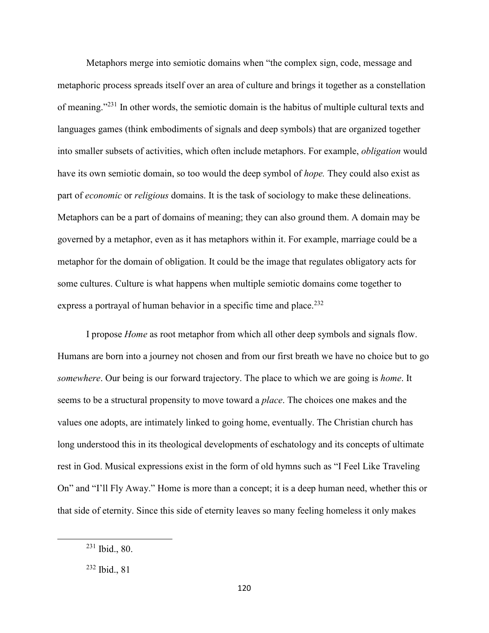Metaphors merge into semiotic domains when "the complex sign, code, message and metaphoric process spreads itself over an area of culture and brings it together as a constellation of meaning."<sup>231</sup> In other words, the semiotic domain is the habitus of multiple cultural texts and languages games (think embodiments of signals and deep symbols) that are organized together into smaller subsets of activities, which often include metaphors. For example, *obligation* would have its own semiotic domain, so too would the deep symbol of *hope.* They could also exist as part of *economic* or *religious* domains. It is the task of sociology to make these delineations. Metaphors can be a part of domains of meaning; they can also ground them. A domain may be governed by a metaphor, even as it has metaphors within it. For example, marriage could be a metaphor for the domain of obligation. It could be the image that regulates obligatory acts for some cultures. Culture is what happens when multiple semiotic domains come together to express a portrayal of human behavior in a specific time and place.<sup>232</sup>

I propose *Home* as root metaphor from which all other deep symbols and signals flow. Humans are born into a journey not chosen and from our first breath we have no choice but to go *somewhere*. Our being is our forward trajectory. The place to which we are going is *home*. It seems to be a structural propensity to move toward a *place*. The choices one makes and the values one adopts, are intimately linked to going home, eventually. The Christian church has long understood this in its theological developments of eschatology and its concepts of ultimate rest in God. Musical expressions exist in the form of old hymns such as "I Feel Like Traveling On" and "I'll Fly Away." Home is more than a concept; it is a deep human need, whether this or that side of eternity. Since this side of eternity leaves so many feeling homeless it only makes

 $231$  Ibid., 80.

<sup>232</sup> Ibid., 81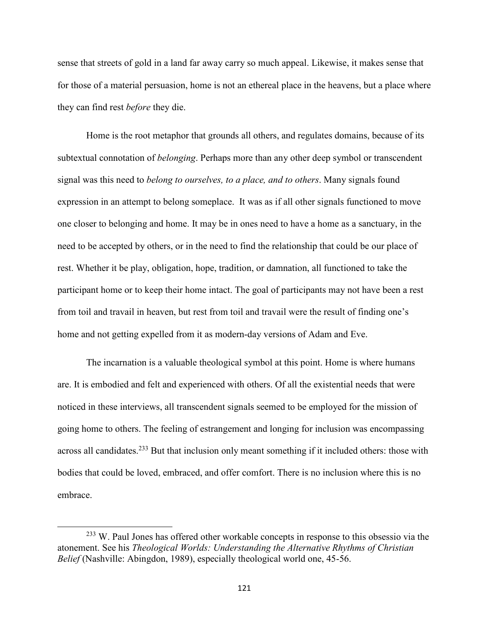sense that streets of gold in a land far away carry so much appeal. Likewise, it makes sense that for those of a material persuasion, home is not an ethereal place in the heavens, but a place where they can find rest *before* they die.

Home is the root metaphor that grounds all others, and regulates domains, because of its subtextual connotation of *belonging*. Perhaps more than any other deep symbol or transcendent signal was this need to *belong to ourselves, to a place, and to others*. Many signals found expression in an attempt to belong someplace. It was as if all other signals functioned to move one closer to belonging and home. It may be in ones need to have a home as a sanctuary, in the need to be accepted by others, or in the need to find the relationship that could be our place of rest. Whether it be play, obligation, hope, tradition, or damnation, all functioned to take the participant home or to keep their home intact. The goal of participants may not have been a rest from toil and travail in heaven, but rest from toil and travail were the result of finding one's home and not getting expelled from it as modern-day versions of Adam and Eve.

The incarnation is a valuable theological symbol at this point. Home is where humans are. It is embodied and felt and experienced with others. Of all the existential needs that were noticed in these interviews, all transcendent signals seemed to be employed for the mission of going home to others. The feeling of estrangement and longing for inclusion was encompassing across all candidates.<sup>233</sup> But that inclusion only meant something if it included others: those with bodies that could be loved, embraced, and offer comfort. There is no inclusion where this is no embrace.

<sup>&</sup>lt;sup>233</sup> W. Paul Jones has offered other workable concepts in response to this obsessio via the atonement. See his *Theological Worlds: Understanding the Alternative Rhythms of Christian Belief* (Nashville: Abingdon, 1989), especially theological world one, 45-56.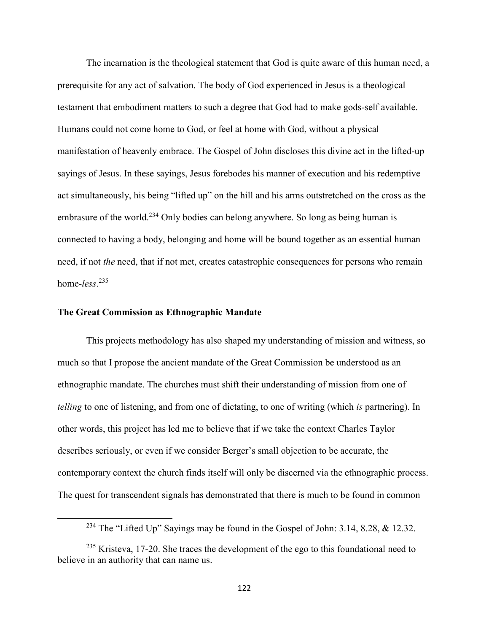The incarnation is the theological statement that God is quite aware of this human need, a prerequisite for any act of salvation. The body of God experienced in Jesus is a theological testament that embodiment matters to such a degree that God had to make gods-self available. Humans could not come home to God, or feel at home with God, without a physical manifestation of heavenly embrace. The Gospel of John discloses this divine act in the lifted-up sayings of Jesus. In these sayings, Jesus forebodes his manner of execution and his redemptive act simultaneously, his being "lifted up" on the hill and his arms outstretched on the cross as the embrasure of the world.<sup>234</sup> Only bodies can belong anywhere. So long as being human is connected to having a body, belonging and home will be bound together as an essential human need, if not *the* need, that if not met, creates catastrophic consequences for persons who remain home-*less*. 235

#### **The Great Commission as Ethnographic Mandate**

l

 This projects methodology has also shaped my understanding of mission and witness, so much so that I propose the ancient mandate of the Great Commission be understood as an ethnographic mandate. The churches must shift their understanding of mission from one of *telling* to one of listening, and from one of dictating, to one of writing (which *is* partnering). In other words, this project has led me to believe that if we take the context Charles Taylor describes seriously, or even if we consider Berger's small objection to be accurate, the contemporary context the church finds itself will only be discerned via the ethnographic process. The quest for transcendent signals has demonstrated that there is much to be found in common

<sup>&</sup>lt;sup>234</sup> The "Lifted Up" Sayings may be found in the Gospel of John: 3.14, 8.28, & 12.32.

 $235$  Kristeva, 17-20. She traces the development of the ego to this foundational need to believe in an authority that can name us.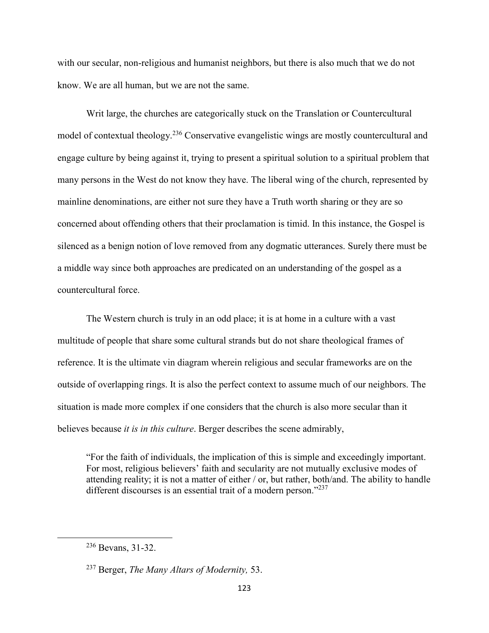with our secular, non-religious and humanist neighbors, but there is also much that we do not know. We are all human, but we are not the same.

Writ large, the churches are categorically stuck on the Translation or Countercultural model of contextual theology.<sup>236</sup> Conservative evangelistic wings are mostly countercultural and engage culture by being against it, trying to present a spiritual solution to a spiritual problem that many persons in the West do not know they have. The liberal wing of the church, represented by mainline denominations, are either not sure they have a Truth worth sharing or they are so concerned about offending others that their proclamation is timid. In this instance, the Gospel is silenced as a benign notion of love removed from any dogmatic utterances. Surely there must be a middle way since both approaches are predicated on an understanding of the gospel as a countercultural force.

The Western church is truly in an odd place; it is at home in a culture with a vast multitude of people that share some cultural strands but do not share theological frames of reference. It is the ultimate vin diagram wherein religious and secular frameworks are on the outside of overlapping rings. It is also the perfect context to assume much of our neighbors. The situation is made more complex if one considers that the church is also more secular than it believes because *it is in this culture*. Berger describes the scene admirably,

"For the faith of individuals, the implication of this is simple and exceedingly important. For most, religious believers' faith and secularity are not mutually exclusive modes of attending reality; it is not a matter of either / or, but rather, both/and. The ability to handle different discourses is an essential trait of a modern person."<sup>237</sup>

<sup>236</sup> Bevans, 31-32.

<sup>237</sup> Berger, *The Many Altars of Modernity,* 53.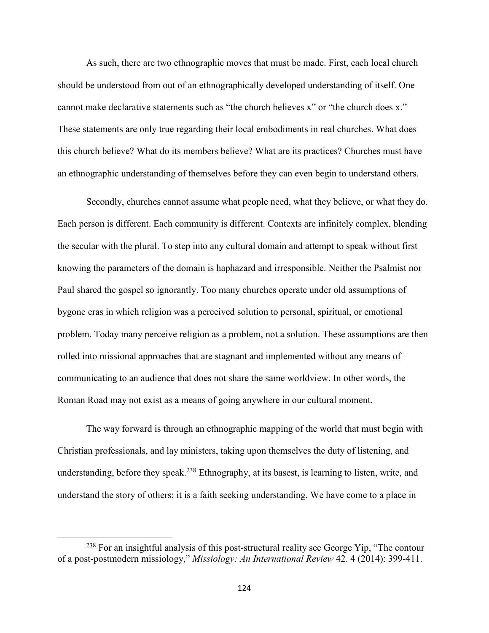As such, there are two ethnographic moves that must be made. First, each local church should be understood from out of an ethnographically developed understanding of itself. One cannot make declarative statements such as "the church believes x" or "the church does x." These statements are only true regarding their local embodiments in real churches. What does this church believe? What do its members believe? What are its practices? Churches must have an ethnographic understanding of themselves before they can even begin to understand others.

Secondly, churches cannot assume what people need, what they believe, or what they do. Each person is different. Each community is different. Contexts are infinitely complex, blending the secular with the plural. To step into any cultural domain and attempt to speak without first knowing the parameters of the domain is haphazard and irresponsible. Neither the Psalmist nor Paul shared the gospel so ignorantly. Too many churches operate under old assumptions of bygone eras in which religion was a perceived solution to personal, spiritual, or emotional problem. Today many perceive religion as a problem, not a solution. These assumptions are then rolled into missional approaches that are stagnant and implemented without any means of communicating to an audience that does not share the same worldview. In other words, the Roman Road may not exist as a means of going anywhere in our cultural moment.

The way forward is through an ethnographic mapping of the world that must begin with Christian professionals, and lay ministers, taking upon themselves the duty of listening, and understanding, before they speak.<sup>238</sup> Ethnography, at its basest, is learning to listen, write, and understand the story of others; it is a faith seeking understanding. We have come to a place in

<sup>&</sup>lt;sup>238</sup> For an insightful analysis of this post-structural reality see George Yip, "The contour of a post-postmodern missiology," *Missiology: An International Review* 42. 4 (2014): 399-411.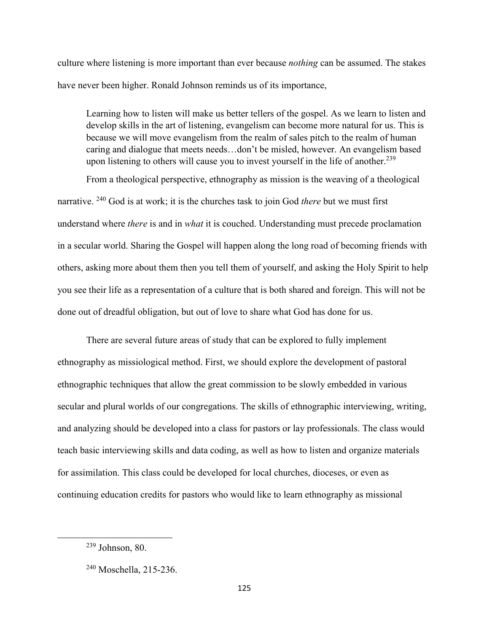culture where listening is more important than ever because *nothing* can be assumed. The stakes have never been higher. Ronald Johnson reminds us of its importance,

Learning how to listen will make us better tellers of the gospel. As we learn to listen and develop skills in the art of listening, evangelism can become more natural for us. This is because we will move evangelism from the realm of sales pitch to the realm of human caring and dialogue that meets needs…don't be misled, however. An evangelism based upon listening to others will cause you to invest yourself in the life of another.<sup>239</sup>

From a theological perspective, ethnography as mission is the weaving of a theological narrative. <sup>240</sup> God is at work; it is the churches task to join God *there* but we must first understand where *there* is and in *what* it is couched. Understanding must precede proclamation in a secular world. Sharing the Gospel will happen along the long road of becoming friends with others, asking more about them then you tell them of yourself, and asking the Holy Spirit to help you see their life as a representation of a culture that is both shared and foreign. This will not be done out of dreadful obligation, but out of love to share what God has done for us.

There are several future areas of study that can be explored to fully implement ethnography as missiological method. First, we should explore the development of pastoral ethnographic techniques that allow the great commission to be slowly embedded in various secular and plural worlds of our congregations. The skills of ethnographic interviewing, writing, and analyzing should be developed into a class for pastors or lay professionals. The class would teach basic interviewing skills and data coding, as well as how to listen and organize materials for assimilation. This class could be developed for local churches, dioceses, or even as continuing education credits for pastors who would like to learn ethnography as missional

<sup>239</sup> Johnson, 80.

<sup>240</sup> Moschella, 215-236.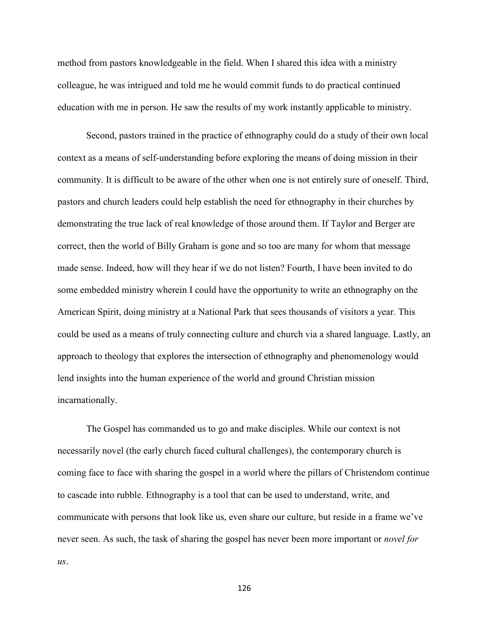method from pastors knowledgeable in the field. When I shared this idea with a ministry colleague, he was intrigued and told me he would commit funds to do practical continued education with me in person. He saw the results of my work instantly applicable to ministry.

Second, pastors trained in the practice of ethnography could do a study of their own local context as a means of self-understanding before exploring the means of doing mission in their community. It is difficult to be aware of the other when one is not entirely sure of oneself. Third, pastors and church leaders could help establish the need for ethnography in their churches by demonstrating the true lack of real knowledge of those around them. If Taylor and Berger are correct, then the world of Billy Graham is gone and so too are many for whom that message made sense. Indeed, how will they hear if we do not listen? Fourth, I have been invited to do some embedded ministry wherein I could have the opportunity to write an ethnography on the American Spirit, doing ministry at a National Park that sees thousands of visitors a year. This could be used as a means of truly connecting culture and church via a shared language. Lastly, an approach to theology that explores the intersection of ethnography and phenomenology would lend insights into the human experience of the world and ground Christian mission incarnationally.

The Gospel has commanded us to go and make disciples. While our context is not necessarily novel (the early church faced cultural challenges), the contemporary church is coming face to face with sharing the gospel in a world where the pillars of Christendom continue to cascade into rubble. Ethnography is a tool that can be used to understand, write, and communicate with persons that look like us, even share our culture, but reside in a frame we've never seen. As such, the task of sharing the gospel has never been more important or *novel for us*.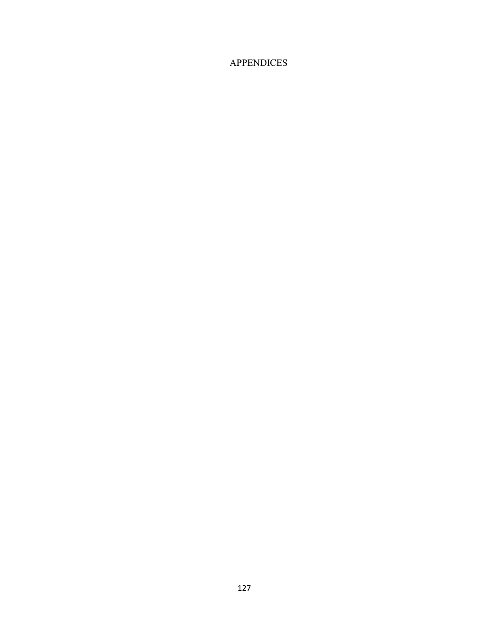# APPENDICES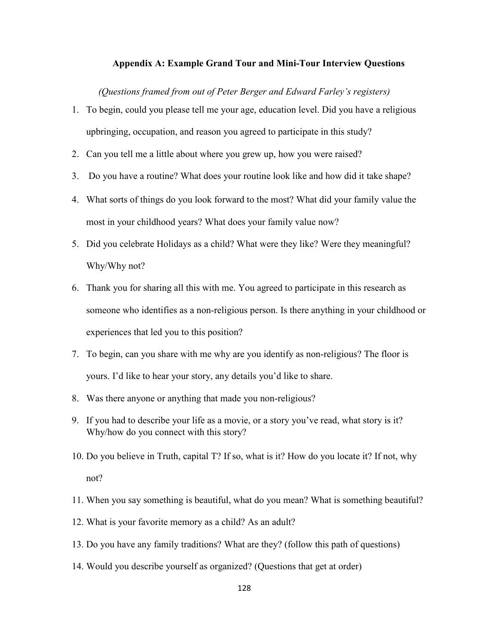## **Appendix A: Example Grand Tour and Mini-Tour Interview Questions**

*(Questions framed from out of Peter Berger and Edward Farley's registers)*

- 1. To begin, could you please tell me your age, education level. Did you have a religious upbringing, occupation, and reason you agreed to participate in this study?
- 2. Can you tell me a little about where you grew up, how you were raised?
- 3. Do you have a routine? What does your routine look like and how did it take shape?
- 4. What sorts of things do you look forward to the most? What did your family value the most in your childhood years? What does your family value now?
- 5. Did you celebrate Holidays as a child? What were they like? Were they meaningful? Why/Why not?
- 6. Thank you for sharing all this with me. You agreed to participate in this research as someone who identifies as a non-religious person. Is there anything in your childhood or experiences that led you to this position?
- 7. To begin, can you share with me why are you identify as non-religious? The floor is yours. I'd like to hear your story, any details you'd like to share.
- 8. Was there anyone or anything that made you non-religious?
- 9. If you had to describe your life as a movie, or a story you've read, what story is it? Why/how do you connect with this story?
- 10. Do you believe in Truth, capital T? If so, what is it? How do you locate it? If not, why not?
- 11. When you say something is beautiful, what do you mean? What is something beautiful?
- 12. What is your favorite memory as a child? As an adult?
- 13. Do you have any family traditions? What are they? (follow this path of questions)
- 14. Would you describe yourself as organized? (Questions that get at order)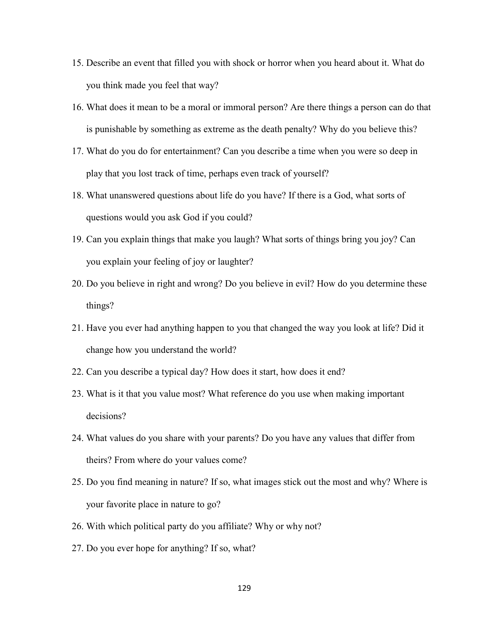- 15. Describe an event that filled you with shock or horror when you heard about it. What do you think made you feel that way?
- 16. What does it mean to be a moral or immoral person? Are there things a person can do that is punishable by something as extreme as the death penalty? Why do you believe this?
- 17. What do you do for entertainment? Can you describe a time when you were so deep in play that you lost track of time, perhaps even track of yourself?
- 18. What unanswered questions about life do you have? If there is a God, what sorts of questions would you ask God if you could?
- 19. Can you explain things that make you laugh? What sorts of things bring you joy? Can you explain your feeling of joy or laughter?
- 20. Do you believe in right and wrong? Do you believe in evil? How do you determine these things?
- 21. Have you ever had anything happen to you that changed the way you look at life? Did it change how you understand the world?
- 22. Can you describe a typical day? How does it start, how does it end?
- 23. What is it that you value most? What reference do you use when making important decisions?
- 24. What values do you share with your parents? Do you have any values that differ from theirs? From where do your values come?
- 25. Do you find meaning in nature? If so, what images stick out the most and why? Where is your favorite place in nature to go?
- 26. With which political party do you affiliate? Why or why not?
- 27. Do you ever hope for anything? If so, what?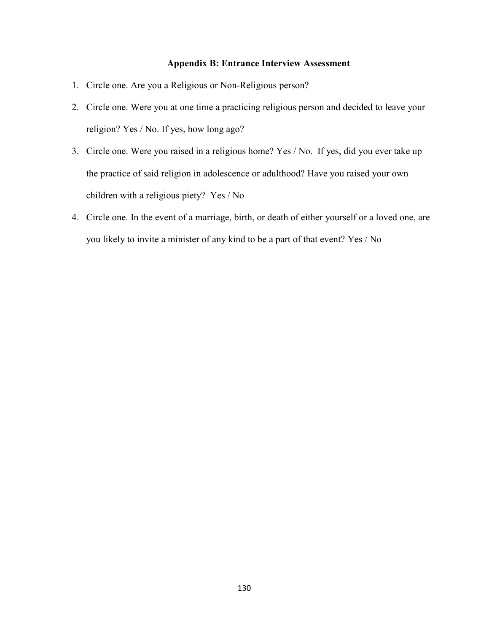# **Appendix B: Entrance Interview Assessment**

- 1. Circle one. Are you a Religious or Non-Religious person?
- 2. Circle one. Were you at one time a practicing religious person and decided to leave your religion? Yes / No. If yes, how long ago?
- 3. Circle one. Were you raised in a religious home? Yes / No. If yes, did you ever take up the practice of said religion in adolescence or adulthood? Have you raised your own children with a religious piety? Yes / No
- 4. Circle one. In the event of a marriage, birth, or death of either yourself or a loved one, are you likely to invite a minister of any kind to be a part of that event? Yes / No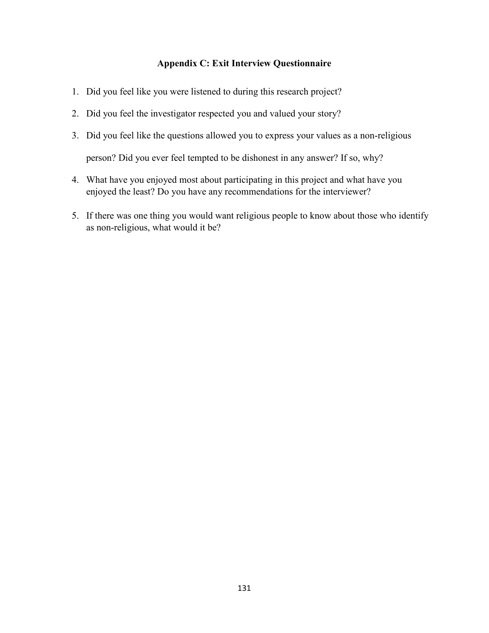# **Appendix C: Exit Interview Questionnaire**

- 1. Did you feel like you were listened to during this research project?
- 2. Did you feel the investigator respected you and valued your story?
- 3. Did you feel like the questions allowed you to express your values as a non-religious person? Did you ever feel tempted to be dishonest in any answer? If so, why?
- 4. What have you enjoyed most about participating in this project and what have you enjoyed the least? Do you have any recommendations for the interviewer?
- 5. If there was one thing you would want religious people to know about those who identify as non-religious, what would it be?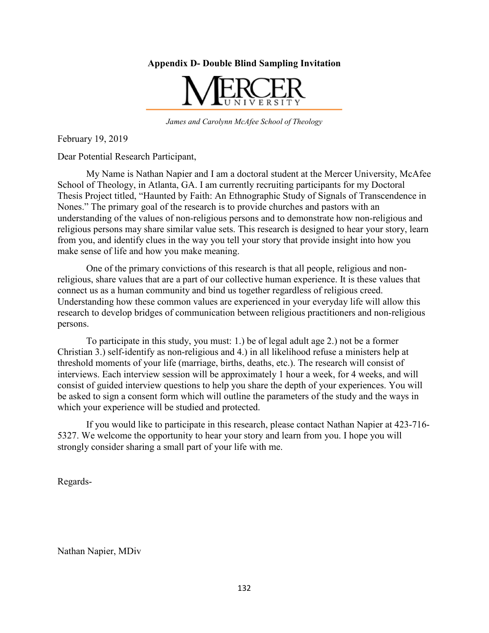**Appendix D- Double Blind Sampling Invitation** 



*James and Carolynn McAfee School of Theology* 

February 19, 2019

Dear Potential Research Participant,

 My Name is Nathan Napier and I am a doctoral student at the Mercer University, McAfee School of Theology, in Atlanta, GA. I am currently recruiting participants for my Doctoral Thesis Project titled, "Haunted by Faith: An Ethnographic Study of Signals of Transcendence in Nones." The primary goal of the research is to provide churches and pastors with an understanding of the values of non-religious persons and to demonstrate how non-religious and religious persons may share similar value sets. This research is designed to hear your story, learn from you, and identify clues in the way you tell your story that provide insight into how you make sense of life and how you make meaning.

 One of the primary convictions of this research is that all people, religious and nonreligious, share values that are a part of our collective human experience. It is these values that connect us as a human community and bind us together regardless of religious creed. Understanding how these common values are experienced in your everyday life will allow this research to develop bridges of communication between religious practitioners and non-religious persons.

 To participate in this study, you must: 1.) be of legal adult age 2.) not be a former Christian 3.) self-identify as non-religious and 4.) in all likelihood refuse a ministers help at threshold moments of your life (marriage, births, deaths, etc.). The research will consist of interviews. Each interview session will be approximately 1 hour a week, for 4 weeks, and will consist of guided interview questions to help you share the depth of your experiences. You will be asked to sign a consent form which will outline the parameters of the study and the ways in which your experience will be studied and protected.

 If you would like to participate in this research, please contact Nathan Napier at 423-716- 5327. We welcome the opportunity to hear your story and learn from you. I hope you will strongly consider sharing a small part of your life with me.

Regards-

Nathan Napier, MDiv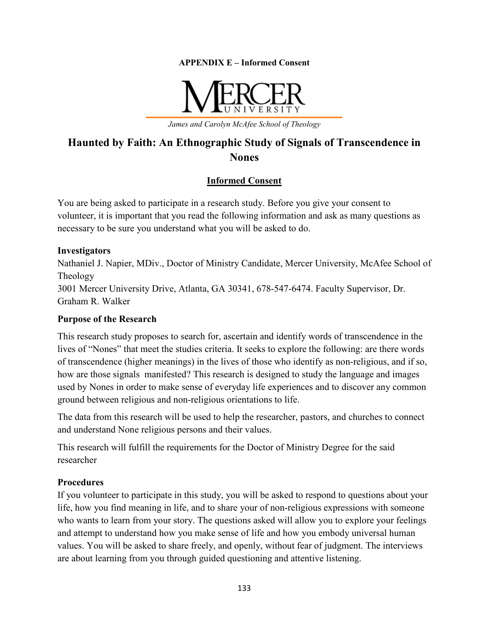**APPENDIX E – Informed Consent** 



*James and Carolyn McAfee School of Theology* 

# **Haunted by Faith: An Ethnographic Study of Signals of Transcendence in Nones**

# **Informed Consent**

You are being asked to participate in a research study. Before you give your consent to volunteer, it is important that you read the following information and ask as many questions as necessary to be sure you understand what you will be asked to do.

# **Investigators**

Nathaniel J. Napier, MDiv., Doctor of Ministry Candidate, Mercer University, McAfee School of Theology 3001 Mercer University Drive, Atlanta, GA 30341, 678-547-6474. Faculty Supervisor, Dr.

Graham R. Walker

# **Purpose of the Research**

This research study proposes to search for, ascertain and identify words of transcendence in the lives of "Nones" that meet the studies criteria. It seeks to explore the following: are there words of transcendence (higher meanings) in the lives of those who identify as non-religious, and if so, how are those signals manifested? This research is designed to study the language and images used by Nones in order to make sense of everyday life experiences and to discover any common ground between religious and non-religious orientations to life.

The data from this research will be used to help the researcher, pastors, and churches to connect and understand None religious persons and their values.

This research will fulfill the requirements for the Doctor of Ministry Degree for the said researcher

# **Procedures**

If you volunteer to participate in this study, you will be asked to respond to questions about your life, how you find meaning in life, and to share your of non-religious expressions with someone who wants to learn from your story. The questions asked will allow you to explore your feelings and attempt to understand how you make sense of life and how you embody universal human values. You will be asked to share freely, and openly, without fear of judgment. The interviews are about learning from you through guided questioning and attentive listening.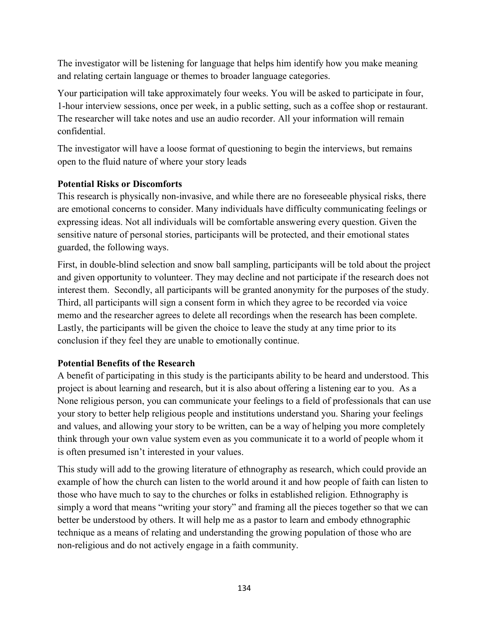The investigator will be listening for language that helps him identify how you make meaning and relating certain language or themes to broader language categories.

Your participation will take approximately four weeks. You will be asked to participate in four, 1-hour interview sessions, once per week, in a public setting, such as a coffee shop or restaurant. The researcher will take notes and use an audio recorder. All your information will remain confidential.

The investigator will have a loose format of questioning to begin the interviews, but remains open to the fluid nature of where your story leads

# **Potential Risks or Discomforts**

This research is physically non-invasive, and while there are no foreseeable physical risks, there are emotional concerns to consider. Many individuals have difficulty communicating feelings or expressing ideas. Not all individuals will be comfortable answering every question. Given the sensitive nature of personal stories, participants will be protected, and their emotional states guarded, the following ways.

First, in double-blind selection and snow ball sampling, participants will be told about the project and given opportunity to volunteer. They may decline and not participate if the research does not interest them. Secondly, all participants will be granted anonymity for the purposes of the study. Third, all participants will sign a consent form in which they agree to be recorded via voice memo and the researcher agrees to delete all recordings when the research has been complete. Lastly, the participants will be given the choice to leave the study at any time prior to its conclusion if they feel they are unable to emotionally continue.

# **Potential Benefits of the Research**

A benefit of participating in this study is the participants ability to be heard and understood. This project is about learning and research, but it is also about offering a listening ear to you. As a None religious person, you can communicate your feelings to a field of professionals that can use your story to better help religious people and institutions understand you. Sharing your feelings and values, and allowing your story to be written, can be a way of helping you more completely think through your own value system even as you communicate it to a world of people whom it is often presumed isn't interested in your values.

This study will add to the growing literature of ethnography as research, which could provide an example of how the church can listen to the world around it and how people of faith can listen to those who have much to say to the churches or folks in established religion. Ethnography is simply a word that means "writing your story" and framing all the pieces together so that we can better be understood by others. It will help me as a pastor to learn and embody ethnographic technique as a means of relating and understanding the growing population of those who are non-religious and do not actively engage in a faith community.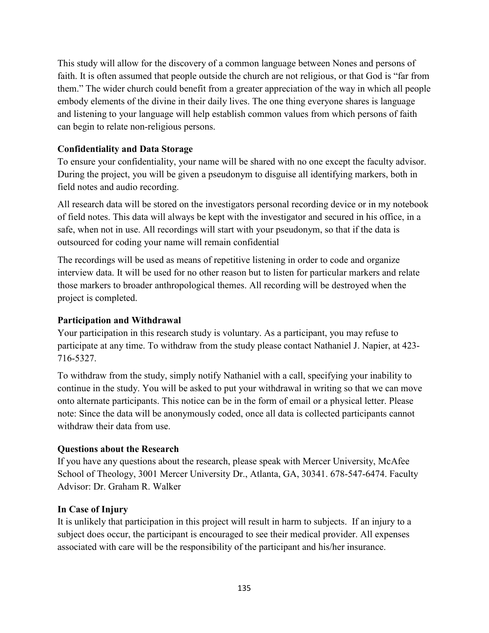This study will allow for the discovery of a common language between Nones and persons of faith. It is often assumed that people outside the church are not religious, or that God is "far from them." The wider church could benefit from a greater appreciation of the way in which all people embody elements of the divine in their daily lives. The one thing everyone shares is language and listening to your language will help establish common values from which persons of faith can begin to relate non-religious persons.

## **Confidentiality and Data Storage**

To ensure your confidentiality, your name will be shared with no one except the faculty advisor. During the project, you will be given a pseudonym to disguise all identifying markers, both in field notes and audio recording.

All research data will be stored on the investigators personal recording device or in my notebook of field notes. This data will always be kept with the investigator and secured in his office, in a safe, when not in use. All recordings will start with your pseudonym, so that if the data is outsourced for coding your name will remain confidential

The recordings will be used as means of repetitive listening in order to code and organize interview data. It will be used for no other reason but to listen for particular markers and relate those markers to broader anthropological themes. All recording will be destroyed when the project is completed.

### **Participation and Withdrawal**

Your participation in this research study is voluntary. As a participant, you may refuse to participate at any time. To withdraw from the study please contact Nathaniel J. Napier, at 423- 716-5327.

To withdraw from the study, simply notify Nathaniel with a call, specifying your inability to continue in the study. You will be asked to put your withdrawal in writing so that we can move onto alternate participants. This notice can be in the form of email or a physical letter. Please note: Since the data will be anonymously coded, once all data is collected participants cannot withdraw their data from use.

### **Questions about the Research**

If you have any questions about the research, please speak with Mercer University, McAfee School of Theology, 3001 Mercer University Dr., Atlanta, GA, 30341. 678-547-6474. Faculty Advisor: Dr. Graham R. Walker

### **In Case of Injury**

It is unlikely that participation in this project will result in harm to subjects. If an injury to a subject does occur, the participant is encouraged to see their medical provider. All expenses associated with care will be the responsibility of the participant and his/her insurance.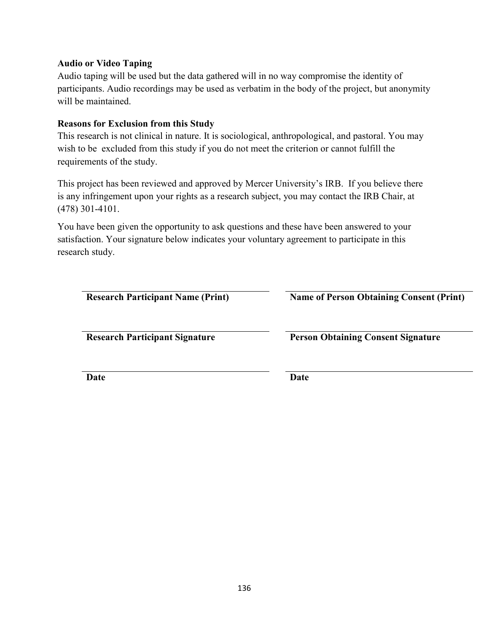#### **Audio or Video Taping**

Audio taping will be used but the data gathered will in no way compromise the identity of participants. Audio recordings may be used as verbatim in the body of the project, but anonymity will be maintained.

#### **Reasons for Exclusion from this Study**

This research is not clinical in nature. It is sociological, anthropological, and pastoral. You may wish to be excluded from this study if you do not meet the criterion or cannot fulfill the requirements of the study.

This project has been reviewed and approved by Mercer University's IRB. If you believe there is any infringement upon your rights as a research subject, you may contact the IRB Chair, at (478) 301-4101.

You have been given the opportunity to ask questions and these have been answered to your satisfaction. Your signature below indicates your voluntary agreement to participate in this research study.

| <b>Research Participant Name (Print)</b> |  |
|------------------------------------------|--|
|                                          |  |

 **Name of Person Obtaining Consent (Print)** 

**Research Participant Signature Person Obtaining Consent Signature** 

**Date** Date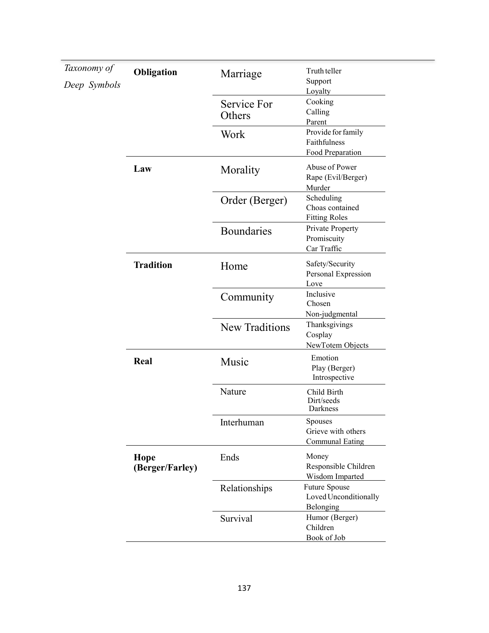| Taxonomy of  | Obligation              | Marriage                      | Truth teller                                                  |
|--------------|-------------------------|-------------------------------|---------------------------------------------------------------|
| Deep Symbols |                         |                               | Support                                                       |
|              |                         | Service For<br>Others<br>Work | Loyalty<br>Cooking<br>Calling<br>Parent<br>Provide for family |
|              |                         |                               | Faithfulness<br>Food Preparation                              |
|              | Law                     | Morality                      | Abuse of Power<br>Rape (Evil/Berger)<br>Murder                |
|              |                         | Order (Berger)                | Scheduling<br>Choas contained<br><b>Fitting Roles</b>         |
|              |                         | <b>Boundaries</b>             | Private Property<br>Promiscuity<br>Car Traffic                |
|              | <b>Tradition</b>        | Home                          | Safety/Security<br>Personal Expression<br>Love                |
|              |                         | Community                     | Inclusive<br>Chosen<br>Non-judgmental                         |
|              |                         | <b>New Traditions</b>         | Thanksgivings<br>Cosplay<br>NewTotem Objects                  |
|              | Real                    | Music                         | Emotion<br>Play (Berger)<br>Introspective                     |
|              |                         | Nature                        | Child Birth<br>Dirt/seeds<br>Darkness                         |
|              |                         | Interhuman                    | Spouses<br>Grieve with others<br><b>Communal Eating</b>       |
|              | Hope<br>(Berger/Farley) | Ends                          | Money<br>Responsible Children<br>Wisdom Imparted              |
|              |                         | Relationships                 | <b>Future Spouse</b><br>Loved Unconditionally<br>Belonging    |
|              |                         | Survival                      | Humor (Berger)<br>Children<br>Book of Job                     |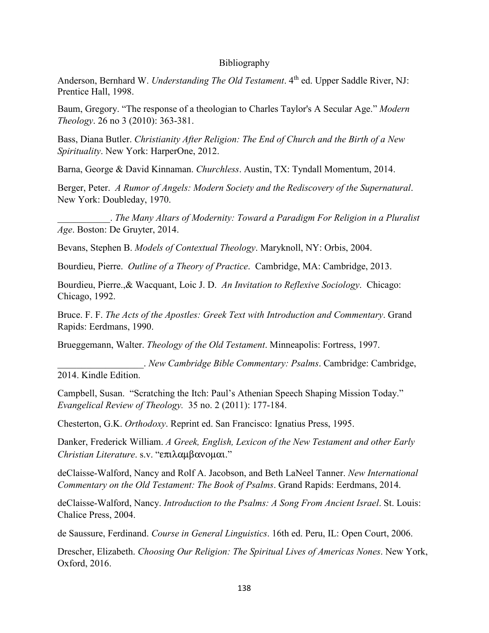#### Bibliography

Anderson, Bernhard W. *Understanding The Old Testament*. 4<sup>th</sup> ed. Upper Saddle River, NJ: Prentice Hall, 1998.

Baum, Gregory. "The response of a theologian to Charles Taylor's A Secular Age." *Modern Theology*. 26 no 3 (2010): 363-381.

Bass, Diana Butler. *Christianity After Religion: The End of Church and the Birth of a New Spirituality*. New York: HarperOne, 2012.

Barna, George & David Kinnaman. *Churchless*. Austin, TX: Tyndall Momentum, 2014.

Berger, Peter. *A Rumor of Angels: Modern Society and the Rediscovery of the Supernatural*. New York: Doubleday, 1970.

\_\_\_\_\_\_\_\_\_\_\_. *The Many Altars of Modernity: Toward a Paradigm For Religion in a Pluralist Age*. Boston: De Gruyter, 2014.

Bevans, Stephen B. *Models of Contextual Theology*. Maryknoll, NY: Orbis, 2004.

Bourdieu, Pierre. *Outline of a Theory of Practice*. Cambridge, MA: Cambridge, 2013.

Bourdieu, Pierre.,& Wacquant, Loic J. D. *An Invitation to Reflexive Sociology*. Chicago: Chicago, 1992.

Bruce. F. F. *The Acts of the Apostles: Greek Text with Introduction and Commentary*. Grand Rapids: Eerdmans, 1990.

Brueggemann, Walter. *Theology of the Old Testament*. Minneapolis: Fortress, 1997.

\_\_\_\_\_\_\_\_\_\_\_\_\_\_\_\_\_\_. *New Cambridge Bible Commentary: Psalms*. Cambridge: Cambridge, 2014. Kindle Edition.

Campbell, Susan. "Scratching the Itch: Paul's Athenian Speech Shaping Mission Today." *Evangelical Review of Theology.* 35 no. 2 (2011): 177-184.

Chesterton, G.K. *Orthodoxy*. Reprint ed. San Francisco: Ignatius Press, 1995.

Danker, Frederick William. *A Greek, English, Lexicon of the New Testament and other Early Christian Literature*. s.v. "επιλαµβανοµαι."

deClaisse-Walford, Nancy and Rolf A. Jacobson, and Beth LaNeel Tanner. *New International Commentary on the Old Testament: The Book of Psalms*. Grand Rapids: Eerdmans, 2014.

deClaisse-Walford, Nancy. *Introduction to the Psalms: A Song From Ancient Israel*. St. Louis: Chalice Press, 2004.

de Saussure, Ferdinand. *Course in General Linguistics*. 16th ed. Peru, IL: Open Court, 2006.

Drescher, Elizabeth. *Choosing Our Religion: The Spiritual Lives of Americas Nones*. New York, Oxford, 2016.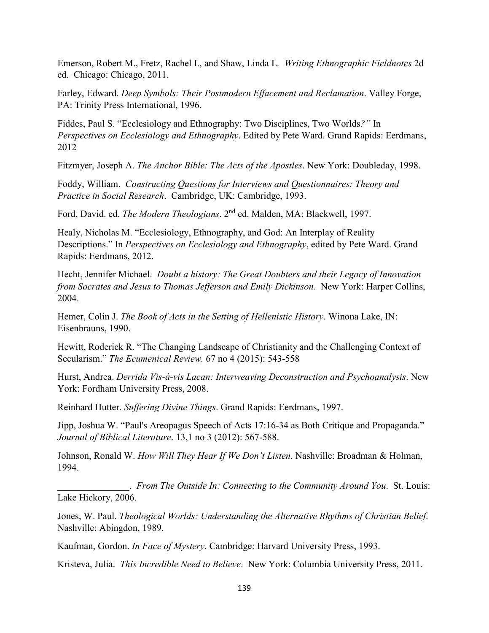Emerson, Robert M., Fretz, Rachel I., and Shaw, Linda L*. Writing Ethnographic Fieldnotes* 2d ed. Chicago: Chicago, 2011.

Farley, Edward. *Deep Symbols: Their Postmodern Effacement and Reclamation*. Valley Forge, PA: Trinity Press International, 1996.

Fiddes, Paul S. "Ecclesiology and Ethnography: Two Disciplines, Two Worlds*?"* In *Perspectives on Ecclesiology and Ethnography*. Edited by Pete Ward. Grand Rapids: Eerdmans, 2012

Fitzmyer, Joseph A. *The Anchor Bible: The Acts of the Apostles*. New York: Doubleday, 1998.

Foddy, William. *Constructing Questions for Interviews and Questionnaires: Theory and Practice in Social Research*. Cambridge, UK: Cambridge, 1993.

Ford, David. ed. *The Modern Theologians*. 2nd ed. Malden, MA: Blackwell, 1997.

Healy, Nicholas M. "Ecclesiology, Ethnography, and God: An Interplay of Reality Descriptions." In *Perspectives on Ecclesiology and Ethnography*, edited by Pete Ward. Grand Rapids: Eerdmans, 2012.

Hecht, Jennifer Michael. *Doubt a history: The Great Doubters and their Legacy of Innovation from Socrates and Jesus to Thomas Jefferson and Emily Dickinson*. New York: Harper Collins, 2004.

Hemer, Colin J. *The Book of Acts in the Setting of Hellenistic History*. Winona Lake, IN: Eisenbrauns, 1990.

Hewitt, Roderick R. "The Changing Landscape of Christianity and the Challenging Context of Secularism." *The Ecumenical Review.* 67 no 4 (2015): 543-558

Hurst, Andrea. *Derrida Vis-à-vis Lacan: Interweaving Deconstruction and Psychoanalysis*. New York: Fordham University Press, 2008.

Reinhard Hutter. *Suffering Divine Things*. Grand Rapids: Eerdmans, 1997.

Jipp, Joshua W. "Paul's Areopagus Speech of Acts 17:16-34 as Both Critique and Propaganda." *Journal of Biblical Literature*. 13,1 no 3 (2012): 567-588.

Johnson, Ronald W. *How Will They Hear If We Don't Listen*. Nashville: Broadman & Holman, 1994.

\_\_\_\_\_\_\_\_\_\_\_\_\_\_\_. *From The Outside In: Connecting to the Community Around You*. St. Louis: Lake Hickory, 2006.

Jones, W. Paul. *Theological Worlds: Understanding the Alternative Rhythms of Christian Belief*. Nashville: Abingdon, 1989.

Kaufman, Gordon. *In Face of Mystery*. Cambridge: Harvard University Press, 1993.

Kristeva, Julia. *This Incredible Need to Believe*. New York: Columbia University Press, 2011.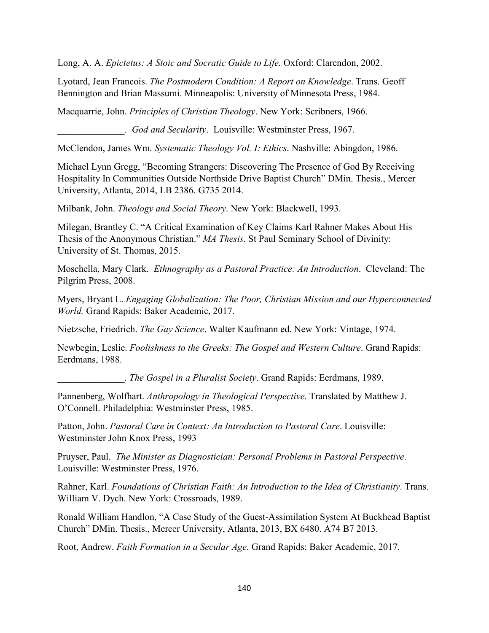Long, A. A. *Epictetus: A Stoic and Socratic Guide to Life.* Oxford: Clarendon, 2002.

Lyotard, Jean Francois. *The Postmodern Condition: A Report on Knowledge*. Trans. Geoff Bennington and Brian Massumi. Minneapolis: University of Minnesota Press, 1984.

Macquarrie, John. *Principles of Christian Theology*. New York: Scribners, 1966.

\_\_\_\_\_\_\_\_\_\_\_\_\_\_. *God and Secularity*. Louisville: Westminster Press, 1967.

McClendon, James Wm*. Systematic Theology Vol. I: Ethics*. Nashville: Abingdon, 1986.

Michael Lynn Gregg, "Becoming Strangers: Discovering The Presence of God By Receiving Hospitality In Communities Outside Northside Drive Baptist Church" DMin. Thesis., Mercer University, Atlanta, 2014, LB 2386. G735 2014.

Milbank, John. *Theology and Social Theory*. New York: Blackwell, 1993.

Milegan, Brantley C. "A Critical Examination of Key Claims Karl Rahner Makes About His Thesis of the Anonymous Christian." *MA Thesis*. St Paul Seminary School of Divinity: University of St. Thomas, 2015.

Moschella, Mary Clark. *Ethnography as a Pastoral Practice: An Introduction*. Cleveland: The Pilgrim Press, 2008.

Myers, Bryant L. *Engaging Globalization: The Poor, Christian Mission and our Hyperconnected World.* Grand Rapids: Baker Academic, 2017.

Nietzsche, Friedrich. *The Gay Science*. Walter Kaufmann ed. New York: Vintage, 1974.

Newbegin, Leslie. *Foolishness to the Greeks: The Gospel and Western Culture*. Grand Rapids: Eerdmans, 1988.

\_\_\_\_\_\_\_\_\_\_\_\_\_\_. *The Gospel in a Pluralist Society*. Grand Rapids: Eerdmans, 1989.

Pannenberg, Wolfhart. *Anthropology in Theological Perspective*. Translated by Matthew J. O'Connell. Philadelphia: Westminster Press, 1985.

Patton, John. *Pastoral Care in Context: An Introduction to Pastoral Care*. Louisville: Westminster John Knox Press, 1993

Pruyser, Paul. *The Minister as Diagnostician: Personal Problems in Pastoral Perspective*. Louisville: Westminster Press, 1976.

Rahner, Karl. *Foundations of Christian Faith: An Introduction to the Idea of Christianity*. Trans. William V. Dych. New York: Crossroads, 1989.

Ronald William Handlon, "A Case Study of the Guest-Assimilation System At Buckhead Baptist Church" DMin. Thesis., Mercer University, Atlanta, 2013, BX 6480. A74 B7 2013.

Root, Andrew. *Faith Formation in a Secular Age*. Grand Rapids: Baker Academic, 2017.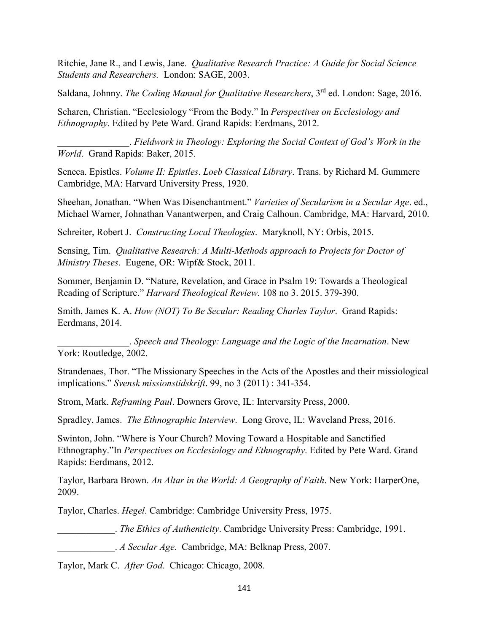Ritchie, Jane R., and Lewis, Jane. *Qualitative Research Practice: A Guide for Social Science Students and Researchers.* London: SAGE, 2003.

Saldana, Johnny. *The Coding Manual for Qualitative Researchers*, 3rd ed. London: Sage, 2016.

Scharen, Christian. "Ecclesiology "From the Body." In *Perspectives on Ecclesiology and Ethnography*. Edited by Pete Ward. Grand Rapids: Eerdmans, 2012.

\_\_\_\_\_\_\_\_\_\_\_\_\_\_\_. *Fieldwork in Theology: Exploring the Social Context of God's Work in the World*. Grand Rapids: Baker, 2015.

Seneca. Epistles. *Volume II: Epistles*. *Loeb Classical Library*. Trans. by Richard M. Gummere Cambridge, MA: Harvard University Press, 1920.

Sheehan, Jonathan. "When Was Disenchantment." *Varieties of Secularism in a Secular Age*. ed., Michael Warner, Johnathan Vanantwerpen, and Craig Calhoun. Cambridge, MA: Harvard, 2010.

Schreiter, Robert J. *Constructing Local Theologies*. Maryknoll, NY: Orbis, 2015.

Sensing, Tim. *Qualitative Research: A Multi-Methods approach to Projects for Doctor of Ministry Theses*. Eugene, OR: Wipf& Stock, 2011.

Sommer, Benjamin D. "Nature, Revelation, and Grace in Psalm 19: Towards a Theological Reading of Scripture." *Harvard Theological Review.* 108 no 3. 2015. 379-390.

Smith, James K. A. *How (NOT) To Be Secular: Reading Charles Taylor*. Grand Rapids: Eerdmans, 2014.

\_\_\_\_\_\_\_\_\_\_\_\_\_\_\_. *Speech and Theology: Language and the Logic of the Incarnation*. New York: Routledge, 2002.

Strandenaes, Thor. "The Missionary Speeches in the Acts of the Apostles and their missiological implications." *Svensk missionstidskrift*. 99, no 3 (2011) : 341-354.

Strom, Mark. *Reframing Paul*. Downers Grove, IL: Intervarsity Press, 2000.

Spradley, James. *The Ethnographic Interview*. Long Grove, IL: Waveland Press, 2016.

Swinton, John. "Where is Your Church? Moving Toward a Hospitable and Sanctified Ethnography."In *Perspectives on Ecclesiology and Ethnography*. Edited by Pete Ward. Grand Rapids: Eerdmans, 2012.

Taylor, Barbara Brown. *An Altar in the World: A Geography of Faith*. New York: HarperOne, 2009.

Taylor, Charles. *Hegel*. Cambridge: Cambridge University Press, 1975.

\_\_\_\_\_\_\_\_\_\_\_\_. *The Ethics of Authenticity*. Cambridge University Press: Cambridge, 1991.

\_\_\_\_\_\_\_\_\_\_\_\_. *A Secular Age.* Cambridge, MA: Belknap Press, 2007.

Taylor, Mark C. *After God*. Chicago: Chicago, 2008.